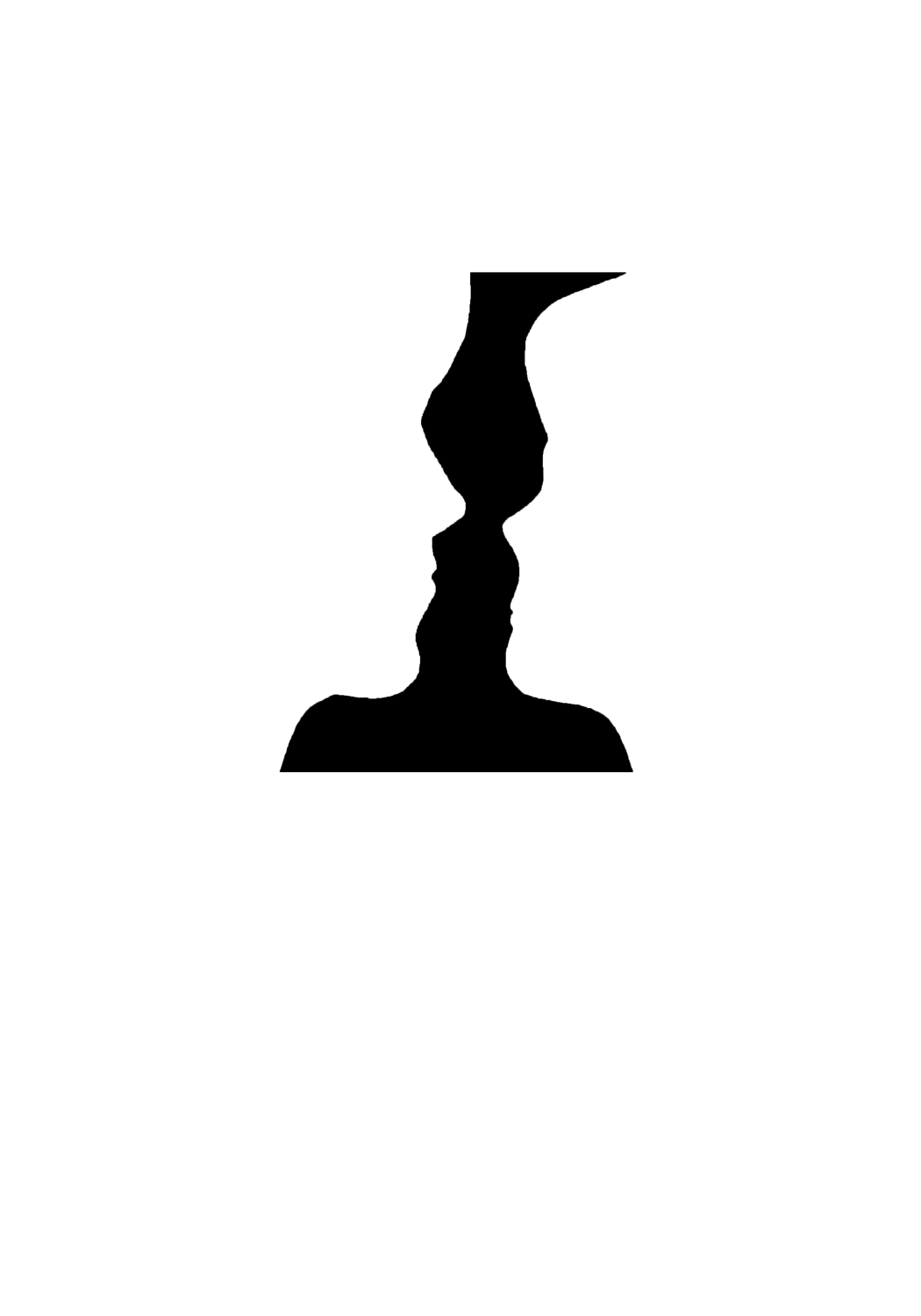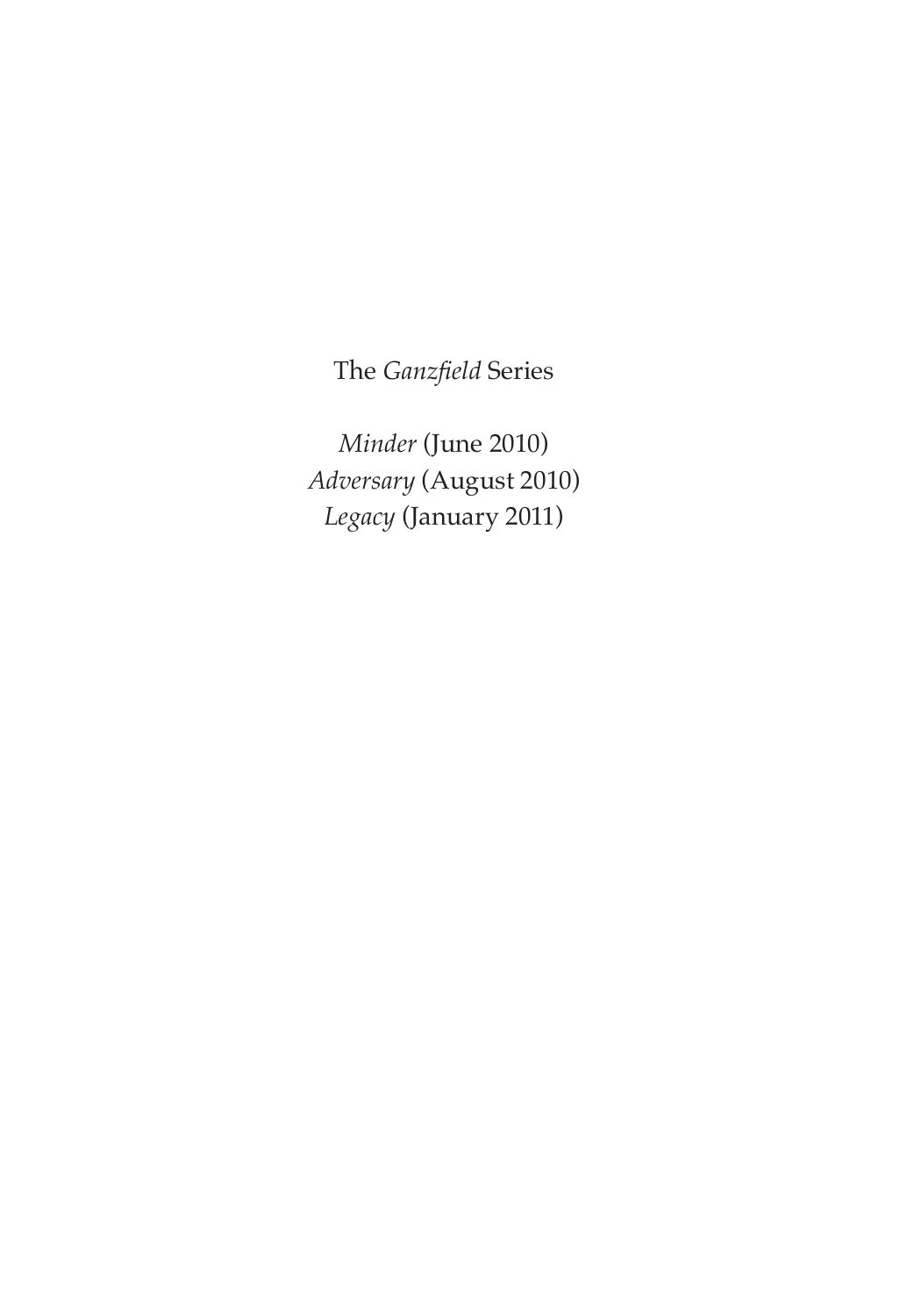The *Ganzfield* Series

*Minder* (June 2010) *Adversary* (August 2010) *Legacy* (January 2011)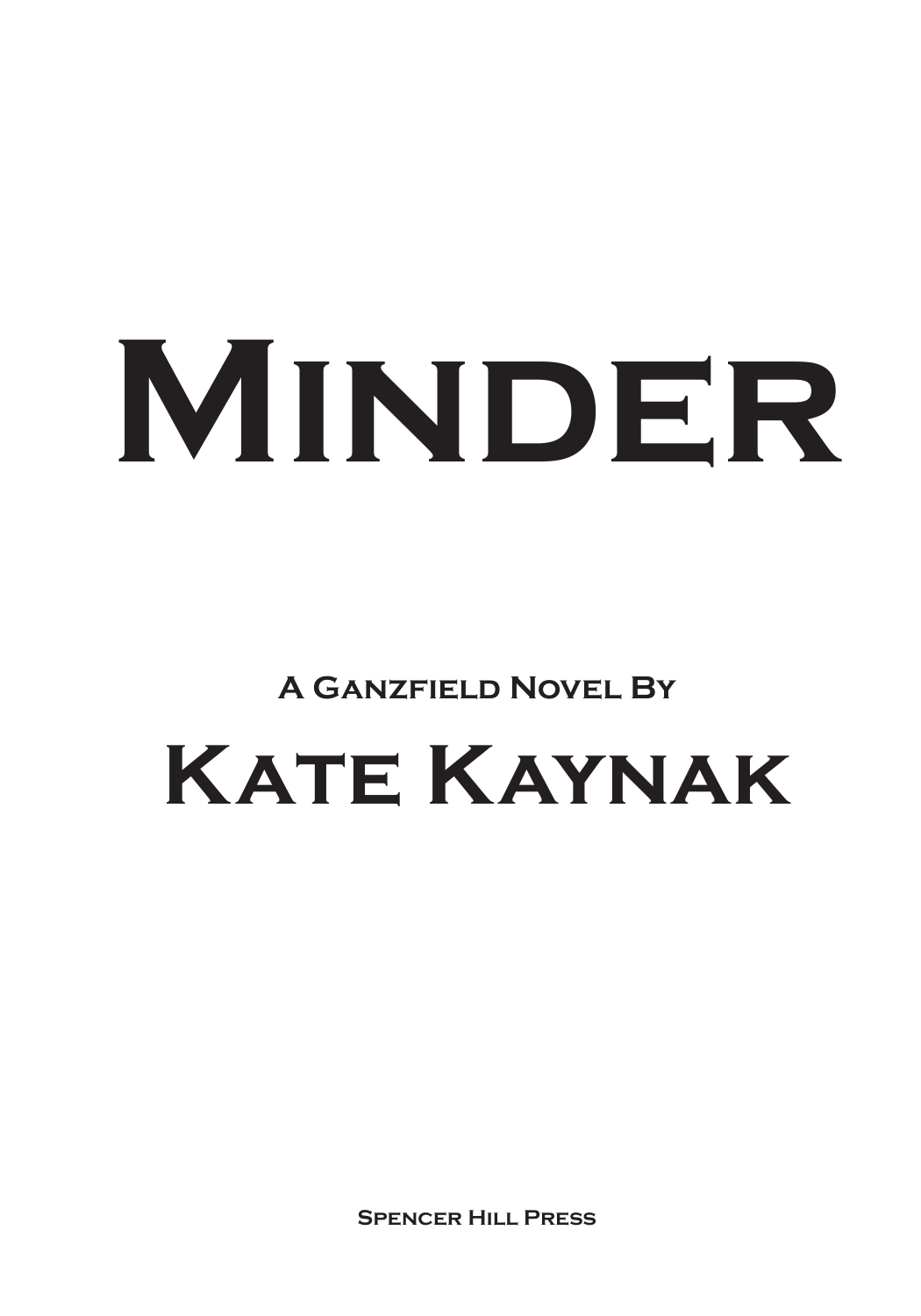**A Ganzfield Novel By**

# **Kate Kaynak**

**Spencer Hill Press**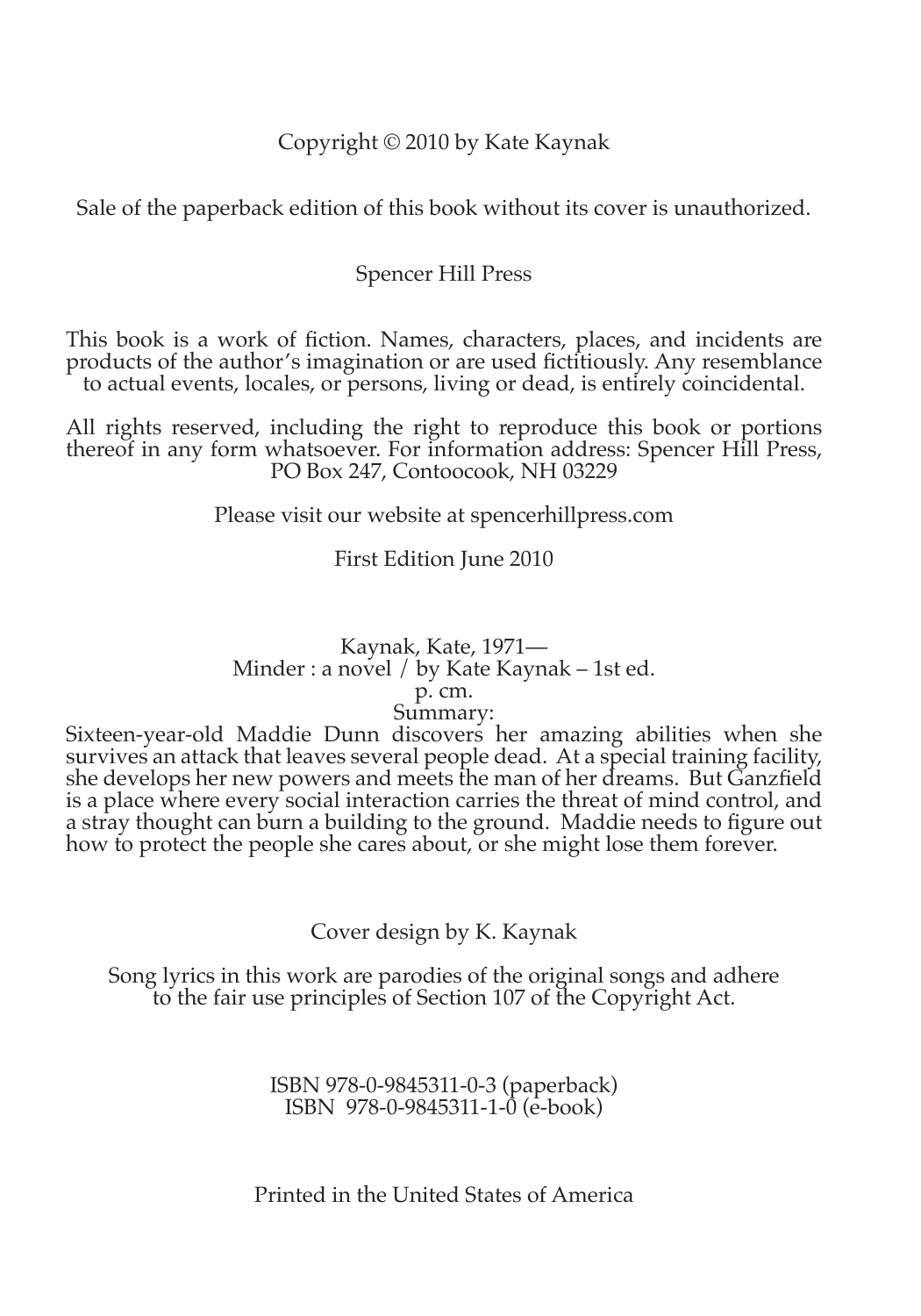#### Copyright © 2010 by Kate Kaynak

Sale of the paperback edition of this book without its cover is unauthorized.

#### Spencer Hill Press

This book is a work of fiction. Names, characters, places, and incidents are products of the author's imagination or are used fictitiously. Any resemblance to actual events, locales, or persons, living or dead, is entirely coincidental.

All rights reserved, including the right to reproduce this book or portions thereof in any form whatsoever. For information address: Spencer Hill Press, PO Box 247, Contoocook, NH 03229

Please visit our website at spencerhillpress.com

First Edition June 2010

#### Kaynak, Kate, 1971— Minder : a novel / by Kate Kaynak – 1st ed. p. cm. Summary:

Sixteen-year-old Maddie Dunn discovers her amazing abilities when she survives an attack that leaves several people dead. At a special training facility, she develops her new powers and meets the man of her dreams. But Ganzfield is a place where every social interaction carries the threat of mind control, and a stray thought can burn a building to the ground. Maddie needs to figure out how to protect the people she cares about, or she might lose them forever.

Cover design by K. Kaynak

Song lyrics in this work are parodies of the original songs and adhere to the fair use principles of Section 107 of the Copyright Act.

ISBN 978-0-9845311-0-3 (paperback) ISBN 978-0-9845311-1-0 (e-book)

Printed in the United States of America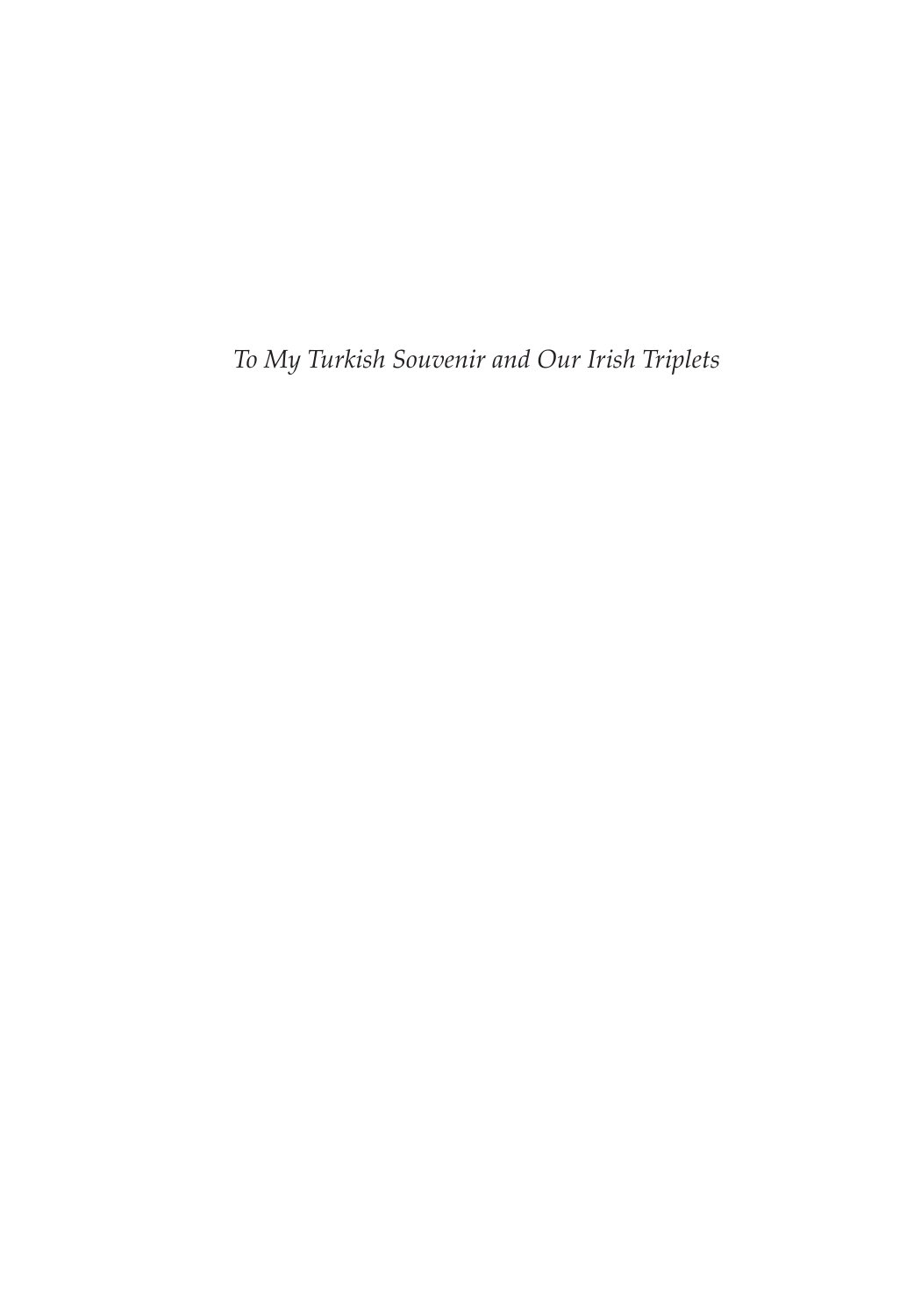*To My Turkish Souvenir and Our Irish Triplets*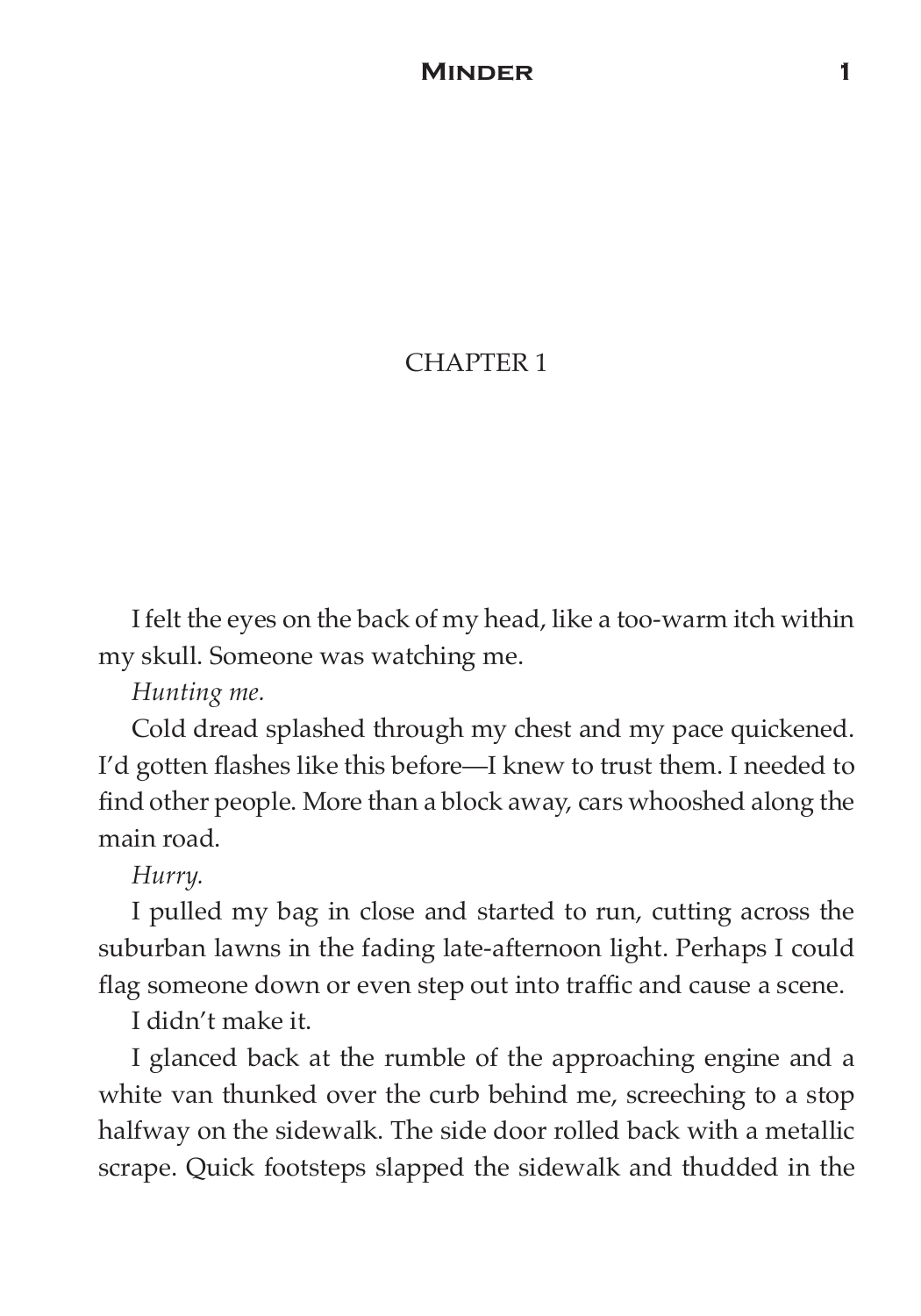# CHAPTER 1

I felt the eyes on the back of my head, like a too-warm itch within my skull. Someone was watching me.

*Hunting me.* 

Cold dread splashed through my chest and my pace quickened. I'd gotten flashes like this before—I knew to trust them. I needed to find other people. More than a block away, cars whooshed along the main road.

*Hurry.*

I pulled my bag in close and started to run, cutting across the suburban lawns in the fading late-afternoon light. Perhaps I could flag someone down or even step out into traffic and cause a scene.

I didn't make it.

I glanced back at the rumble of the approaching engine and a white van thunked over the curb behind me, screeching to a stop halfway on the sidewalk. The side door rolled back with a metallic scrape. Quick footsteps slapped the sidewalk and thudded in the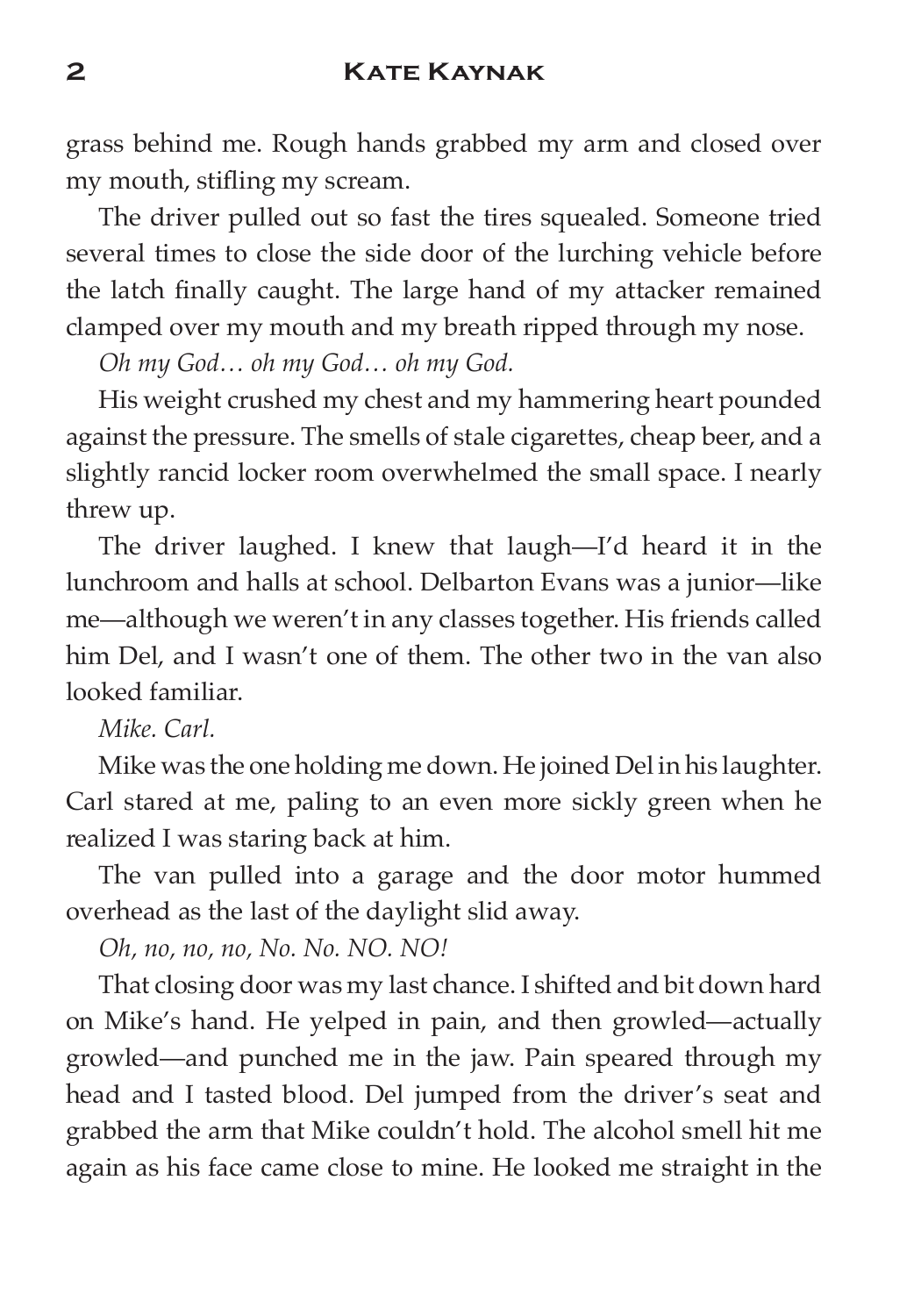grass behind me. Rough hands grabbed my arm and closed over my mouth, stifling my scream.

The driver pulled out so fast the tires squealed. Someone tried several times to close the side door of the lurching vehicle before the latch finally caught. The large hand of my attacker remained clamped over my mouth and my breath ripped through my nose.

*Oh my God… oh my God… oh my God.*

His weight crushed my chest and my hammering heart pounded against the pressure. The smells of stale cigarettes, cheap beer, and a slightly rancid locker room overwhelmed the small space. I nearly threw up.

The driver laughed. I knew that laugh—I'd heard it in the lunchroom and halls at school. Delbarton Evans was a junior—like me—although we weren't in any classes together. His friends called him Del, and I wasn't one of them. The other two in the van also looked familiar.

# *Mike. Carl.*

Mike was the one holding me down. He joined Del in his laughter. Carl stared at me, paling to an even more sickly green when he realized I was staring back at him.

The van pulled into a garage and the door motor hummed overhead as the last of the daylight slid away.

*Oh, no, no, no, No. No. NO. NO!* 

That closing door was my last chance. I shifted and bit down hard on Mike's hand. He yelped in pain, and then growled—actually growled—and punched me in the jaw. Pain speared through my head and I tasted blood. Del jumped from the driver's seat and grabbed the arm that Mike couldn't hold. The alcohol smell hit me again as his face came close to mine. He looked me straight in the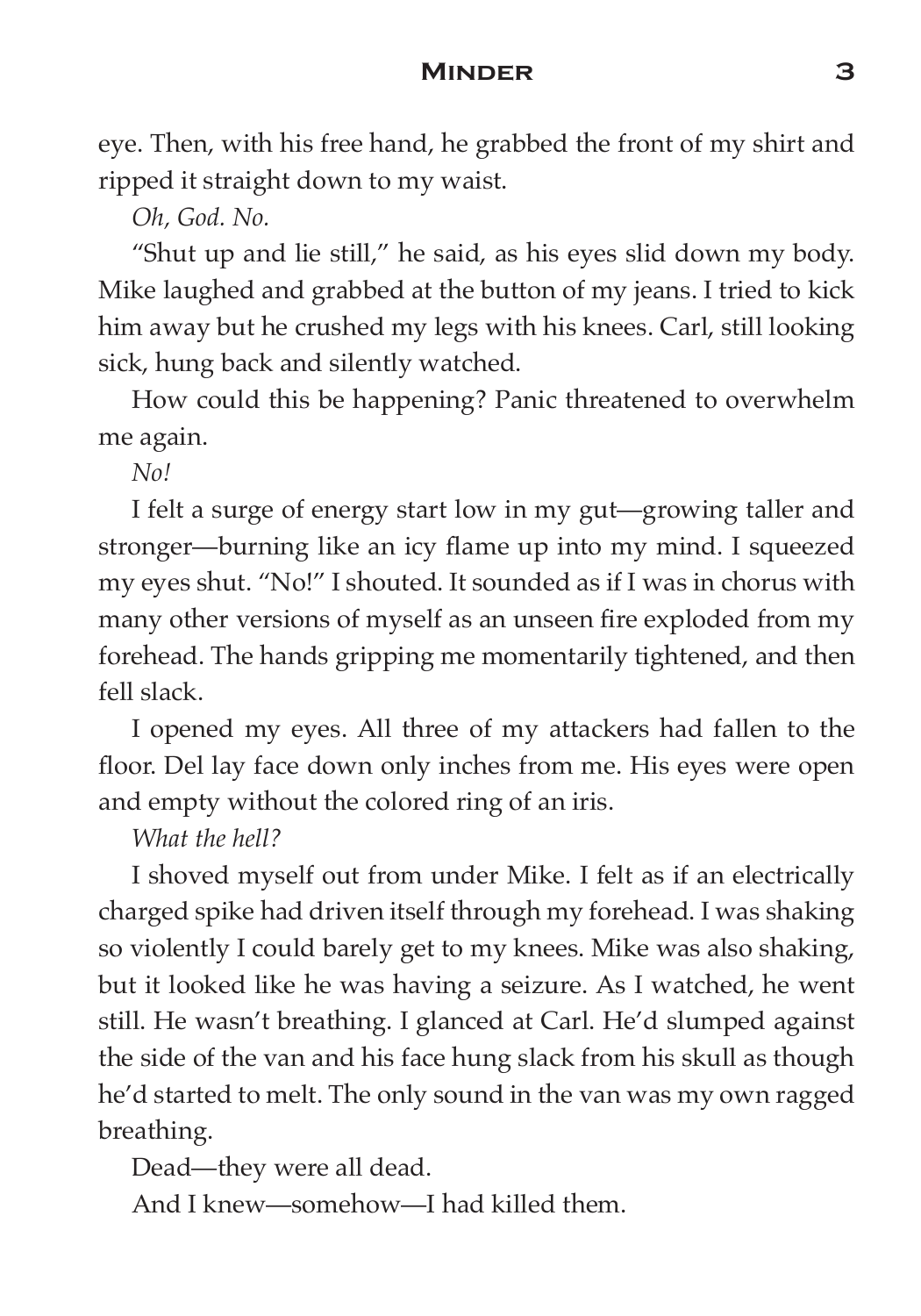eye. Then, with his free hand, he grabbed the front of my shirt and ripped it straight down to my waist.

*Oh, God. No.*

"Shut up and lie still," he said, as his eyes slid down my body. Mike laughed and grabbed at the button of my jeans. I tried to kick him away but he crushed my legs with his knees. Carl, still looking sick, hung back and silently watched.

How could this be happening? Panic threatened to overwhelm me again.

*No!* 

I felt a surge of energy start low in my gut—growing taller and stronger—burning like an icy flame up into my mind. I squeezed my eyes shut. "No!" I shouted. It sounded as if I was in chorus with many other versions of myself as an unseen fire exploded from my forehead. The hands gripping me momentarily tightened, and then fell slack.

I opened my eyes. All three of my attackers had fallen to the floor. Del lay face down only inches from me. His eyes were open and empty without the colored ring of an iris.

*What the hell?*

I shoved myself out from under Mike. I felt as if an electrically charged spike had driven itself through my forehead. I was shaking so violently I could barely get to my knees. Mike was also shaking, but it looked like he was having a seizure. As I watched, he went still. He wasn't breathing. I glanced at Carl. He'd slumped against the side of the van and his face hung slack from his skull as though he'd started to melt. The only sound in the van was my own ragged breathing.

Dead—they were all dead.

And I knew—somehow—I had killed them.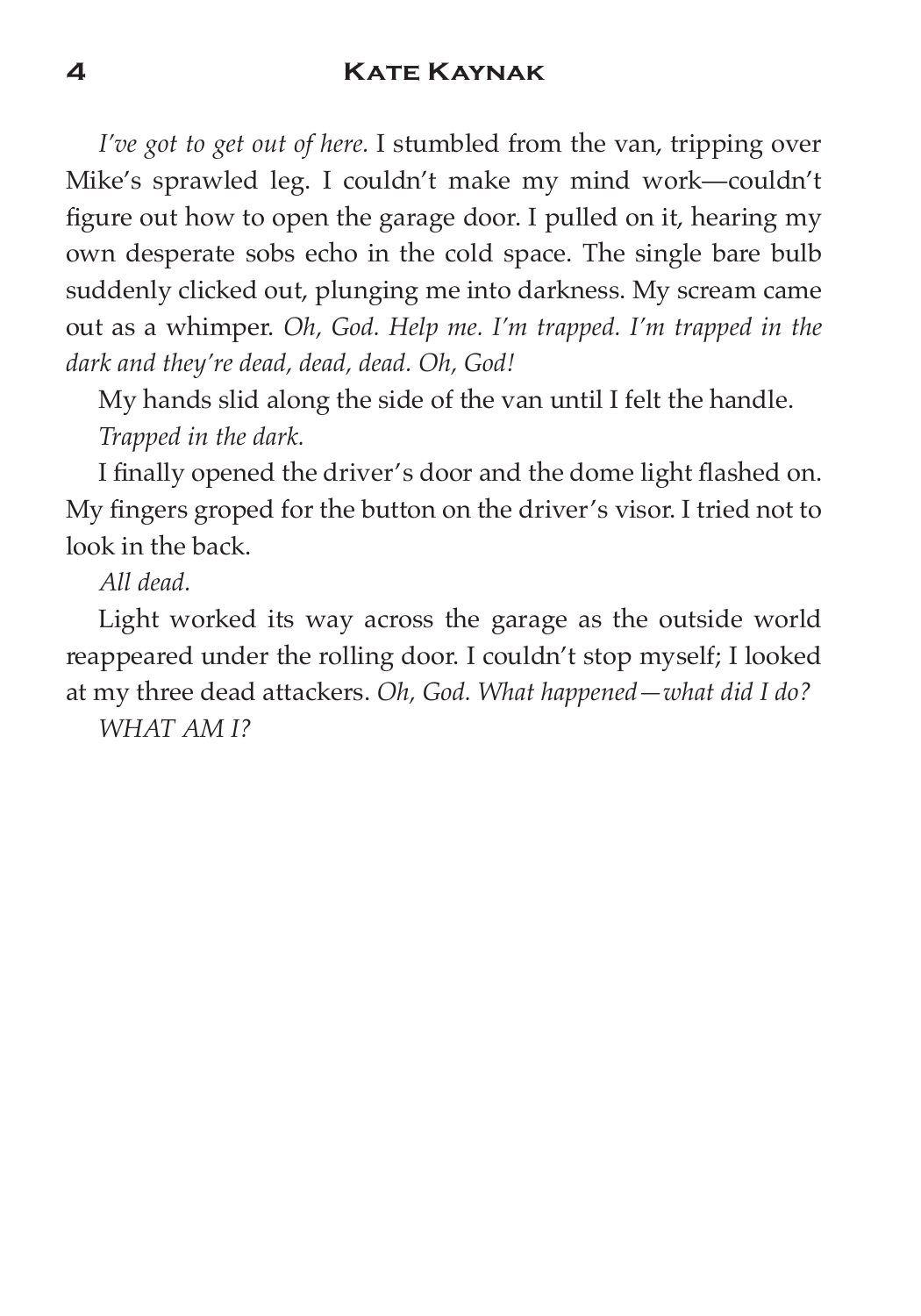*I've got to get out of here.* I stumbled from the van, tripping over Mike's sprawled leg. I couldn't make my mind work—couldn't figure out how to open the garage door. I pulled on it, hearing my own desperate sobs echo in the cold space. The single bare bulb suddenly clicked out, plunging me into darkness. My scream came out as a whimper. *Oh, God. Help me. I'm trapped. I'm trapped in the dark and they're dead, dead, dead. Oh, God!* 

My hands slid along the side of the van until I felt the handle. *Trapped in the dark.*

I finally opened the driver's door and the dome light flashed on. My fingers groped for the button on the driver's visor. I tried not to look in the back.

*All dead.*

Light worked its way across the garage as the outside world reappeared under the rolling door. I couldn't stop myself; I looked at my three dead attackers. *Oh, God. What happened—what did I do? WHAT AM I?*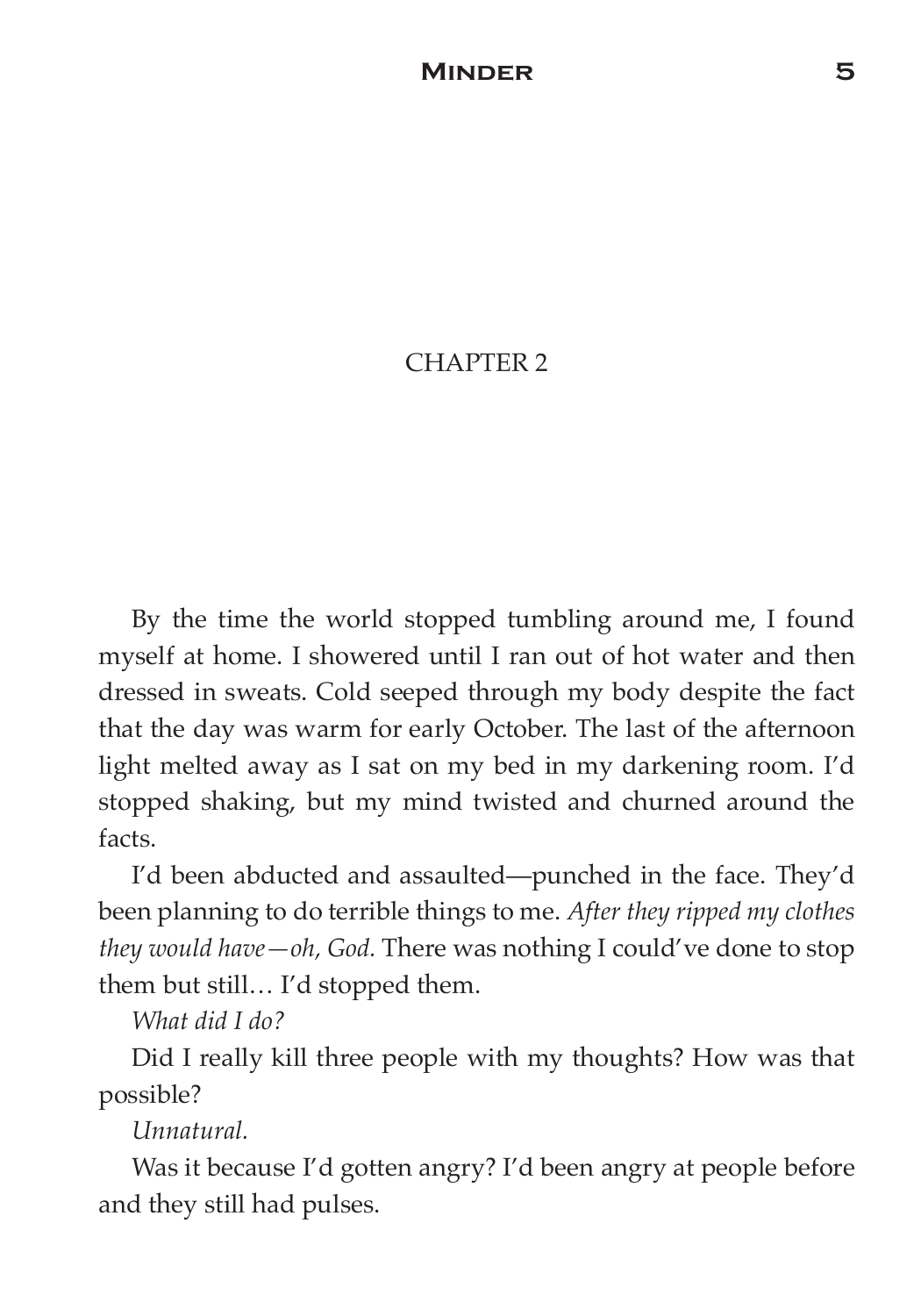# CHAPTER 2

By the time the world stopped tumbling around me, I found myself at home. I showered until I ran out of hot water and then dressed in sweats. Cold seeped through my body despite the fact that the day was warm for early October. The last of the afternoon light melted away as I sat on my bed in my darkening room. I'd stopped shaking, but my mind twisted and churned around the facts.

I'd been abducted and assaulted—punched in the face. They'd been planning to do terrible things to me. *After they ripped my clothes they would have—oh, God.* There was nothing I could've done to stop them but still… I'd stopped them.

*What did I do?*

Did I really kill three people with my thoughts? How was that possible?

*Unnatural.*

Was it because I'd gotten angry? I'd been angry at people before and they still had pulses.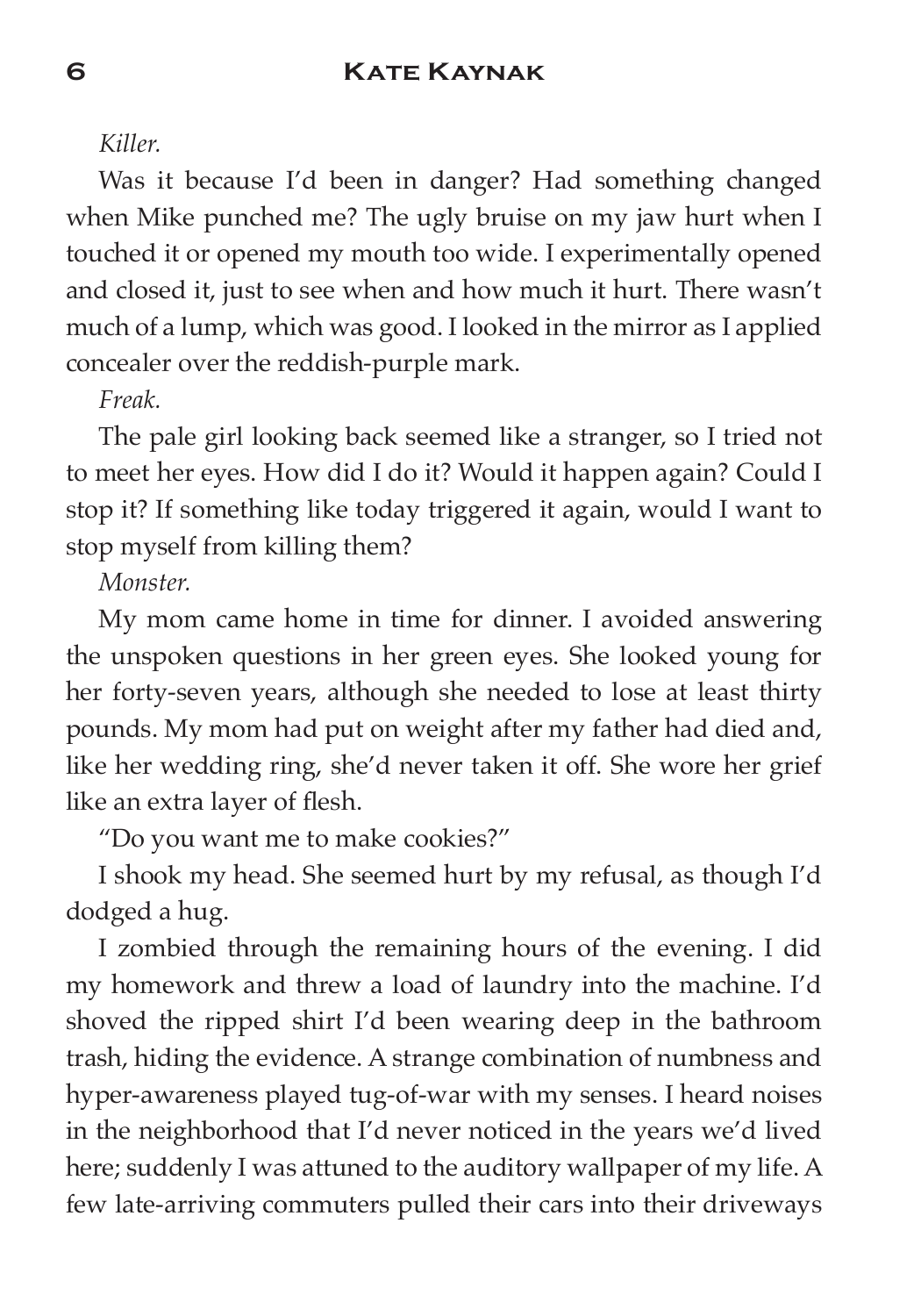*Killer.*

Was it because I'd been in danger? Had something changed when Mike punched me? The ugly bruise on my jaw hurt when I touched it or opened my mouth too wide. I experimentally opened and closed it, just to see when and how much it hurt. There wasn't much of a lump, which was good. I looked in the mirror as I applied concealer over the reddish-purple mark.

# *Freak.*

The pale girl looking back seemed like a stranger, so I tried not to meet her eyes. How did I do it? Would it happen again? Could I stop it? If something like today triggered it again, would I want to stop myself from killing them?

*Monster.* 

My mom came home in time for dinner. I avoided answering the unspoken questions in her green eyes. She looked young for her forty-seven years, although she needed to lose at least thirty pounds. My mom had put on weight after my father had died and, like her wedding ring, she'd never taken it off. She wore her grief like an extra layer of flesh.

"Do you want me to make cookies?"

I shook my head. She seemed hurt by my refusal, as though I'd dodged a hug.

I zombied through the remaining hours of the evening. I did my homework and threw a load of laundry into the machine. I'd shoved the ripped shirt I'd been wearing deep in the bathroom trash, hiding the evidence. A strange combination of numbness and hyper-awareness played tug-of-war with my senses. I heard noises in the neighborhood that I'd never noticed in the years we'd lived here; suddenly I was attuned to the auditory wallpaper of my life. A few late-arriving commuters pulled their cars into their driveways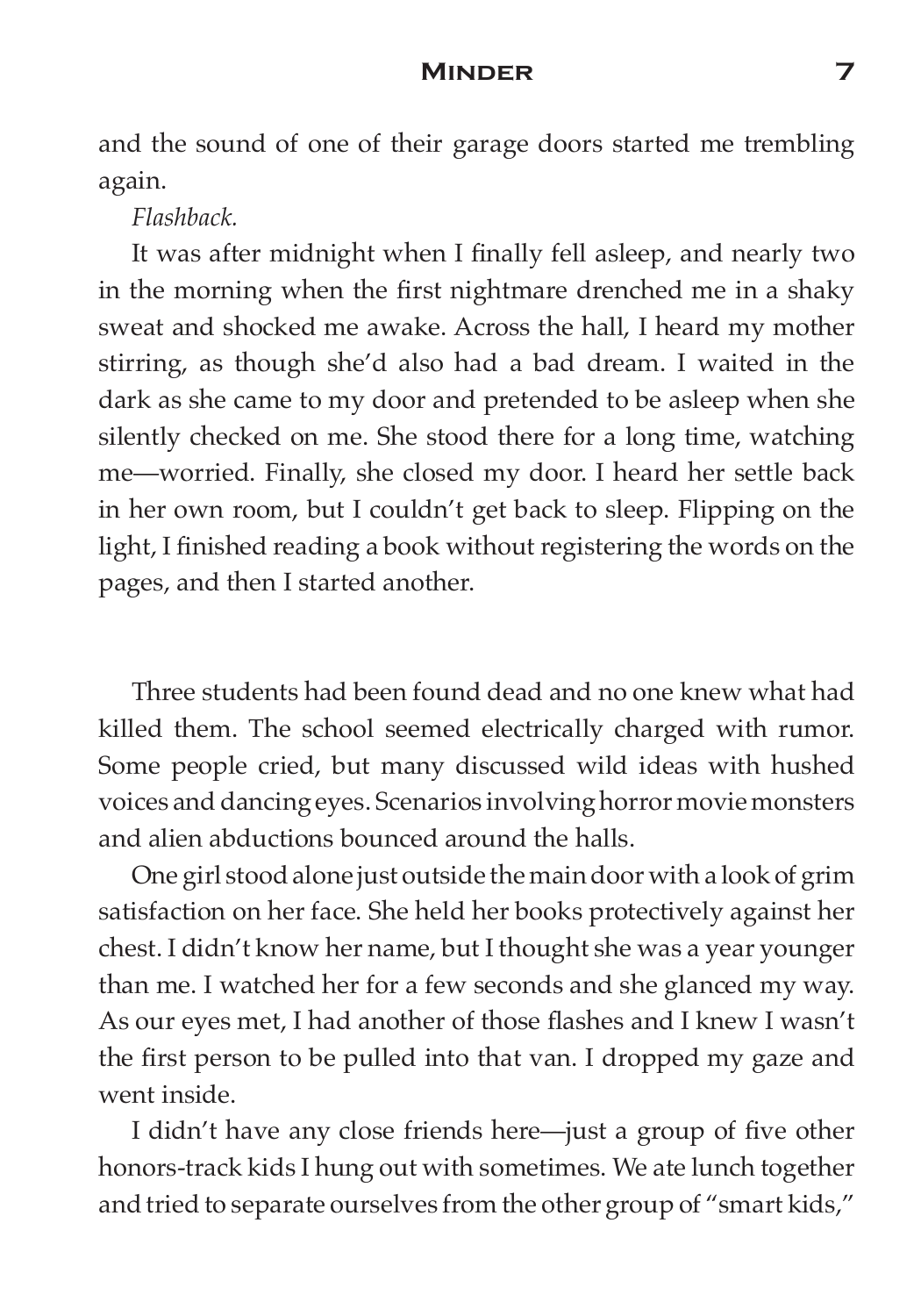and the sound of one of their garage doors started me trembling again.

#### *Flashback.*

It was after midnight when I finally fell asleep, and nearly two in the morning when the first nightmare drenched me in a shaky sweat and shocked me awake. Across the hall, I heard my mother stirring, as though she'd also had a bad dream. I waited in the dark as she came to my door and pretended to be asleep when she silently checked on me. She stood there for a long time, watching me—worried. Finally, she closed my door. I heard her settle back in her own room, but I couldn't get back to sleep. Flipping on the light, I finished reading a book without registering the words on the pages, and then I started another.

Three students had been found dead and no one knew what had killed them. The school seemed electrically charged with rumor. Some people cried, but many discussed wild ideas with hushed voices and dancing eyes. Scenarios involving horror movie monsters and alien abductions bounced around the halls.

One girl stood alone just outside the main door with a look of grim satisfaction on her face. She held her books protectively against her chest. I didn't know her name, but I thought she was a year younger than me. I watched her for a few seconds and she glanced my way. As our eyes met, I had another of those flashes and I knew I wasn't the first person to be pulled into that van. I dropped my gaze and went inside.

I didn't have any close friends here—just a group of five other honors-track kids I hung out with sometimes. We ate lunch together and tried to separate ourselves from the other group of "smart kids,"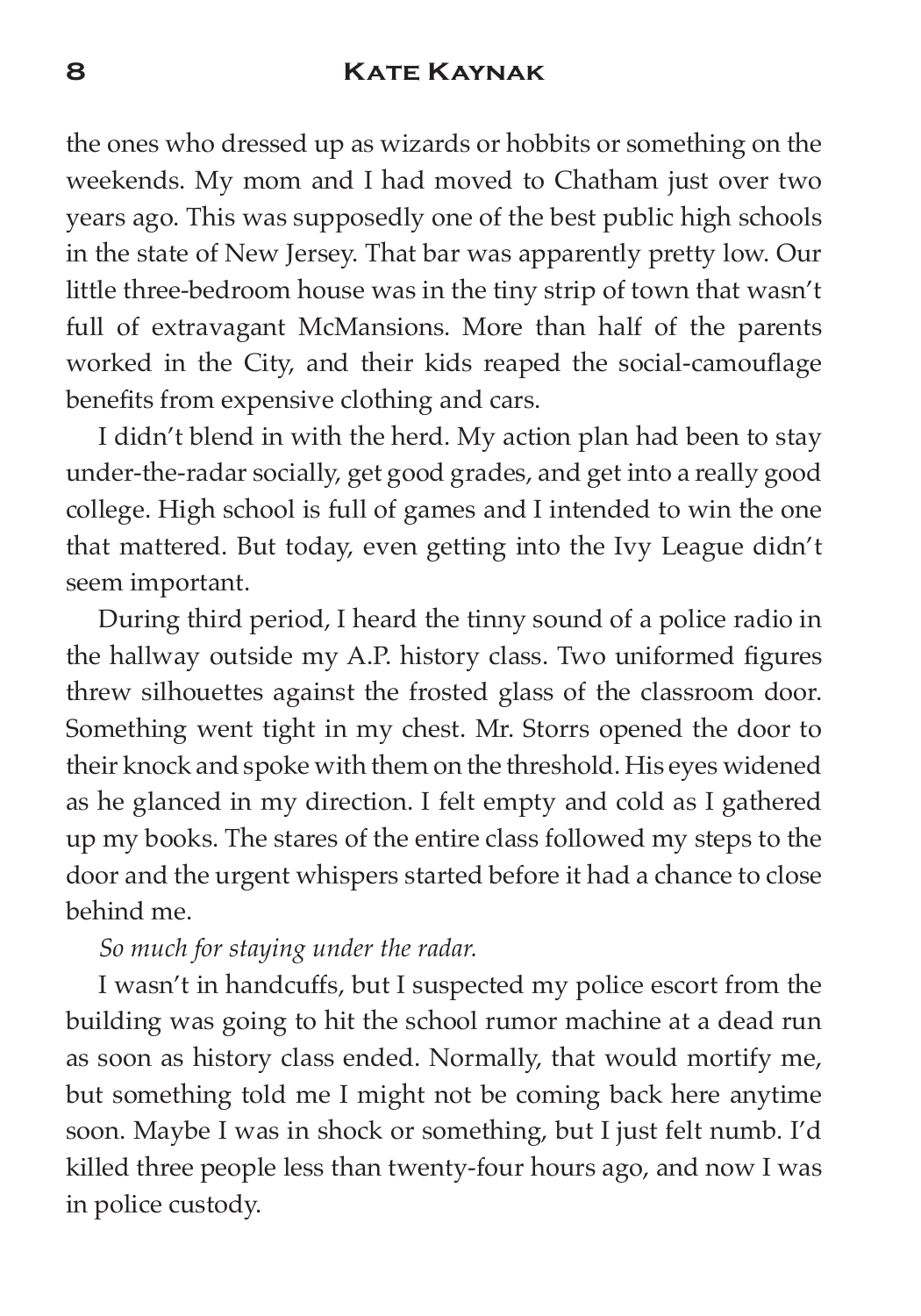the ones who dressed up as wizards or hobbits or something on the weekends. My mom and I had moved to Chatham just over two years ago. This was supposedly one of the best public high schools in the state of New Jersey. That bar was apparently pretty low. Our little three-bedroom house was in the tiny strip of town that wasn't full of extravagant McMansions. More than half of the parents worked in the City, and their kids reaped the social-camouflage benefits from expensive clothing and cars.

I didn't blend in with the herd. My action plan had been to stay under-the-radar socially, get good grades, and get into a really good college. High school is full of games and I intended to win the one that mattered. But today, even getting into the Ivy League didn't seem important.

During third period, I heard the tinny sound of a police radio in the hallway outside my A.P. history class. Two uniformed figures threw silhouettes against the frosted glass of the classroom door. Something went tight in my chest. Mr. Storrs opened the door to their knock and spoke with them on the threshold. His eyes widened as he glanced in my direction. I felt empty and cold as I gathered up my books. The stares of the entire class followed my steps to the door and the urgent whispers started before it had a chance to close behind me.

# *So much for staying under the radar.*

I wasn't in handcuffs, but I suspected my police escort from the building was going to hit the school rumor machine at a dead run as soon as history class ended. Normally, that would mortify me, but something told me I might not be coming back here anytime soon. Maybe I was in shock or something, but I just felt numb. I'd killed three people less than twenty-four hours ago, and now I was in police custody.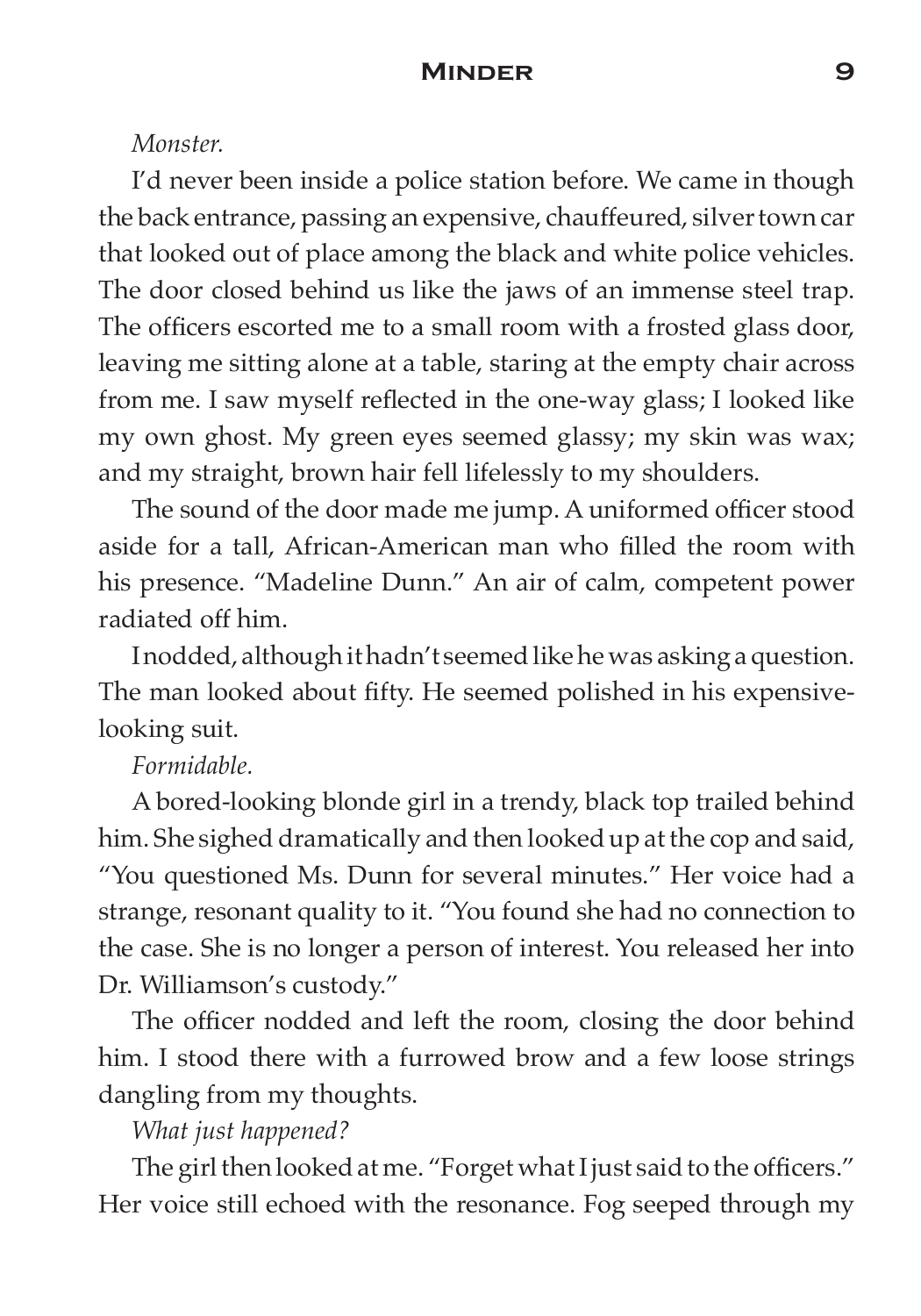## *Monster.*

I'd never been inside a police station before. We came in though the back entrance, passing an expensive, chauffeured, silver town car that looked out of place among the black and white police vehicles. The door closed behind us like the jaws of an immense steel trap. The officers escorted me to a small room with a frosted glass door, leaving me sitting alone at a table, staring at the empty chair across from me. I saw myself reflected in the one-way glass; I looked like my own ghost. My green eyes seemed glassy; my skin was wax; and my straight, brown hair fell lifelessly to my shoulders.

The sound of the door made me jump. A uniformed officer stood aside for a tall, African-American man who filled the room with his presence. "Madeline Dunn." An air of calm, competent power radiated off him.

I nodded, although it hadn't seemed like he was asking a question. The man looked about fifty. He seemed polished in his expensivelooking suit.

# *Formidable.*

A bored-looking blonde girl in a trendy, black top trailed behind him. She sighed dramatically and then looked up at the cop and said, "You questioned Ms. Dunn for several minutes." Her voice had a strange, resonant quality to it. "You found she had no connection to the case. She is no longer a person of interest. You released her into Dr. Williamson's custody."

The officer nodded and left the room, closing the door behind him. I stood there with a furrowed brow and a few loose strings dangling from my thoughts.

# *What just happened?*

The girl then looked at me. "Forget what I just said to the officers." Her voice still echoed with the resonance. Fog seeped through my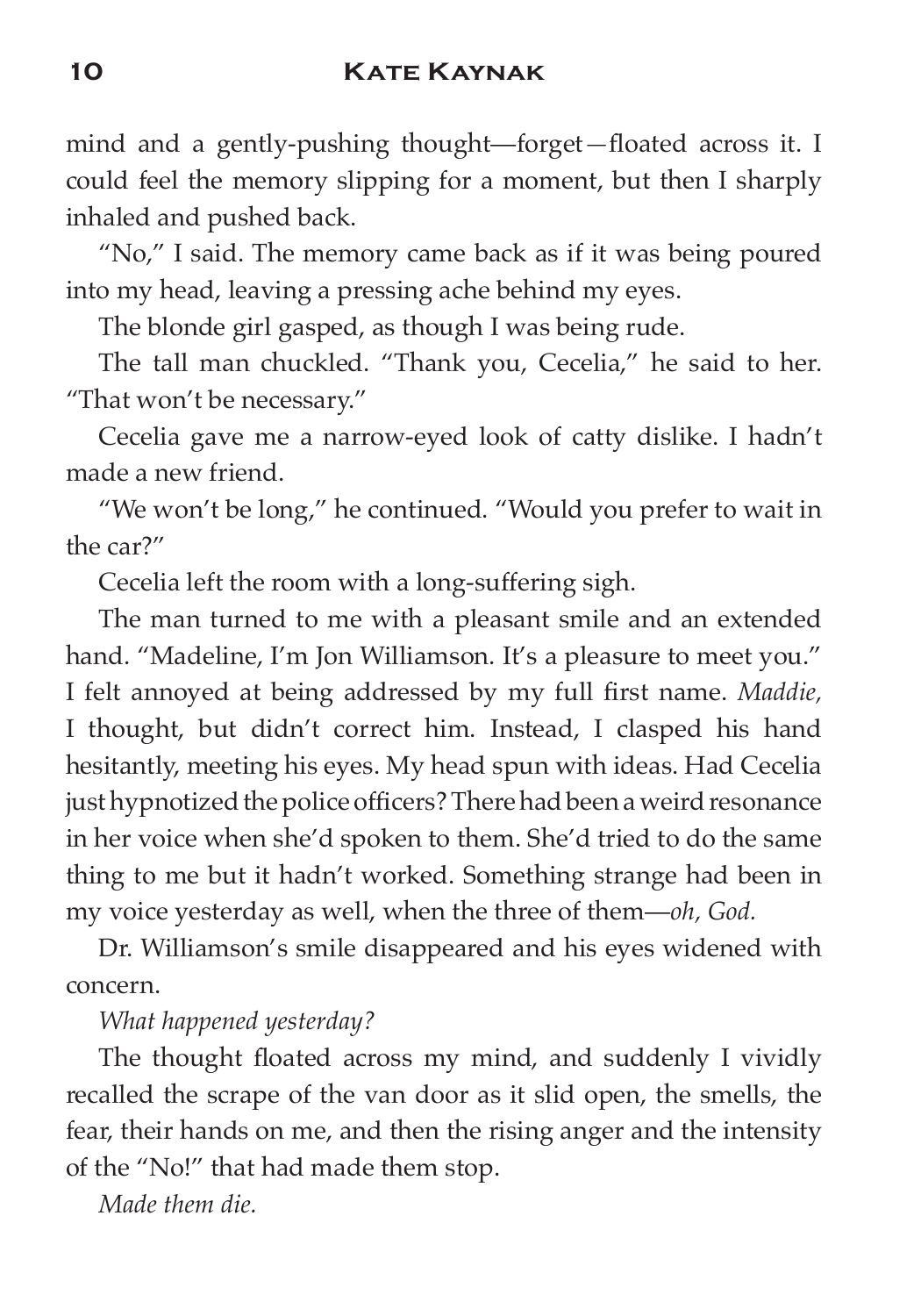mind and a gently-pushing thought—forget*—*floated across it. I could feel the memory slipping for a moment, but then I sharply inhaled and pushed back.

"No," I said. The memory came back as if it was being poured into my head, leaving a pressing ache behind my eyes.

The blonde girl gasped, as though I was being rude.

The tall man chuckled. "Thank you, Cecelia," he said to her. "That won't be necessary."

Cecelia gave me a narrow-eyed look of catty dislike. I hadn't made a new friend.

"We won't be long," he continued. "Would you prefer to wait in the car?"

Cecelia left the room with a long-suffering sigh.

The man turned to me with a pleasant smile and an extended hand. "Madeline, I'm Jon Williamson. It's a pleasure to meet you." I felt annoyed at being addressed by my full first name. *Maddie,*  I thought, but didn't correct him. Instead, I clasped his hand hesitantly, meeting his eyes. My head spun with ideas. Had Cecelia just hypnotized the police officers? There had been a weird resonance in her voice when she'd spoken to them. She'd tried to do the same thing to me but it hadn't worked. Something strange had been in my voice yesterday as well, when the three of them—*oh, God.*

Dr. Williamson's smile disappeared and his eyes widened with concern.

*What happened yesterday?*

The thought floated across my mind, and suddenly I vividly recalled the scrape of the van door as it slid open, the smells, the fear, their hands on me, and then the rising anger and the intensity of the "No!" that had made them stop.

*Made them die.*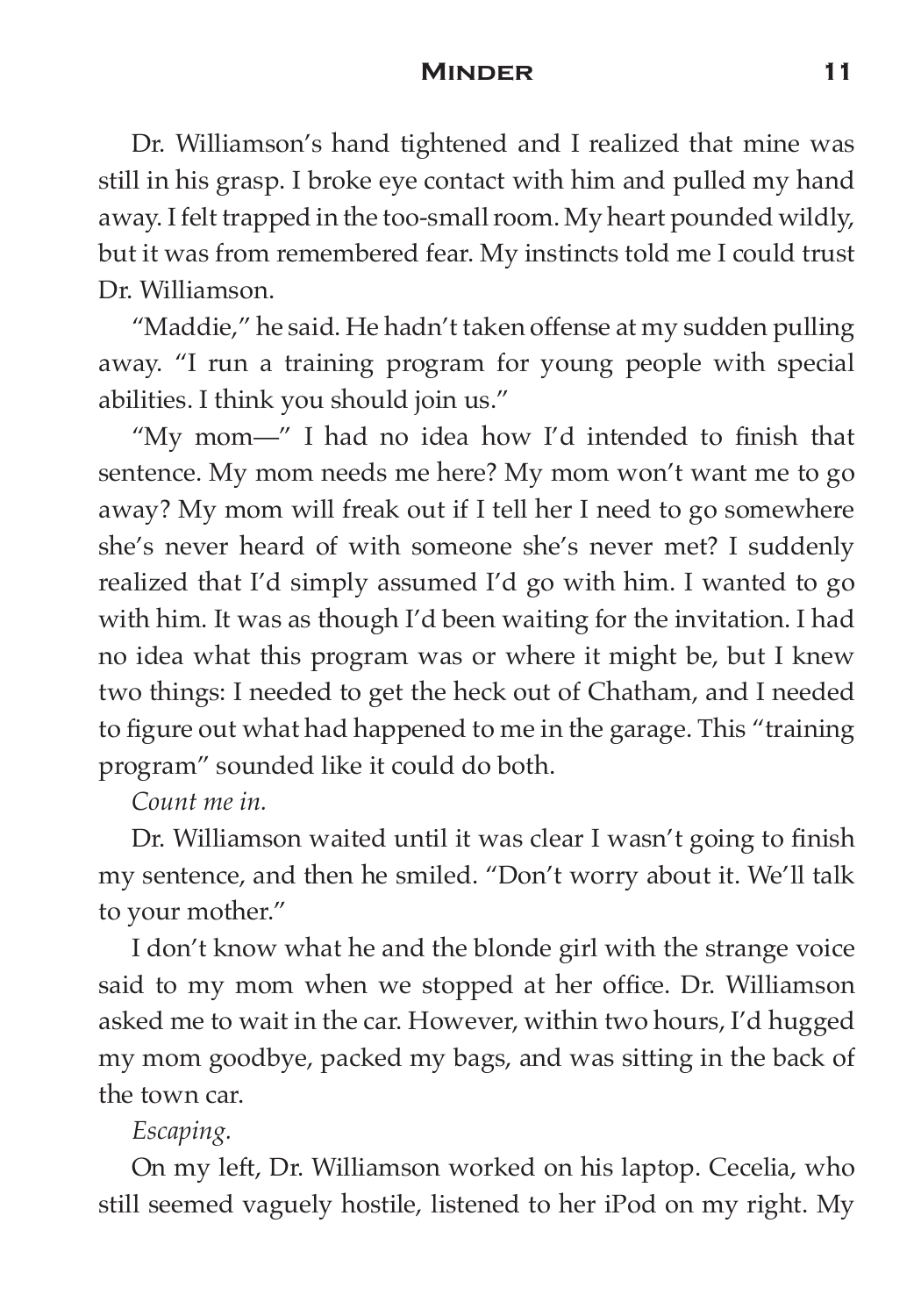Dr. Williamson's hand tightened and I realized that mine was still in his grasp. I broke eye contact with him and pulled my hand away. I felt trapped in the too-small room. My heart pounded wildly, but it was from remembered fear. My instincts told me I could trust Dr. Williamson.

"Maddie," he said. He hadn't taken offense at my sudden pulling away. "I run a training program for young people with special abilities. I think you should join us."

"My mom—" I had no idea how I'd intended to finish that sentence. My mom needs me here? My mom won't want me to go away? My mom will freak out if I tell her I need to go somewhere she's never heard of with someone she's never met? I suddenly realized that I'd simply assumed I'd go with him. I wanted to go with him. It was as though I'd been waiting for the invitation. I had no idea what this program was or where it might be, but I knew two things: I needed to get the heck out of Chatham, and I needed to figure out what had happened to me in the garage. This "training program" sounded like it could do both.

*Count me in.*

Dr. Williamson waited until it was clear I wasn't going to finish my sentence, and then he smiled. "Don't worry about it. We'll talk to your mother."

I don't know what he and the blonde girl with the strange voice said to my mom when we stopped at her office. Dr. Williamson asked me to wait in the car. However, within two hours, I'd hugged my mom goodbye, packed my bags, and was sitting in the back of the town car.

# *Escaping.*

On my left, Dr. Williamson worked on his laptop. Cecelia, who still seemed vaguely hostile, listened to her iPod on my right. My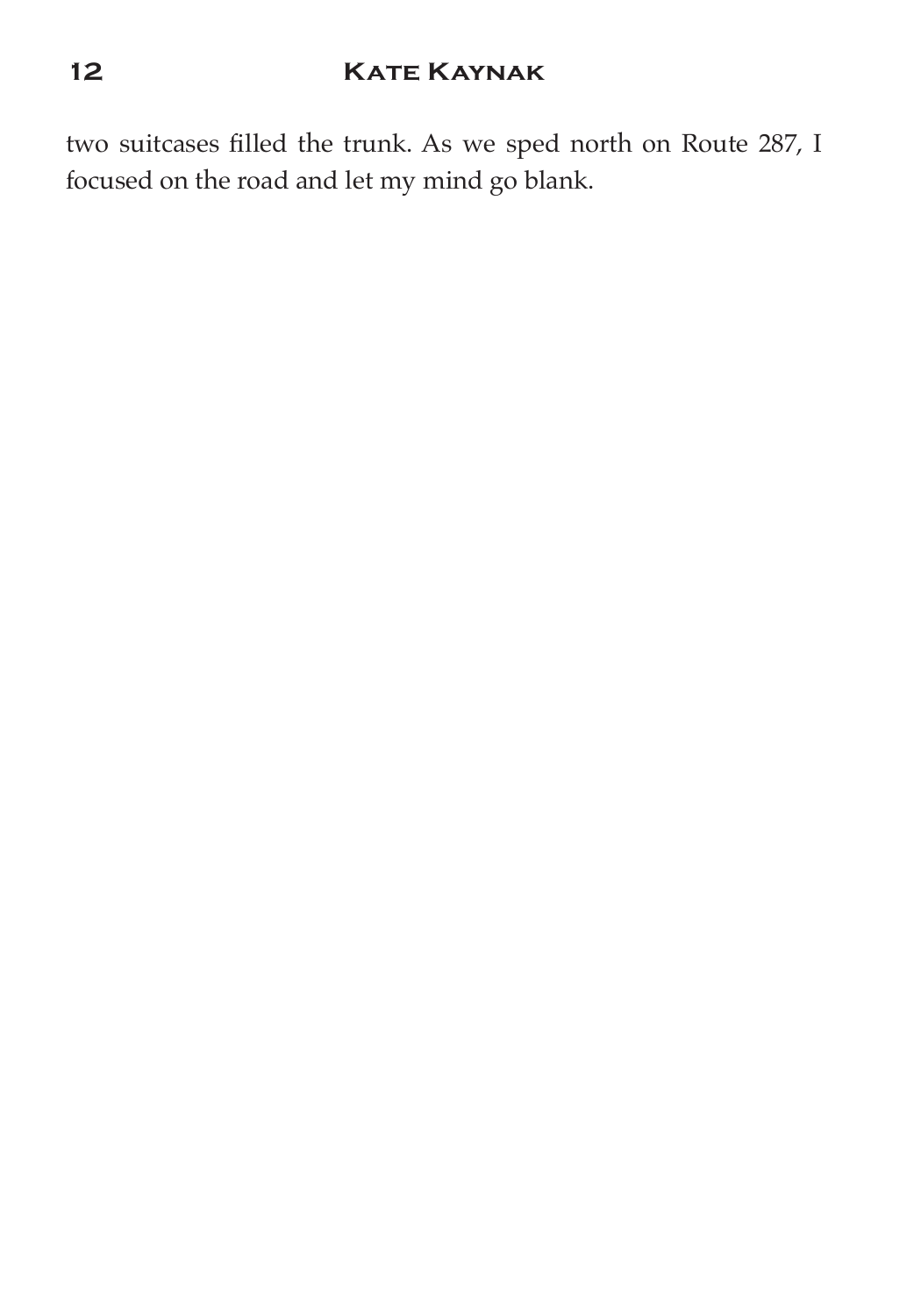two suitcases filled the trunk. As we sped north on Route 287, I focused on the road and let my mind go blank.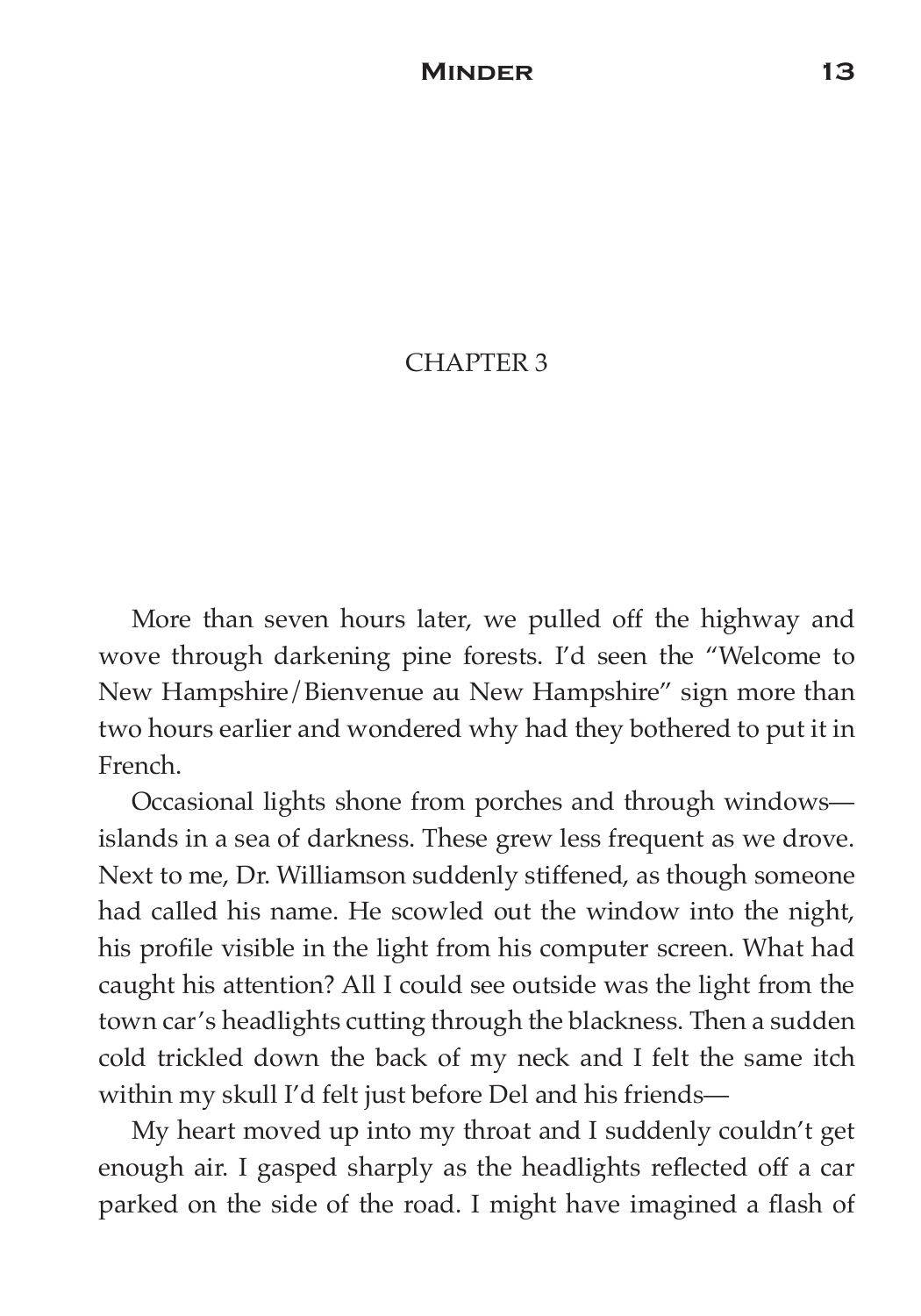# CHAPTER 3

More than seven hours later, we pulled off the highway and wove through darkening pine forests. I'd seen the "Welcome to New Hampshire/Bienvenue au New Hampshire" sign more than two hours earlier and wondered why had they bothered to put it in French.

Occasional lights shone from porches and through windows islands in a sea of darkness. These grew less frequent as we drove. Next to me, Dr. Williamson suddenly stiffened, as though someone had called his name. He scowled out the window into the night, his profile visible in the light from his computer screen. What had caught his attention? All I could see outside was the light from the town car's headlights cutting through the blackness. Then a sudden cold trickled down the back of my neck and I felt the same itch within my skull I'd felt just before Del and his friends—

My heart moved up into my throat and I suddenly couldn't get enough air. I gasped sharply as the headlights reflected off a car parked on the side of the road. I might have imagined a flash of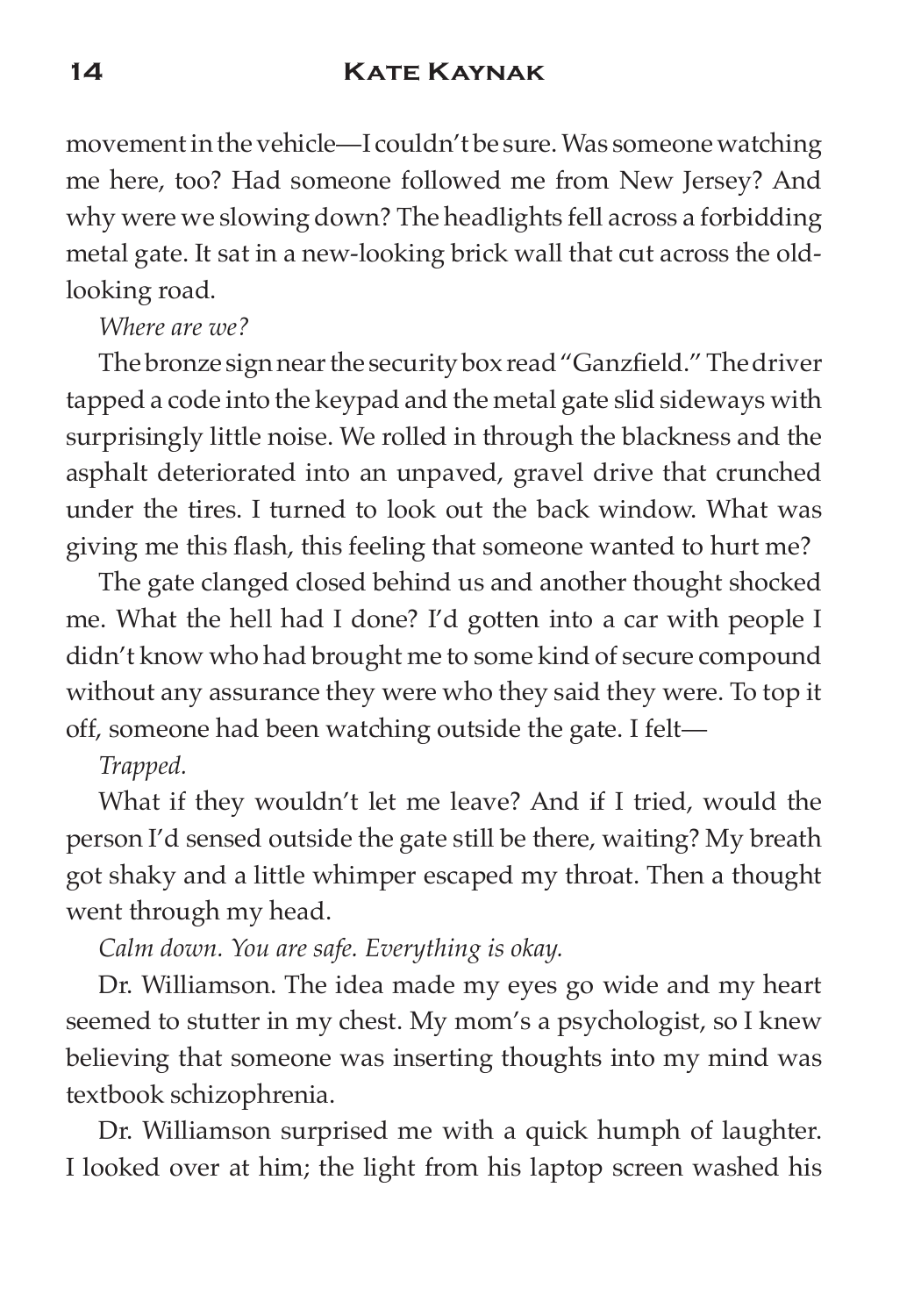movement in the vehicle—I couldn't be sure. Was someone watching me here, too? Had someone followed me from New Jersey? And why were we slowing down? The headlights fell across a forbidding metal gate. It sat in a new-looking brick wall that cut across the oldlooking road.

# *Where are we?*

The bronze sign near the security box read "Ganzfield." The driver tapped a code into the keypad and the metal gate slid sideways with surprisingly little noise. We rolled in through the blackness and the asphalt deteriorated into an unpaved, gravel drive that crunched under the tires. I turned to look out the back window. What was giving me this flash, this feeling that someone wanted to hurt me?

The gate clanged closed behind us and another thought shocked me. What the hell had I done? I'd gotten into a car with people I didn't know who had brought me to some kind of secure compound without any assurance they were who they said they were. To top it off, someone had been watching outside the gate. I felt—

# *Trapped.*

What if they wouldn't let me leave? And if I tried, would the person I'd sensed outside the gate still be there, waiting? My breath got shaky and a little whimper escaped my throat. Then a thought went through my head.

# *Calm down. You are safe. Everything is okay.*

Dr. Williamson. The idea made my eyes go wide and my heart seemed to stutter in my chest. My mom's a psychologist, so I knew believing that someone was inserting thoughts into my mind was textbook schizophrenia.

Dr. Williamson surprised me with a quick humph of laughter. I looked over at him; the light from his laptop screen washed his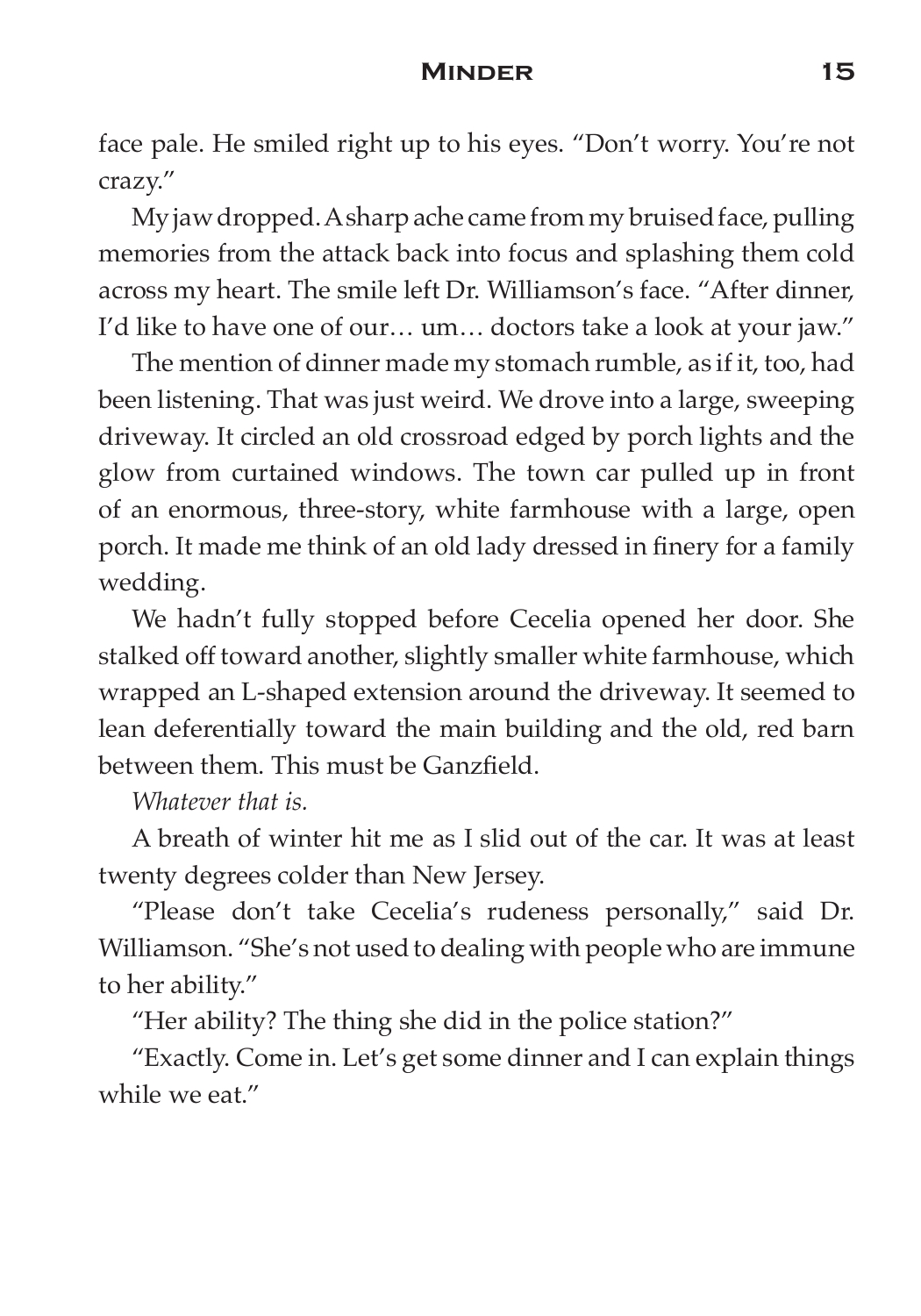face pale. He smiled right up to his eyes. "Don't worry. You're not crazy."

My jaw dropped. A sharp ache came from my bruised face, pulling memories from the attack back into focus and splashing them cold across my heart. The smile left Dr. Williamson's face. "After dinner, I'd like to have one of our… um… doctors take a look at your jaw."

The mention of dinner made my stomach rumble, as if it, too, had been listening. That was just weird. We drove into a large, sweeping driveway. It circled an old crossroad edged by porch lights and the glow from curtained windows. The town car pulled up in front of an enormous, three-story, white farmhouse with a large, open porch. It made me think of an old lady dressed in finery for a family wedding.

We hadn't fully stopped before Cecelia opened her door. She stalked off toward another, slightly smaller white farmhouse, which wrapped an L-shaped extension around the driveway. It seemed to lean deferentially toward the main building and the old, red barn between them. This must be Ganzfield.

*Whatever that is.* 

A breath of winter hit me as I slid out of the car. It was at least twenty degrees colder than New Jersey.

"Please don't take Cecelia's rudeness personally," said Dr. Williamson. "She's not used to dealing with people who are immune to her ability."

"Her ability? The thing she did in the police station?"

"Exactly. Come in. Let's get some dinner and I can explain things while we eat."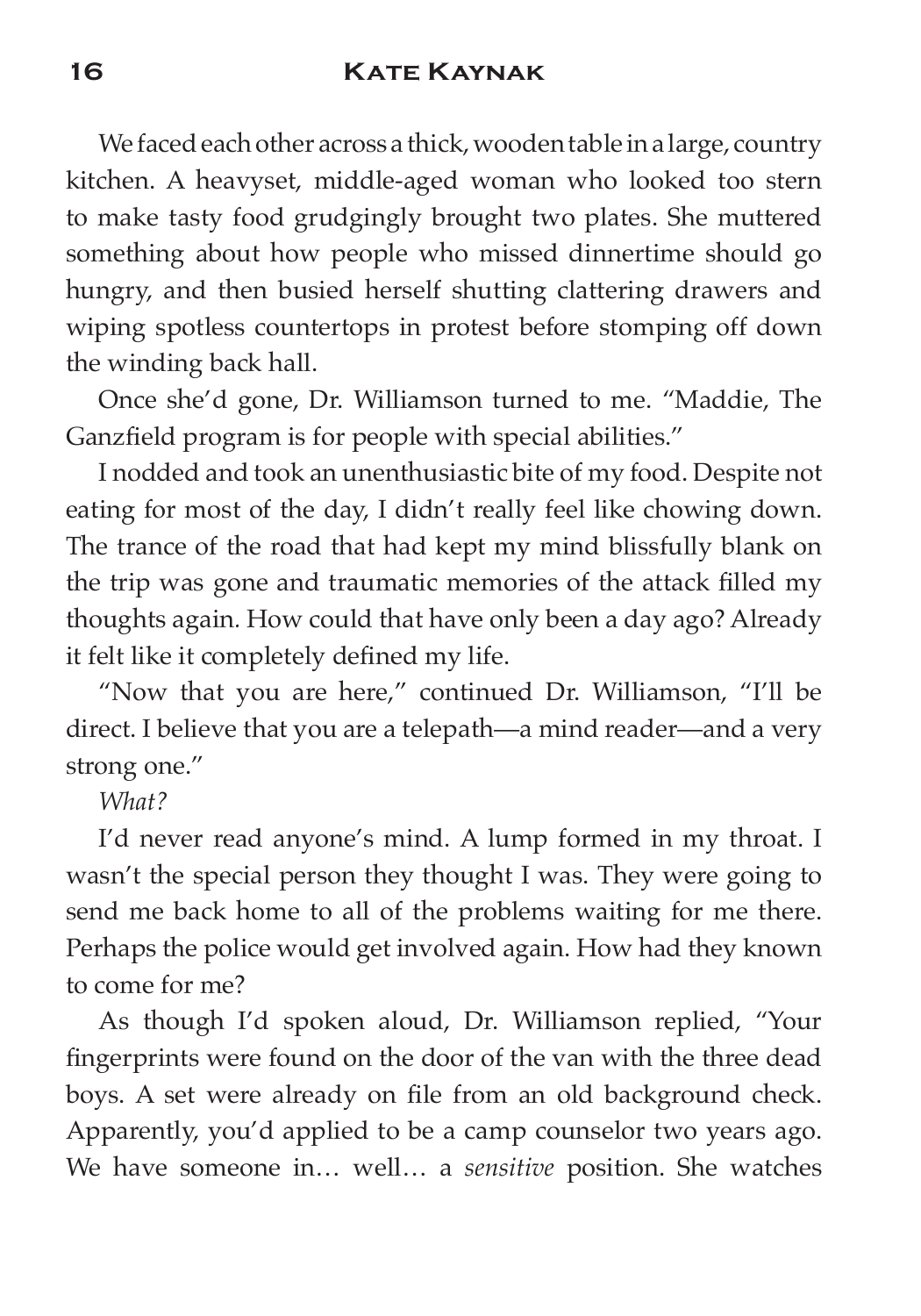#### **16 Kate Kaynak**

We faced each other across a thick, wooden table in a large, country kitchen. A heavyset, middle-aged woman who looked too stern to make tasty food grudgingly brought two plates. She muttered something about how people who missed dinnertime should go hungry, and then busied herself shutting clattering drawers and wiping spotless countertops in protest before stomping off down the winding back hall.

Once she'd gone, Dr. Williamson turned to me. "Maddie, The Ganzfield program is for people with special abilities."

I nodded and took an unenthusiastic bite of my food. Despite not eating for most of the day, I didn't really feel like chowing down. The trance of the road that had kept my mind blissfully blank on the trip was gone and traumatic memories of the attack filled my thoughts again*.* How could that have only been a day ago? Already it felt like it completely defined my life.

"Now that you are here," continued Dr. Williamson, "I'll be direct. I believe that you are a telepath—a mind reader—and a very strong one."

*What?* 

I'd never read anyone's mind. A lump formed in my throat. I wasn't the special person they thought I was. They were going to send me back home to all of the problems waiting for me there. Perhaps the police would get involved again. How had they known to come for me?

As though I'd spoken aloud, Dr. Williamson replied, "Your fingerprints were found on the door of the van with the three dead boys. A set were already on file from an old background check. Apparently, you'd applied to be a camp counselor two years ago. We have someone in… well… a *sensitive* position. She watches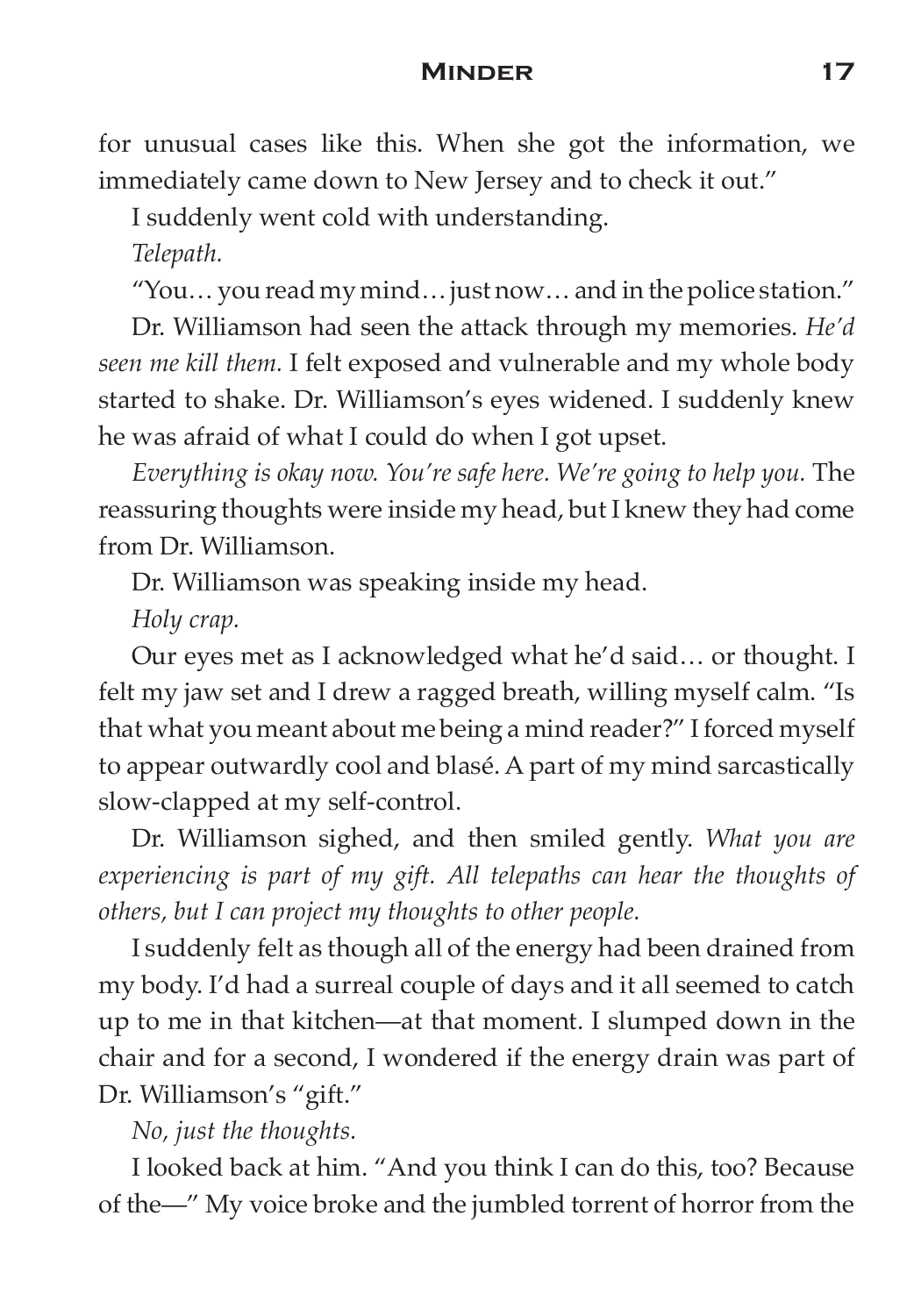for unusual cases like this. When she got the information, we immediately came down to New Jersey and to check it out."

I suddenly went cold with understanding.

*Telepath.*

"You… you read my mind… just now… and in the police station."

Dr. Williamson had seen the attack through my memories. *He'd seen me kill them.* I felt exposed and vulnerable and my whole body started to shake. Dr. Williamson's eyes widened. I suddenly knew he was afraid of what I could do when I got upset.

*Everything is okay now. You're safe here. We're going to help you.* The reassuring thoughts were inside my head, but I knew they had come from Dr. Williamson.

Dr. Williamson was speaking inside my head.

*Holy crap.*

Our eyes met as I acknowledged what he'd said… or thought. I felt my jaw set and I drew a ragged breath, willing myself calm. "Is that what you meant about me being a mind reader?" I forced myself to appear outwardly cool and blasé. A part of my mind sarcastically slow-clapped at my self-control.

Dr. Williamson sighed, and then smiled gently. *What you are experiencing is part of my gift. All telepaths can hear the thoughts of others, but I can project my thoughts to other people.* 

I suddenly felt as though all of the energy had been drained from my body. I'd had a surreal couple of days and it all seemed to catch up to me in that kitchen—at that moment. I slumped down in the chair and for a second, I wondered if the energy drain was part of Dr. Williamson's "gift."

*No, just the thoughts.* 

I looked back at him. "And you think I can do this, too? Because of the—" My voice broke and the jumbled torrent of horror from the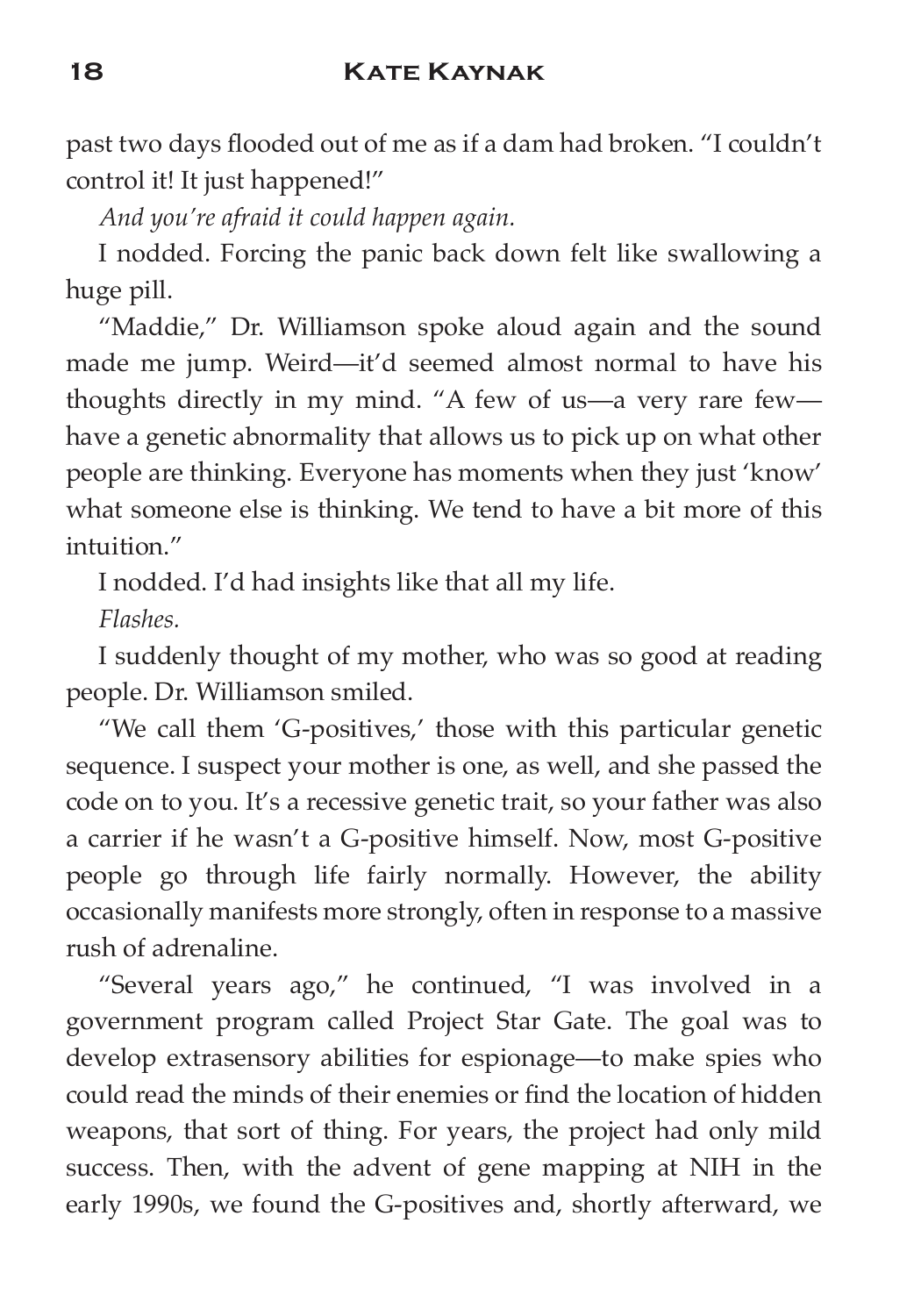past two days flooded out of me as if a dam had broken. "I couldn't control it! It just happened!"

*And you're afraid it could happen again.* 

I nodded. Forcing the panic back down felt like swallowing a huge pill.

"Maddie," Dr. Williamson spoke aloud again and the sound made me jump. Weird—it'd seemed almost normal to have his thoughts directly in my mind. "A few of us—a very rare few have a genetic abnormality that allows us to pick up on what other people are thinking. Everyone has moments when they just 'know' what someone else is thinking. We tend to have a bit more of this intuition."

I nodded. I'd had insights like that all my life.

*Flashes.* 

I suddenly thought of my mother, who was so good at reading people. Dr. Williamson smiled.

"We call them 'G-positives,' those with this particular genetic sequence. I suspect your mother is one, as well, and she passed the code on to you. It's a recessive genetic trait, so your father was also a carrier if he wasn't a G-positive himself. Now, most G-positive people go through life fairly normally. However, the ability occasionally manifests more strongly, often in response to a massive rush of adrenaline.

"Several years ago," he continued, "I was involved in a government program called Project Star Gate. The goal was to develop extrasensory abilities for espionage—to make spies who could read the minds of their enemies or find the location of hidden weapons, that sort of thing. For years, the project had only mild success. Then, with the advent of gene mapping at NIH in the early 1990s, we found the G-positives and, shortly afterward, we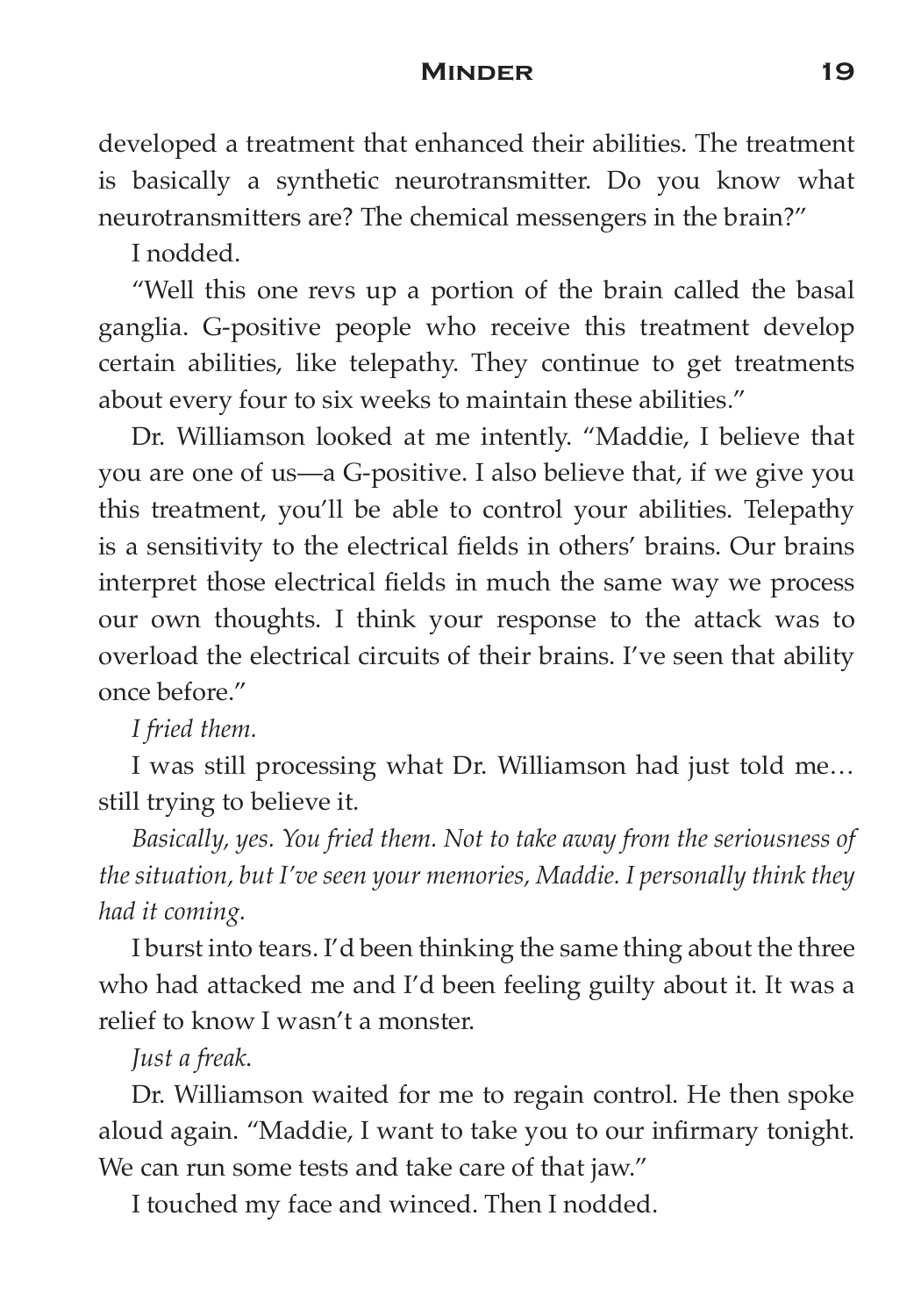developed a treatment that enhanced their abilities. The treatment is basically a synthetic neurotransmitter. Do you know what neurotransmitters are? The chemical messengers in the brain?"

I nodded.

"Well this one revs up a portion of the brain called the basal ganglia. G-positive people who receive this treatment develop certain abilities, like telepathy. They continue to get treatments about every four to six weeks to maintain these abilities."

Dr. Williamson looked at me intently. "Maddie, I believe that you are one of us—a G-positive. I also believe that, if we give you this treatment, you'll be able to control your abilities. Telepathy is a sensitivity to the electrical fields in others' brains. Our brains interpret those electrical fields in much the same way we process our own thoughts. I think your response to the attack was to overload the electrical circuits of their brains. I've seen that ability once before."

*I fried them.* 

I was still processing what Dr. Williamson had just told me… still trying to believe it.

*Basically, yes. You fried them. Not to take away from the seriousness of the situation, but I've seen your memories, Maddie. I personally think they had it coming.* 

I burst into tears. I'd been thinking the same thing about the three who had attacked me and I'd been feeling guilty about it. It was a relief to know I wasn't a monster.

*Just a freak*.

Dr. Williamson waited for me to regain control. He then spoke aloud again. "Maddie, I want to take you to our infirmary tonight. We can run some tests and take care of that jaw."

I touched my face and winced. Then I nodded.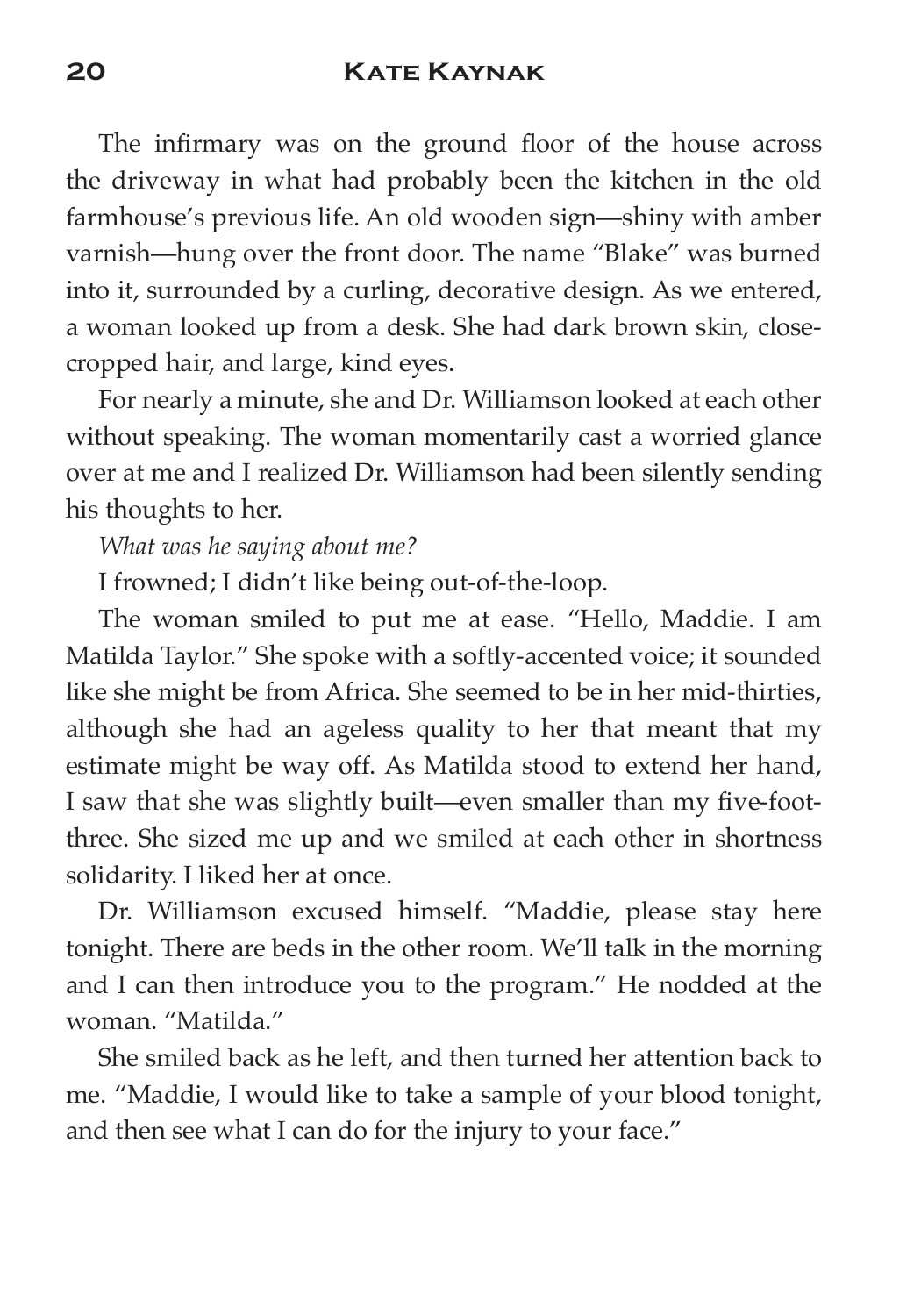The infirmary was on the ground floor of the house across the driveway in what had probably been the kitchen in the old farmhouse's previous life. An old wooden sign—shiny with amber varnish—hung over the front door. The name "Blake" was burned into it, surrounded by a curling, decorative design. As we entered, a woman looked up from a desk. She had dark brown skin, closecropped hair, and large, kind eyes.

For nearly a minute, she and Dr. Williamson looked at each other without speaking. The woman momentarily cast a worried glance over at me and I realized Dr. Williamson had been silently sending his thoughts to her.

*What was he saying about me?*

I frowned; I didn't like being out-of-the-loop.

The woman smiled to put me at ease. "Hello, Maddie. I am Matilda Taylor." She spoke with a softly-accented voice; it sounded like she might be from Africa. She seemed to be in her mid-thirties, although she had an ageless quality to her that meant that my estimate might be way off. As Matilda stood to extend her hand, I saw that she was slightly built—even smaller than my five-footthree. She sized me up and we smiled at each other in shortness solidarity. I liked her at once.

Dr. Williamson excused himself. "Maddie, please stay here tonight. There are beds in the other room. We'll talk in the morning and I can then introduce you to the program." He nodded at the woman. "Matilda."

She smiled back as he left, and then turned her attention back to me. "Maddie, I would like to take a sample of your blood tonight, and then see what I can do for the injury to your face."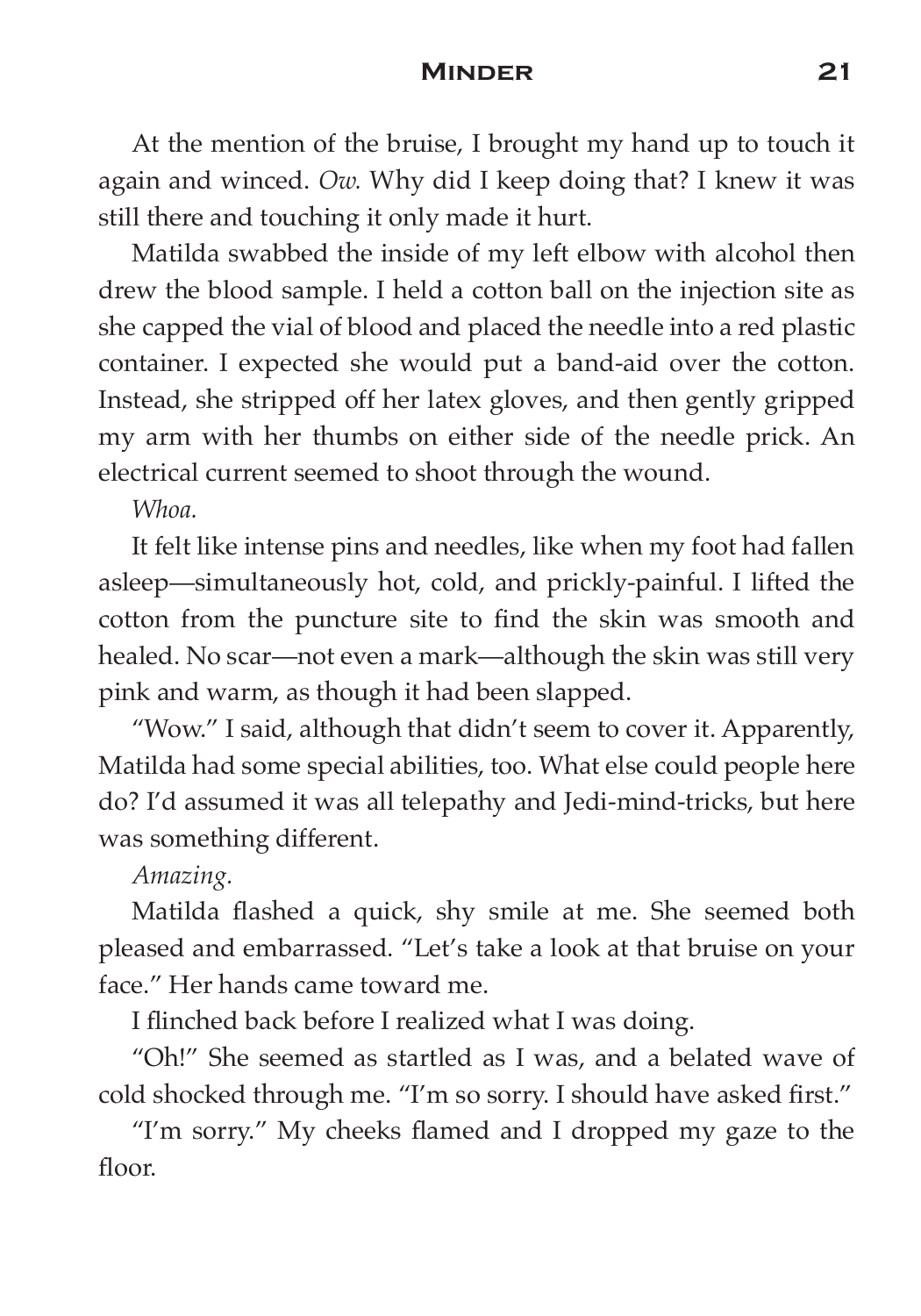At the mention of the bruise, I brought my hand up to touch it again and winced. *Ow.* Why did I keep doing that? I knew it was still there and touching it only made it hurt.

Matilda swabbed the inside of my left elbow with alcohol then drew the blood sample. I held a cotton ball on the injection site as she capped the vial of blood and placed the needle into a red plastic container. I expected she would put a band-aid over the cotton. Instead, she stripped off her latex gloves, and then gently gripped my arm with her thumbs on either side of the needle prick. An electrical current seemed to shoot through the wound.

*Whoa.*

It felt like intense pins and needles, like when my foot had fallen asleep—simultaneously hot, cold, and prickly-painful. I lifted the cotton from the puncture site to find the skin was smooth and healed. No scar—not even a mark—although the skin was still very pink and warm, as though it had been slapped.

"Wow." I said, although that didn't seem to cover it. Apparently, Matilda had some special abilities, too. What else could people here do? I'd assumed it was all telepathy and Jedi-mind-tricks, but here was something different.

*Amazing.*

Matilda flashed a quick, shy smile at me. She seemed both pleased and embarrassed. "Let's take a look at that bruise on your face." Her hands came toward me.

I flinched back before I realized what I was doing.

"Oh!" She seemed as startled as I was, and a belated wave of cold shocked through me. "I'm so sorry. I should have asked first."

"I'm sorry." My cheeks flamed and I dropped my gaze to the floor.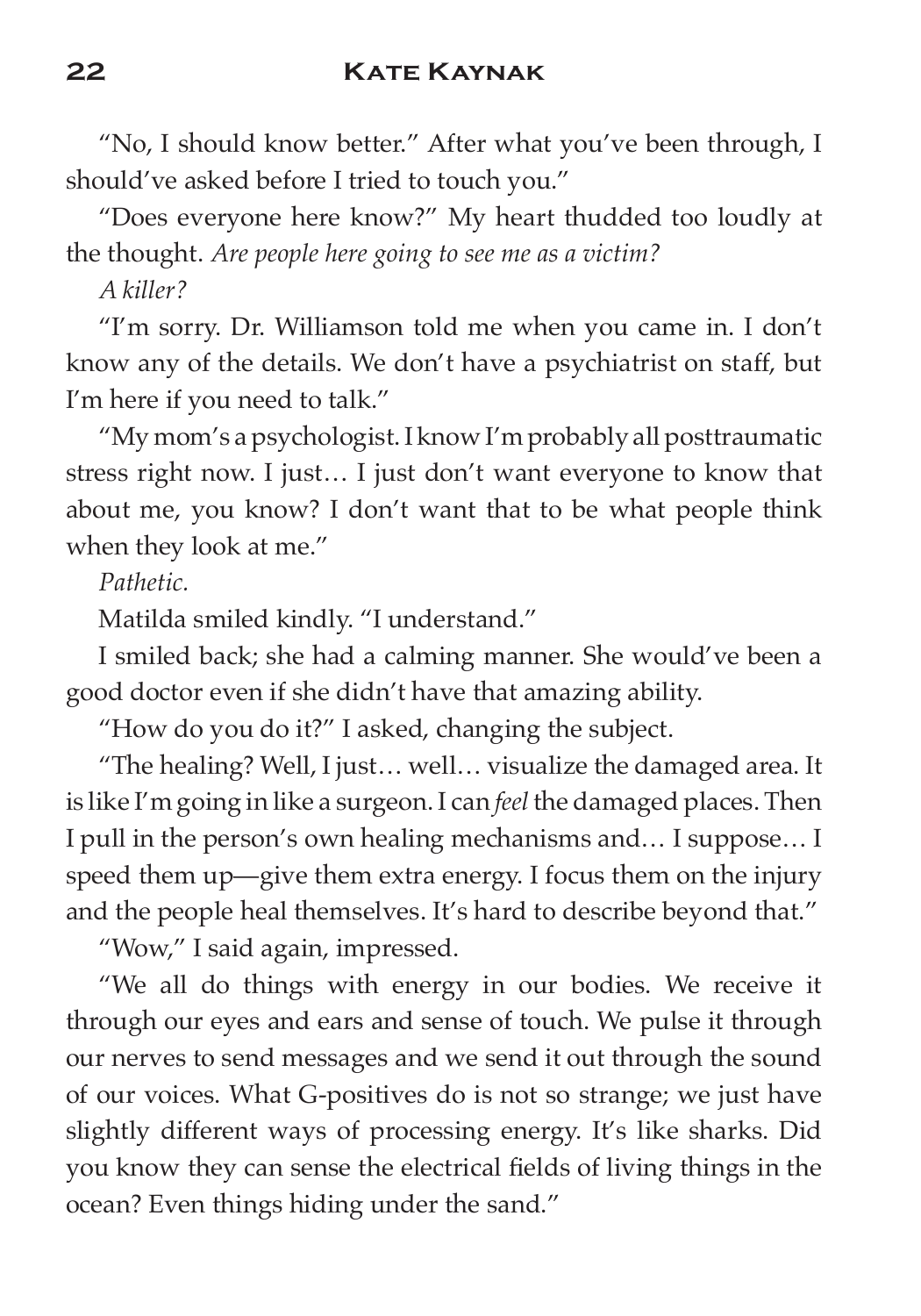"No, I should know better." After what you've been through, I should've asked before I tried to touch you."

"Does everyone here know?" My heart thudded too loudly at the thought. *Are people here going to see me as a victim?* 

# *A killer?*

"I'm sorry. Dr. Williamson told me when you came in. I don't know any of the details. We don't have a psychiatrist on staff, but I'm here if you need to talk."

"My mom's a psychologist. I know I'm probably all posttraumatic stress right now. I just… I just don't want everyone to know that about me, you know? I don't want that to be what people think when they look at me."

*Pathetic.* 

Matilda smiled kindly. "I understand."

I smiled back; she had a calming manner. She would've been a good doctor even if she didn't have that amazing ability.

"How do you do it?" I asked, changing the subject.

"The healing? Well, I just… well… visualize the damaged area. It is like I'm going in like a surgeon. I can *feel* the damaged places. Then I pull in the person's own healing mechanisms and… I suppose… I speed them up—give them extra energy. I focus them on the injury and the people heal themselves. It's hard to describe beyond that."

"Wow," I said again, impressed.

"We all do things with energy in our bodies. We receive it through our eyes and ears and sense of touch. We pulse it through our nerves to send messages and we send it out through the sound of our voices. What G-positives do is not so strange; we just have slightly different ways of processing energy. It's like sharks. Did you know they can sense the electrical fields of living things in the ocean? Even things hiding under the sand."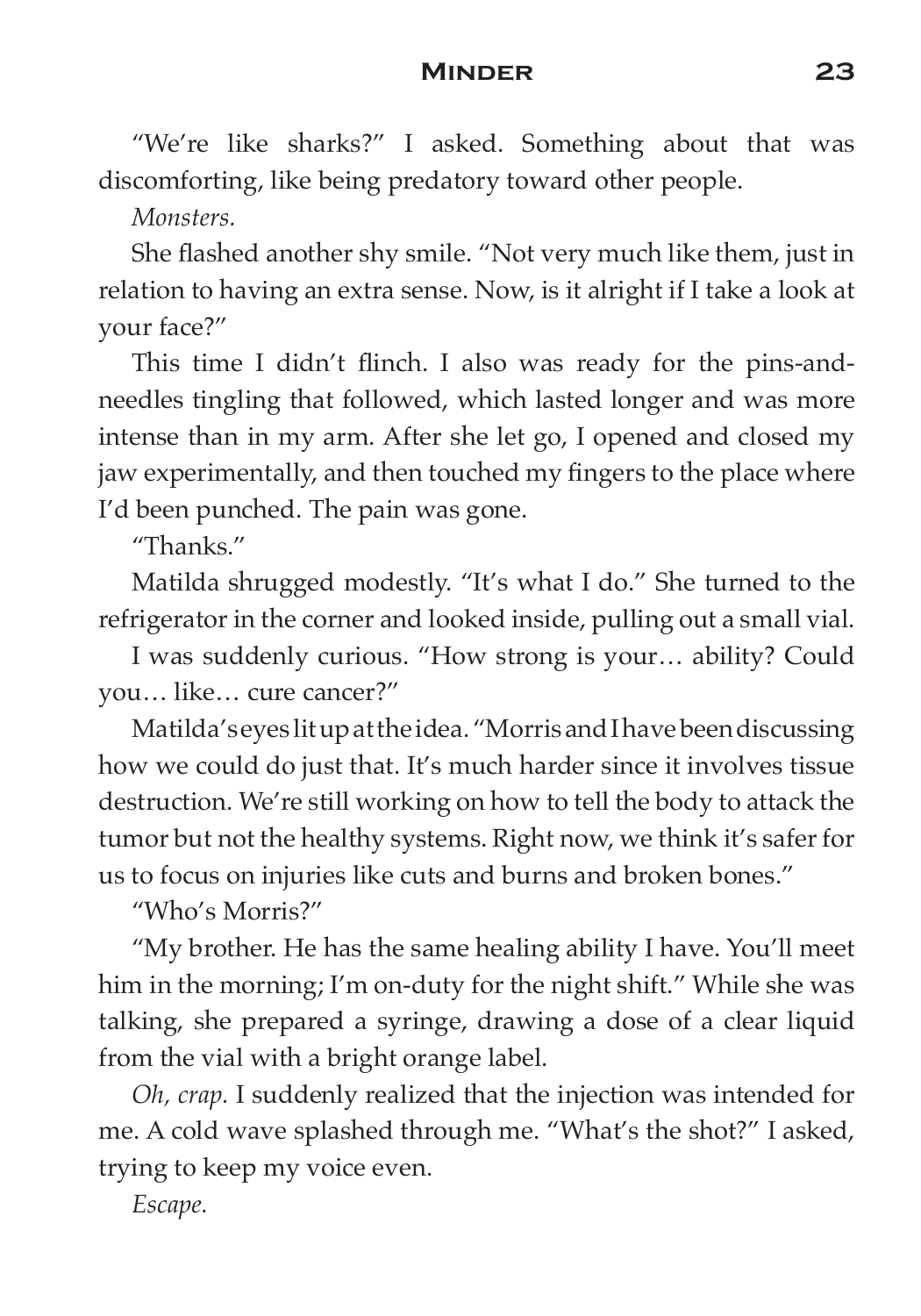"We're like sharks?" I asked. Something about that was discomforting, like being predatory toward other people.

*Monsters.*

She flashed another shy smile. "Not very much like them, just in relation to having an extra sense. Now, is it alright if I take a look at your face?"

This time I didn't flinch. I also was ready for the pins-andneedles tingling that followed, which lasted longer and was more intense than in my arm. After she let go, I opened and closed my jaw experimentally, and then touched my fingers to the place where I'd been punched. The pain was gone.

"Thanks."

Matilda shrugged modestly. "It's what I do." She turned to the refrigerator in the corner and looked inside, pulling out a small vial.

I was suddenly curious. "How strong is your… ability? Could you… like… cure cancer?"

Matilda's eyes lit up at the idea. "Morris and I have been discussing how we could do just that. It's much harder since it involves tissue destruction. We're still working on how to tell the body to attack the tumor but not the healthy systems. Right now, we think it's safer for us to focus on injuries like cuts and burns and broken bones."

"Who's Morris?"

"My brother. He has the same healing ability I have. You'll meet him in the morning; I'm on-duty for the night shift." While she was talking, she prepared a syringe, drawing a dose of a clear liquid from the vial with a bright orange label.

*Oh, crap.* I suddenly realized that the injection was intended for me. A cold wave splashed through me. "What's the shot?" I asked, trying to keep my voice even.

*Escape.*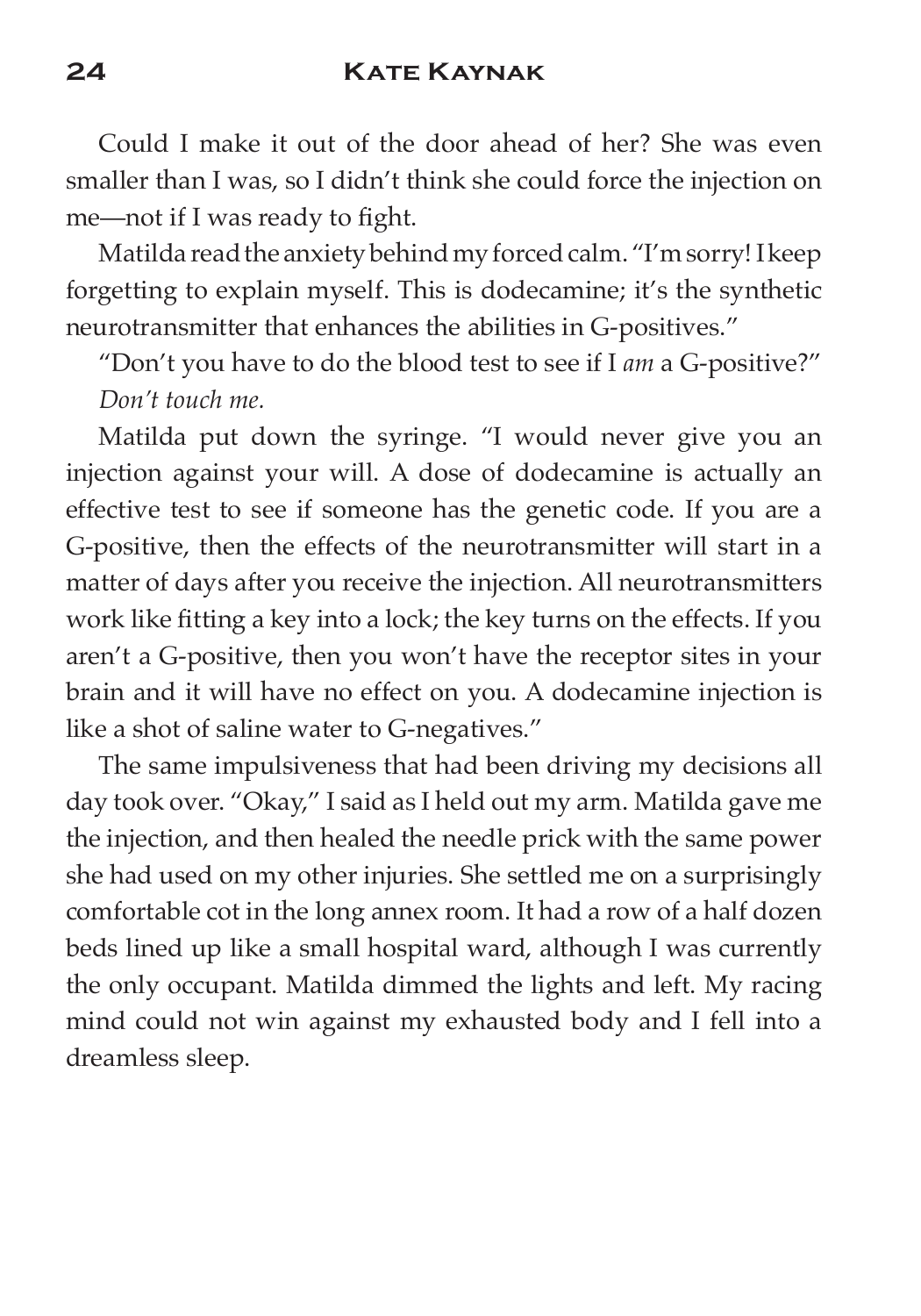Could I make it out of the door ahead of her? She was even smaller than I was, so I didn't think she could force the injection on me—not if I was ready to fight.

Matilda read the anxiety behind my forced calm. "I'm sorry! I keep forgetting to explain myself. This is dodecamine; it's the synthetic neurotransmitter that enhances the abilities in G-positives."

"Don't you have to do the blood test to see if I *am* a G-positive?" *Don't touch me.*

Matilda put down the syringe. "I would never give you an injection against your will. A dose of dodecamine is actually an effective test to see if someone has the genetic code. If you are a G-positive, then the effects of the neurotransmitter will start in a matter of days after you receive the injection. All neurotransmitters work like fitting a key into a lock; the key turns on the effects. If you aren't a G-positive, then you won't have the receptor sites in your brain and it will have no effect on you. A dodecamine injection is like a shot of saline water to G-negatives."

The same impulsiveness that had been driving my decisions all day took over. "Okay," I said as I held out my arm. Matilda gave me the injection, and then healed the needle prick with the same power she had used on my other injuries. She settled me on a surprisingly comfortable cot in the long annex room. It had a row of a half dozen beds lined up like a small hospital ward, although I was currently the only occupant. Matilda dimmed the lights and left. My racing mind could not win against my exhausted body and I fell into a dreamless sleep.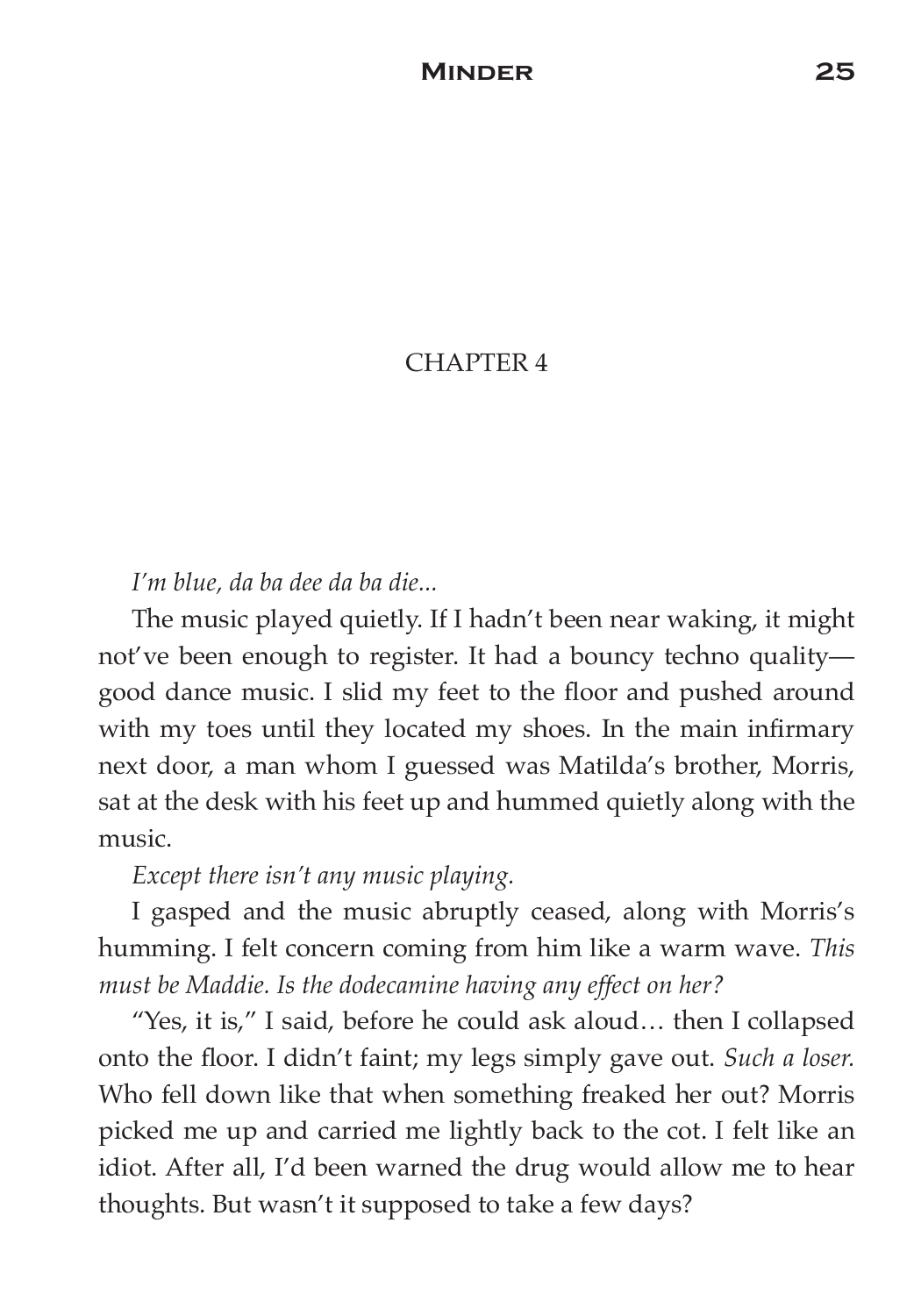# CHAPTER 4

# *I'm blue, da ba dee da ba die...*

The music played quietly. If I hadn't been near waking, it might not've been enough to register. It had a bouncy techno quality good dance music. I slid my feet to the floor and pushed around with my toes until they located my shoes. In the main infirmary next door, a man whom I guessed was Matilda's brother, Morris, sat at the desk with his feet up and hummed quietly along with the music.

# *Except there isn't any music playing.*

I gasped and the music abruptly ceased, along with Morris's humming. I felt concern coming from him like a warm wave. *This must be Maddie. Is the dodecamine having any effect on her?* 

"Yes, it is," I said, before he could ask aloud… then I collapsed onto the floor. I didn't faint; my legs simply gave out. *Such a loser.* Who fell down like that when something freaked her out? Morris picked me up and carried me lightly back to the cot. I felt like an idiot. After all, I'd been warned the drug would allow me to hear thoughts. But wasn't it supposed to take a few days?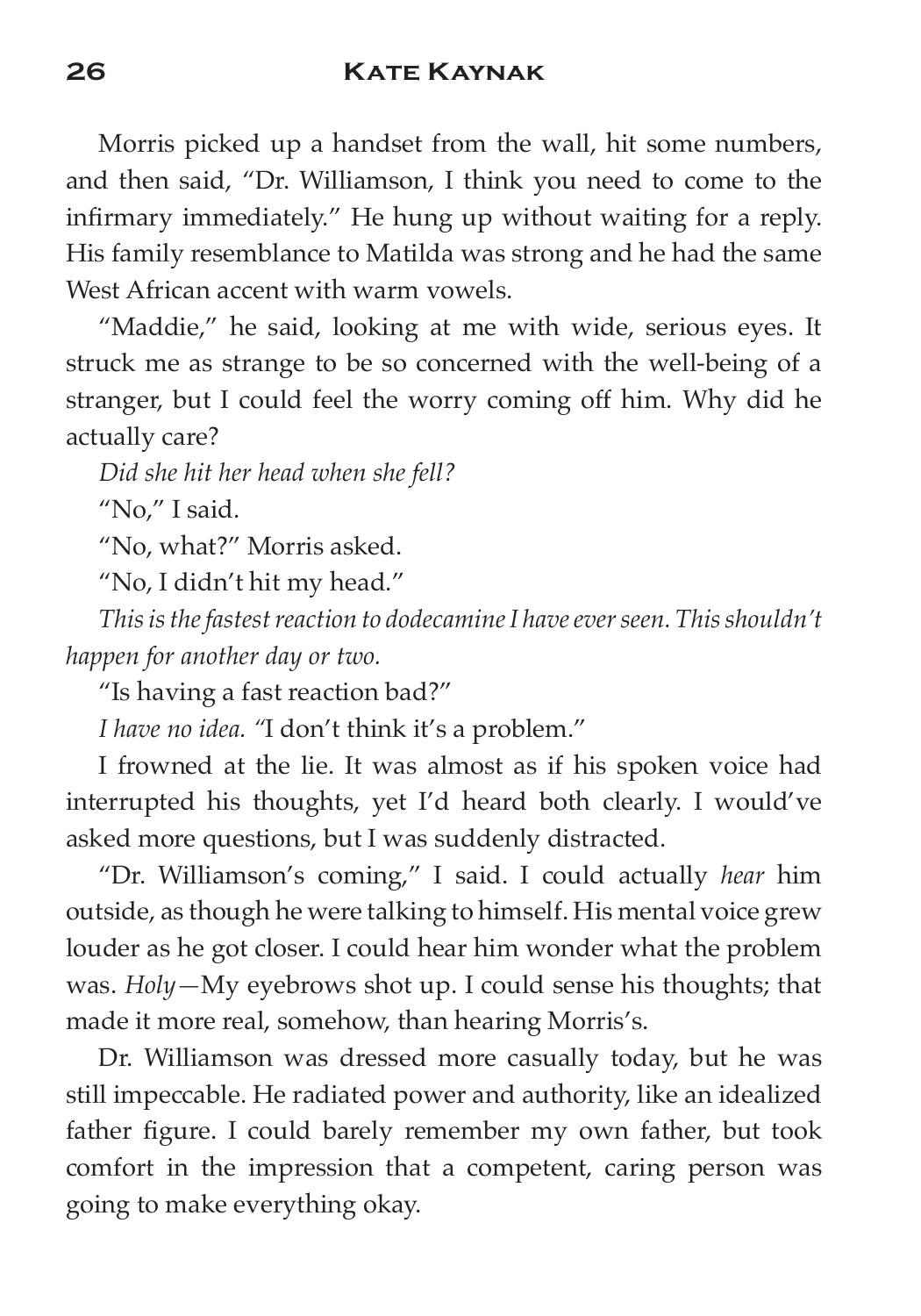Morris picked up a handset from the wall, hit some numbers, and then said, "Dr. Williamson, I think you need to come to the infirmary immediately." He hung up without waiting for a reply. His family resemblance to Matilda was strong and he had the same West African accent with warm vowels.

"Maddie," he said, looking at me with wide, serious eyes. It struck me as strange to be so concerned with the well-being of a stranger, but I could feel the worry coming off him. Why did he actually care?

*Did she hit her head when she fell?*

"No," I said.

"No, what?" Morris asked.

"No, I didn't hit my head."

*This is the fastest reaction to dodecamine I have ever seen. This shouldn't happen for another day or two.* 

"Is having a fast reaction bad?"

*I have no idea. "*I don't think it's a problem."

I frowned at the lie. It was almost as if his spoken voice had interrupted his thoughts, yet I'd heard both clearly. I would've asked more questions, but I was suddenly distracted.

"Dr. Williamson's coming," I said. I could actually *hear* him outside, as though he were talking to himself. His mental voice grew louder as he got closer. I could hear him wonder what the problem was. *Holy—*My eyebrows shot up. I could sense his thoughts; that made it more real, somehow, than hearing Morris's.

Dr. Williamson was dressed more casually today, but he was still impeccable. He radiated power and authority, like an idealized father figure. I could barely remember my own father, but took comfort in the impression that a competent, caring person was going to make everything okay.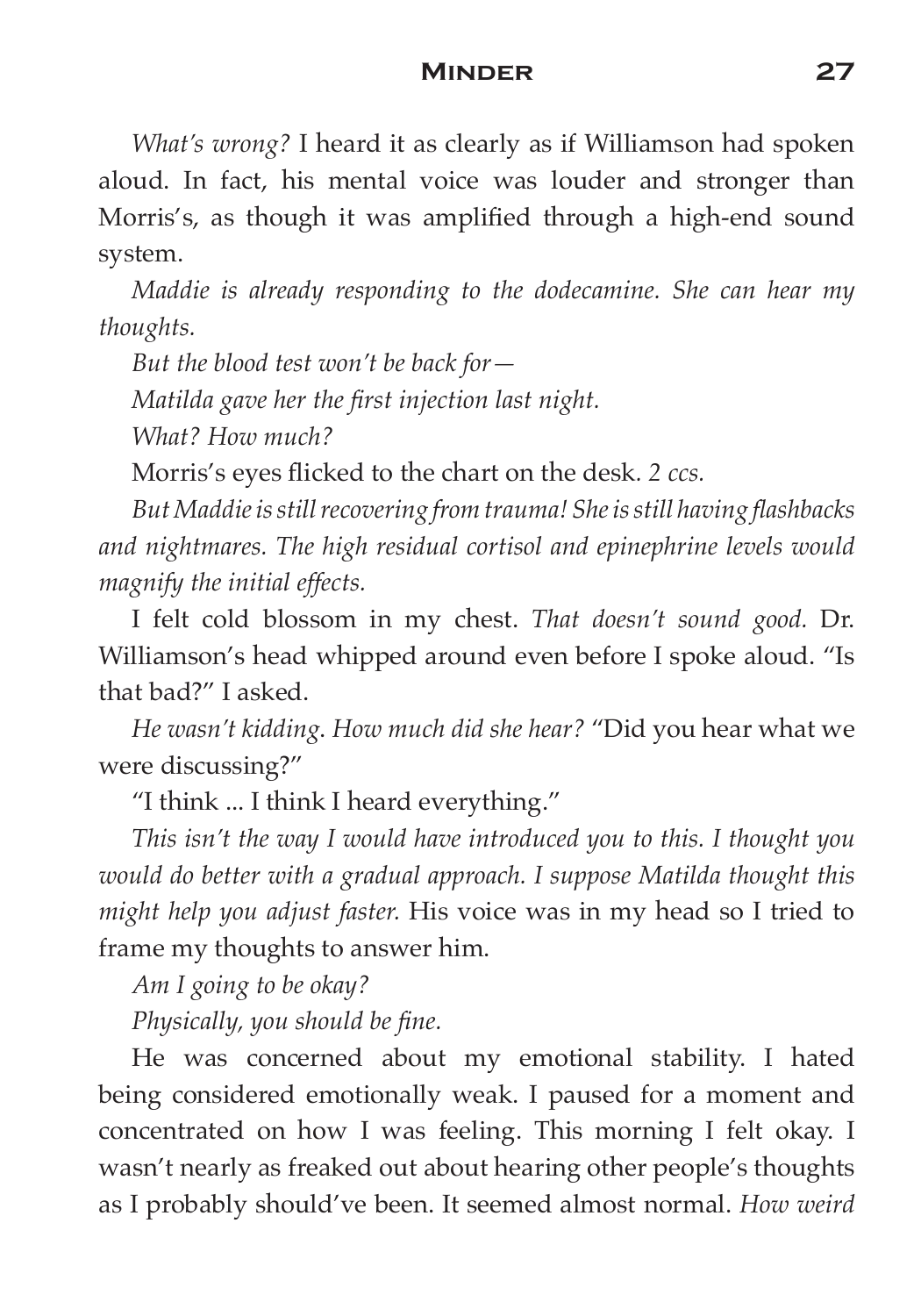*What's wrong?* I heard it as clearly as if Williamson had spoken aloud. In fact, his mental voice was louder and stronger than Morris's, as though it was amplified through a high-end sound system.

*Maddie is already responding to the dodecamine. She can hear my thoughts.* 

*But the blood test won't be back for— Matilda gave her the first injection last night. What? How much?* 

Morris's eyes flicked to the chart on the desk*. 2 ccs.* 

*But Maddie is still recovering from trauma! She is still having flashbacks and nightmares. The high residual cortisol and epinephrine levels would magnify the initial effects.* 

I felt cold blossom in my chest. *That doesn't sound good.* Dr. Williamson's head whipped around even before I spoke aloud. "Is that bad?" I asked.

*He wasn't kidding*. *How much did she hear?* "Did you hear what we were discussing?"

"I think ... I think I heard everything."

*This isn't the way I would have introduced you to this. I thought you would do better with a gradual approach. I suppose Matilda thought this might help you adjust faster.* His voice was in my head so I tried to frame my thoughts to answer him.

*Am I going to be okay?*

*Physically, you should be fine.* 

He was concerned about my emotional stability. I hated being considered emotionally weak. I paused for a moment and concentrated on how I was feeling. This morning I felt okay. I wasn't nearly as freaked out about hearing other people's thoughts as I probably should've been. It seemed almost normal. *How weird*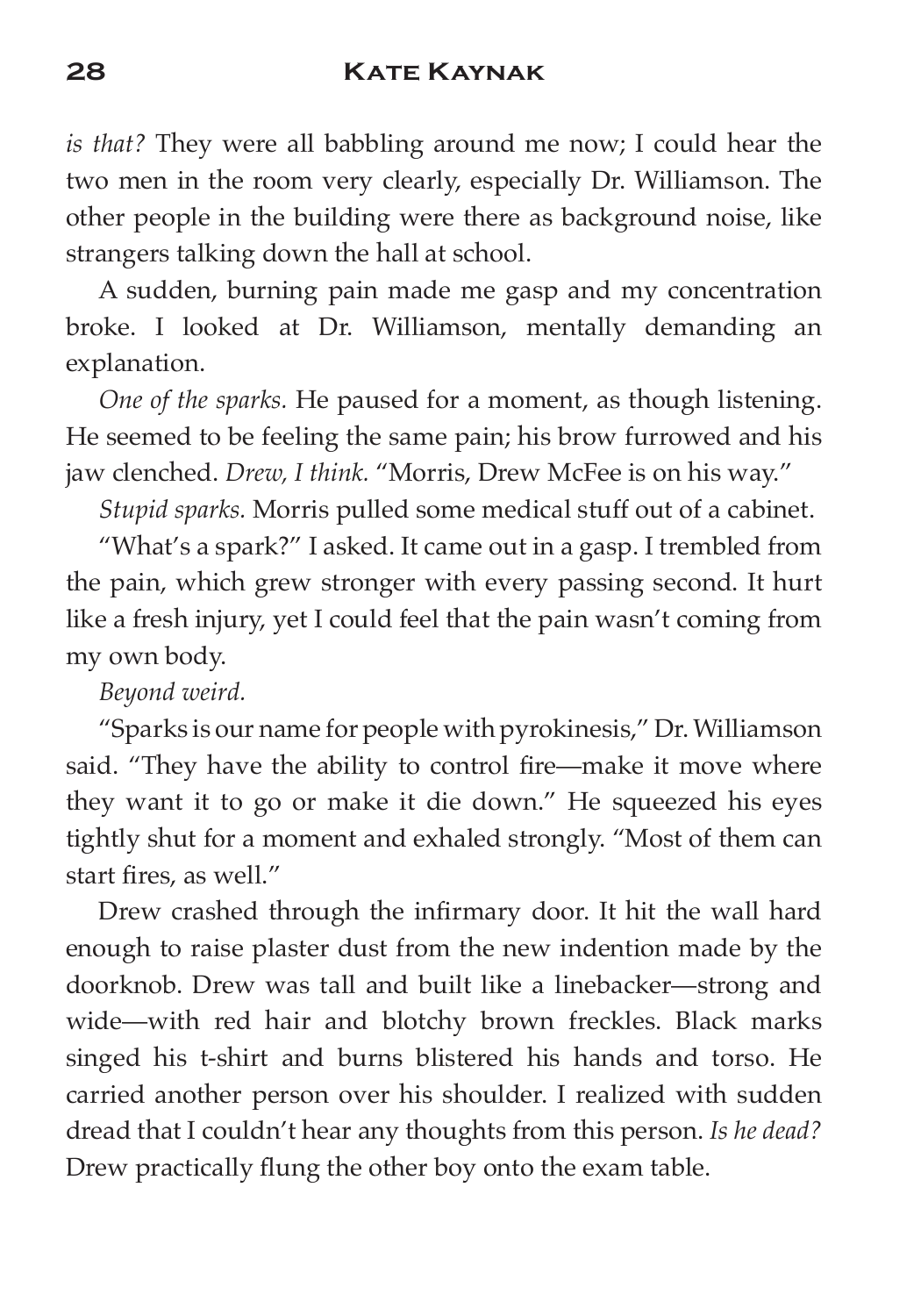*is that?* They were all babbling around me now; I could hear the two men in the room very clearly, especially Dr. Williamson. The other people in the building were there as background noise, like strangers talking down the hall at school.

A sudden, burning pain made me gasp and my concentration broke. I looked at Dr. Williamson, mentally demanding an explanation.

*One of the sparks.* He paused for a moment, as though listening. He seemed to be feeling the same pain; his brow furrowed and his jaw clenched. *Drew, I think.* "Morris, Drew McFee is on his way."

*Stupid sparks.* Morris pulled some medical stuff out of a cabinet.

"What's a spark?" I asked. It came out in a gasp. I trembled from the pain, which grew stronger with every passing second. It hurt like a fresh injury, yet I could feel that the pain wasn't coming from my own body.

*Beyond weird.*

"Sparks is our name for people with pyrokinesis," Dr. Williamson said. "They have the ability to control fire—make it move where they want it to go or make it die down." He squeezed his eyes tightly shut for a moment and exhaled strongly. "Most of them can start fires, as well."

Drew crashed through the infirmary door. It hit the wall hard enough to raise plaster dust from the new indention made by the doorknob. Drew was tall and built like a linebacker—strong and wide—with red hair and blotchy brown freckles. Black marks singed his t-shirt and burns blistered his hands and torso. He carried another person over his shoulder. I realized with sudden dread that I couldn't hear any thoughts from this person. *Is he dead?* Drew practically flung the other boy onto the exam table.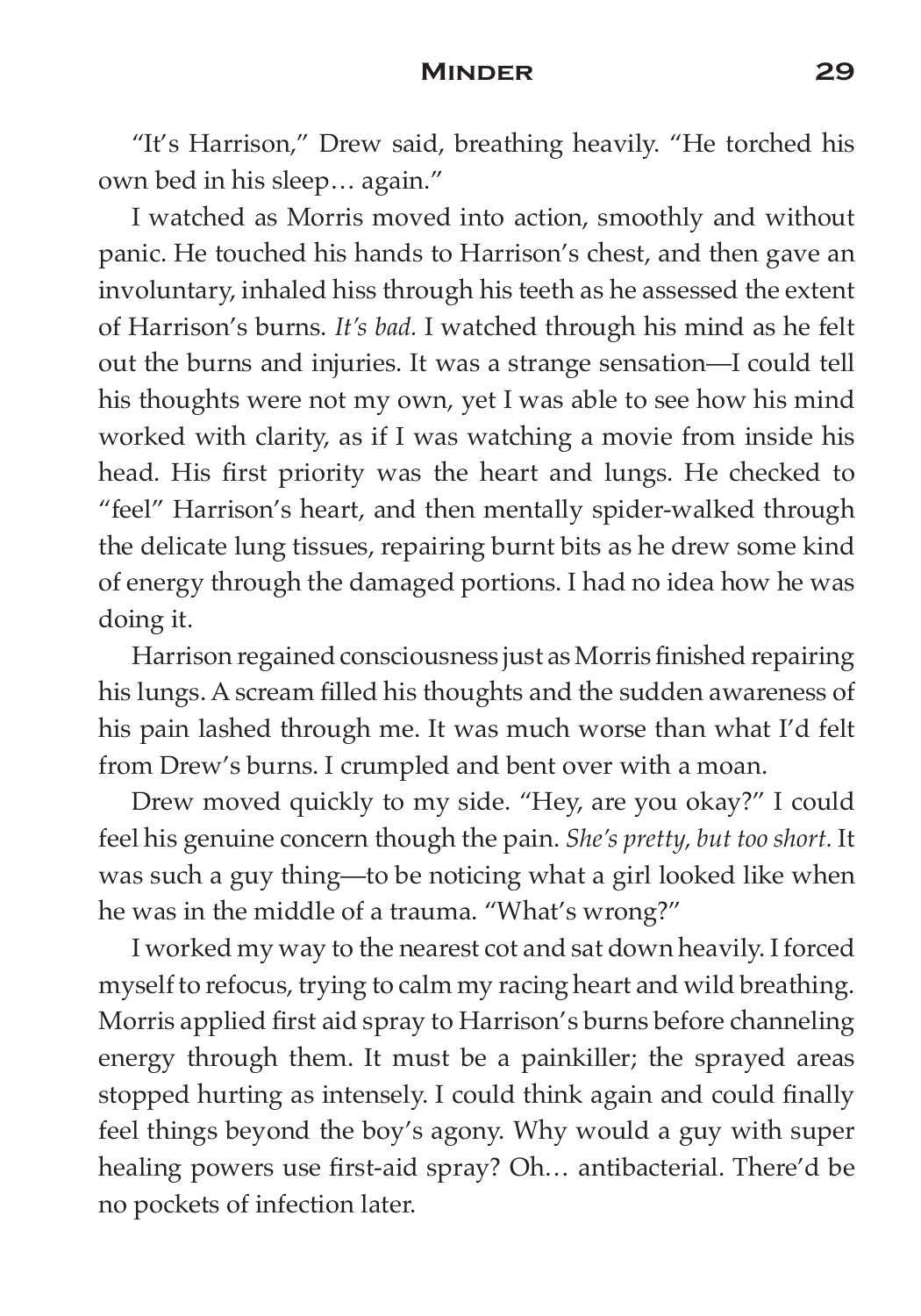"It's Harrison," Drew said, breathing heavily. "He torched his own bed in his sleep… again."

I watched as Morris moved into action, smoothly and without panic. He touched his hands to Harrison's chest, and then gave an involuntary, inhaled hiss through his teeth as he assessed the extent of Harrison's burns. *It's bad.* I watched through his mind as he felt out the burns and injuries. It was a strange sensation—I could tell his thoughts were not my own, yet I was able to see how his mind worked with clarity, as if I was watching a movie from inside his head. His first priority was the heart and lungs. He checked to "feel" Harrison's heart, and then mentally spider-walked through the delicate lung tissues, repairing burnt bits as he drew some kind of energy through the damaged portions. I had no idea how he was doing it.

Harrison regained consciousness just as Morris finished repairing his lungs. A scream filled his thoughts and the sudden awareness of his pain lashed through me. It was much worse than what I'd felt from Drew's burns. I crumpled and bent over with a moan.

Drew moved quickly to my side. "Hey, are you okay?" I could feel his genuine concern though the pain. *She's pretty, but too short.* It was such a guy thing—to be noticing what a girl looked like when he was in the middle of a trauma. "What's wrong?"

I worked my way to the nearest cot and sat down heavily. I forced myself to refocus, trying to calm my racing heart and wild breathing. Morris applied first aid spray to Harrison's burns before channeling energy through them. It must be a painkiller; the sprayed areas stopped hurting as intensely. I could think again and could finally feel things beyond the boy's agony. Why would a guy with super healing powers use first-aid spray? Oh… antibacterial. There'd be no pockets of infection later.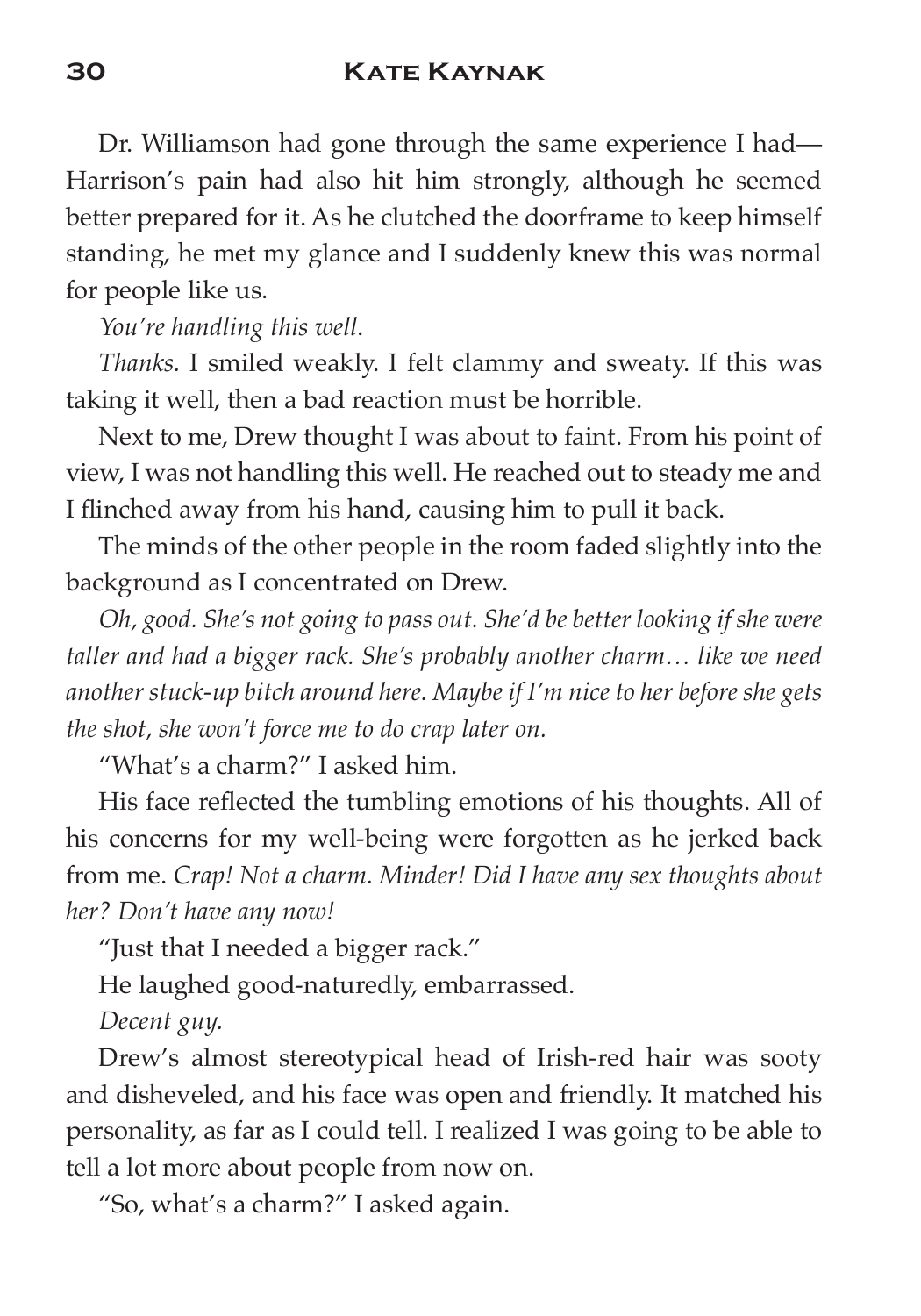Dr. Williamson had gone through the same experience I had— Harrison's pain had also hit him strongly, although he seemed better prepared for it. As he clutched the doorframe to keep himself standing, he met my glance and I suddenly knew this was normal for people like us.

*You're handling this well*.

*Thanks.* I smiled weakly. I felt clammy and sweaty. If this was taking it well, then a bad reaction must be horrible.

Next to me, Drew thought I was about to faint. From his point of view, I was not handling this well. He reached out to steady me and I flinched away from his hand, causing him to pull it back.

The minds of the other people in the room faded slightly into the background as I concentrated on Drew.

*Oh, good. She's not going to pass out. She'd be better looking if she were taller and had a bigger rack. She's probably another charm… like we need another stuck-up bitch around here. Maybe if I'm nice to her before she gets the shot, she won't force me to do crap later on.* 

"What's a charm?" I asked him.

His face reflected the tumbling emotions of his thoughts. All of his concerns for my well-being were forgotten as he jerked back from me. *Crap! Not a charm. Minder! Did I have any sex thoughts about her? Don't have any now!*

"Just that I needed a bigger rack."

He laughed good-naturedly, embarrassed.

*Decent guy.* 

Drew's almost stereotypical head of Irish-red hair was sooty and disheveled, and his face was open and friendly. It matched his personality, as far as I could tell. I realized I was going to be able to tell a lot more about people from now on.

"So, what's a charm?" I asked again.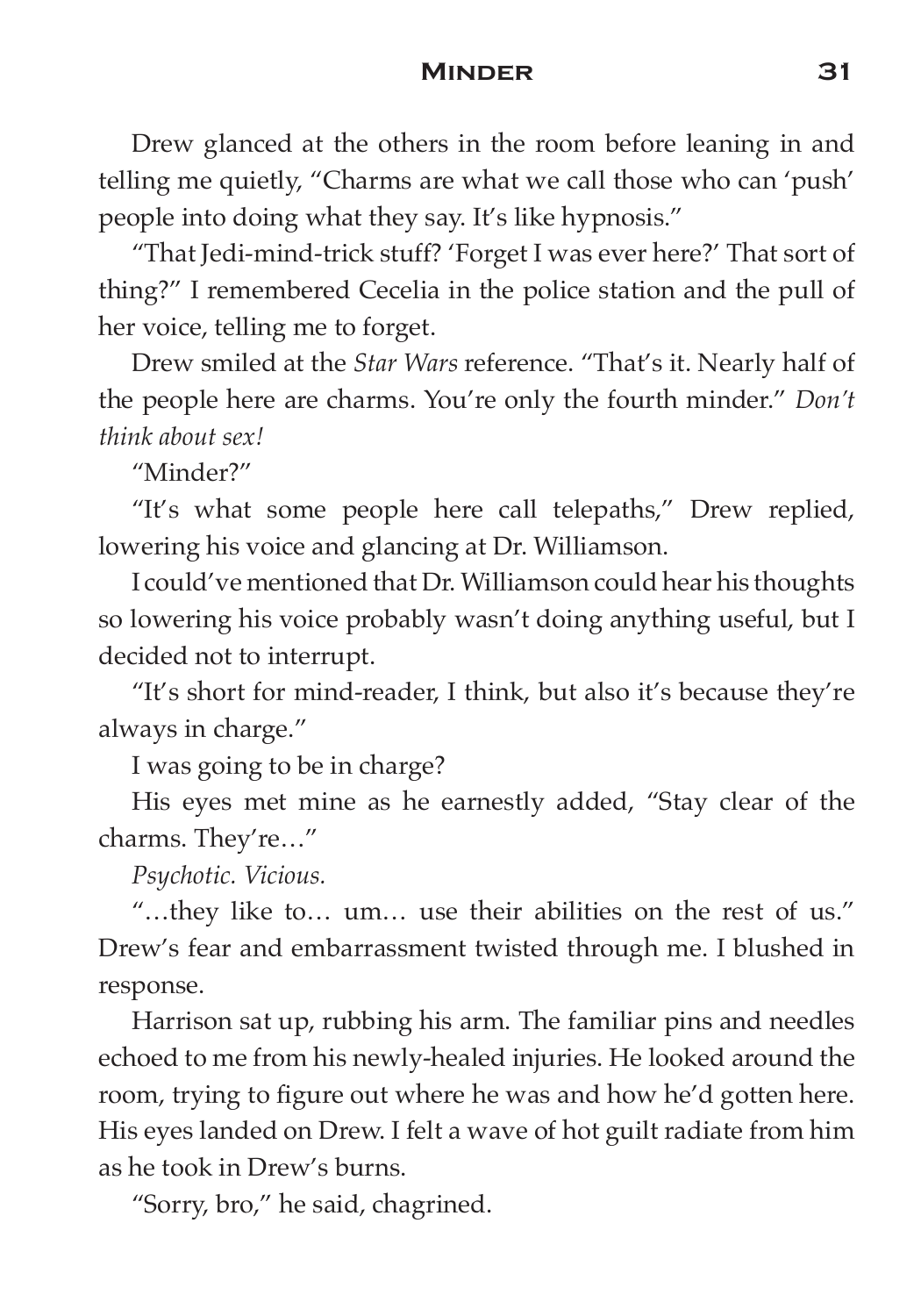Drew glanced at the others in the room before leaning in and telling me quietly, "Charms are what we call those who can 'push' people into doing what they say. It's like hypnosis."

"That Jedi-mind-trick stuff? 'Forget I was ever here?' That sort of thing?" I remembered Cecelia in the police station and the pull of her voice, telling me to forget.

Drew smiled at the *Star Wars* reference. "That's it. Nearly half of the people here are charms. You're only the fourth minder." *Don't think about sex!*

"Minder?"

"It's what some people here call telepaths," Drew replied, lowering his voice and glancing at Dr. Williamson.

I could've mentioned that Dr. Williamson could hear his thoughts so lowering his voice probably wasn't doing anything useful, but I decided not to interrupt.

"It's short for mind-reader, I think, but also it's because they're always in charge."

I was going to be in charge?

His eyes met mine as he earnestly added, "Stay clear of the charms. They're…"

*Psychotic. Vicious.*

"…they like to… um… use their abilities on the rest of us." Drew's fear and embarrassment twisted through me. I blushed in response.

Harrison sat up, rubbing his arm. The familiar pins and needles echoed to me from his newly-healed injuries. He looked around the room, trying to figure out where he was and how he'd gotten here. His eyes landed on Drew. I felt a wave of hot guilt radiate from him as he took in Drew's burns.

"Sorry, bro," he said, chagrined.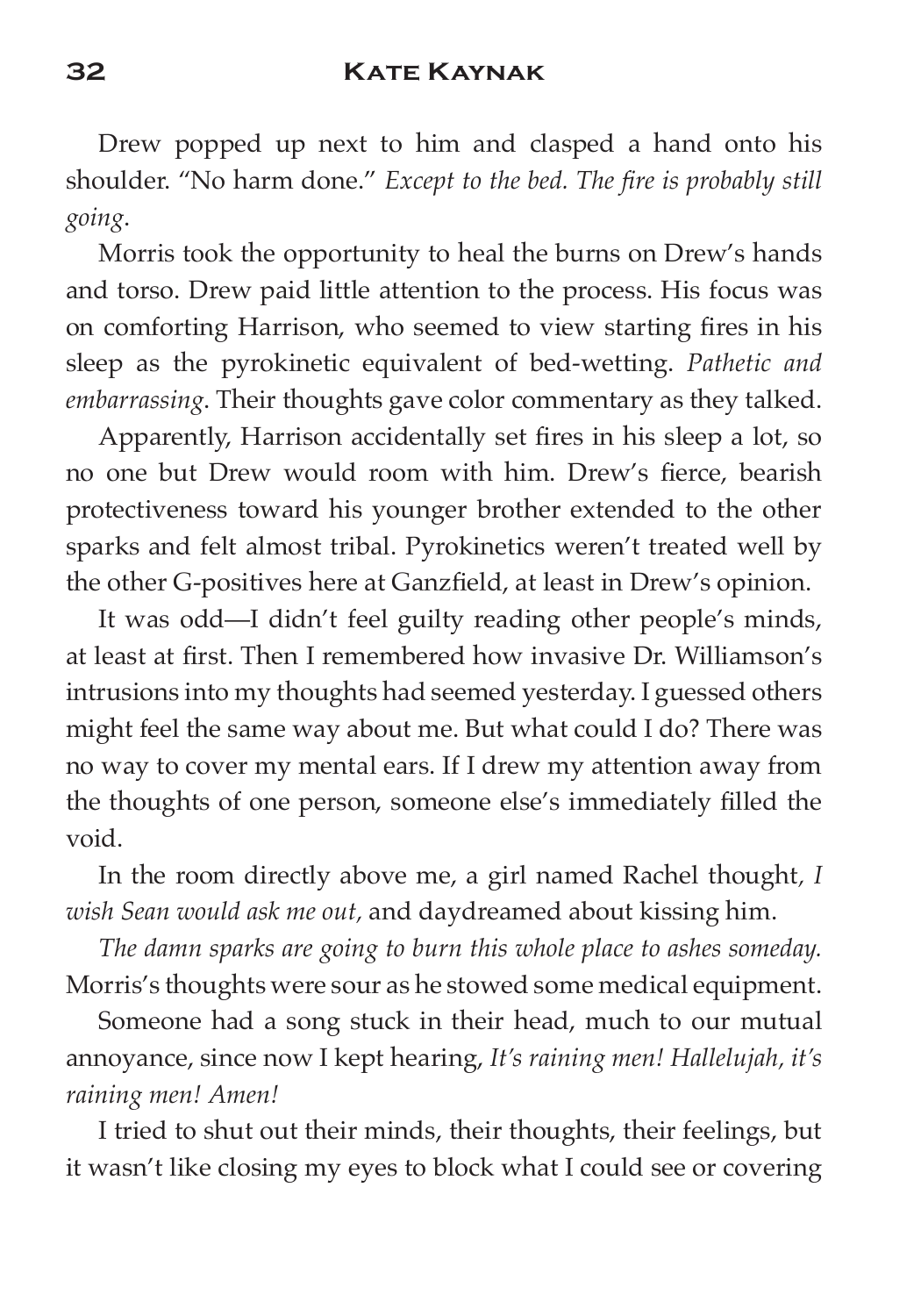Drew popped up next to him and clasped a hand onto his shoulder. "No harm done." *Except to the bed. The fire is probably still going*.

Morris took the opportunity to heal the burns on Drew's hands and torso. Drew paid little attention to the process. His focus was on comforting Harrison, who seemed to view starting fires in his sleep as the pyrokinetic equivalent of bed-wetting. *Pathetic and embarrassing*. Their thoughts gave color commentary as they talked.

Apparently, Harrison accidentally set fires in his sleep a lot, so no one but Drew would room with him. Drew's fierce, bearish protectiveness toward his younger brother extended to the other sparks and felt almost tribal. Pyrokinetics weren't treated well by the other G-positives here at Ganzfield, at least in Drew's opinion.

It was odd—I didn't feel guilty reading other people's minds, at least at first. Then I remembered how invasive Dr. Williamson's intrusions into my thoughts had seemed yesterday. I guessed others might feel the same way about me. But what could I do? There was no way to cover my mental ears. If I drew my attention away from the thoughts of one person, someone else's immediately filled the void.

In the room directly above me, a girl named Rachel thought*, I wish Sean would ask me out,* and daydreamed about kissing him.

*The damn sparks are going to burn this whole place to ashes someday.* Morris's thoughts were sour as he stowed some medical equipment.

Someone had a song stuck in their head, much to our mutual annoyance, since now I kept hearing, *It's raining men! Hallelujah, it's raining men! Amen!*

I tried to shut out their minds, their thoughts, their feelings, but it wasn't like closing my eyes to block what I could see or covering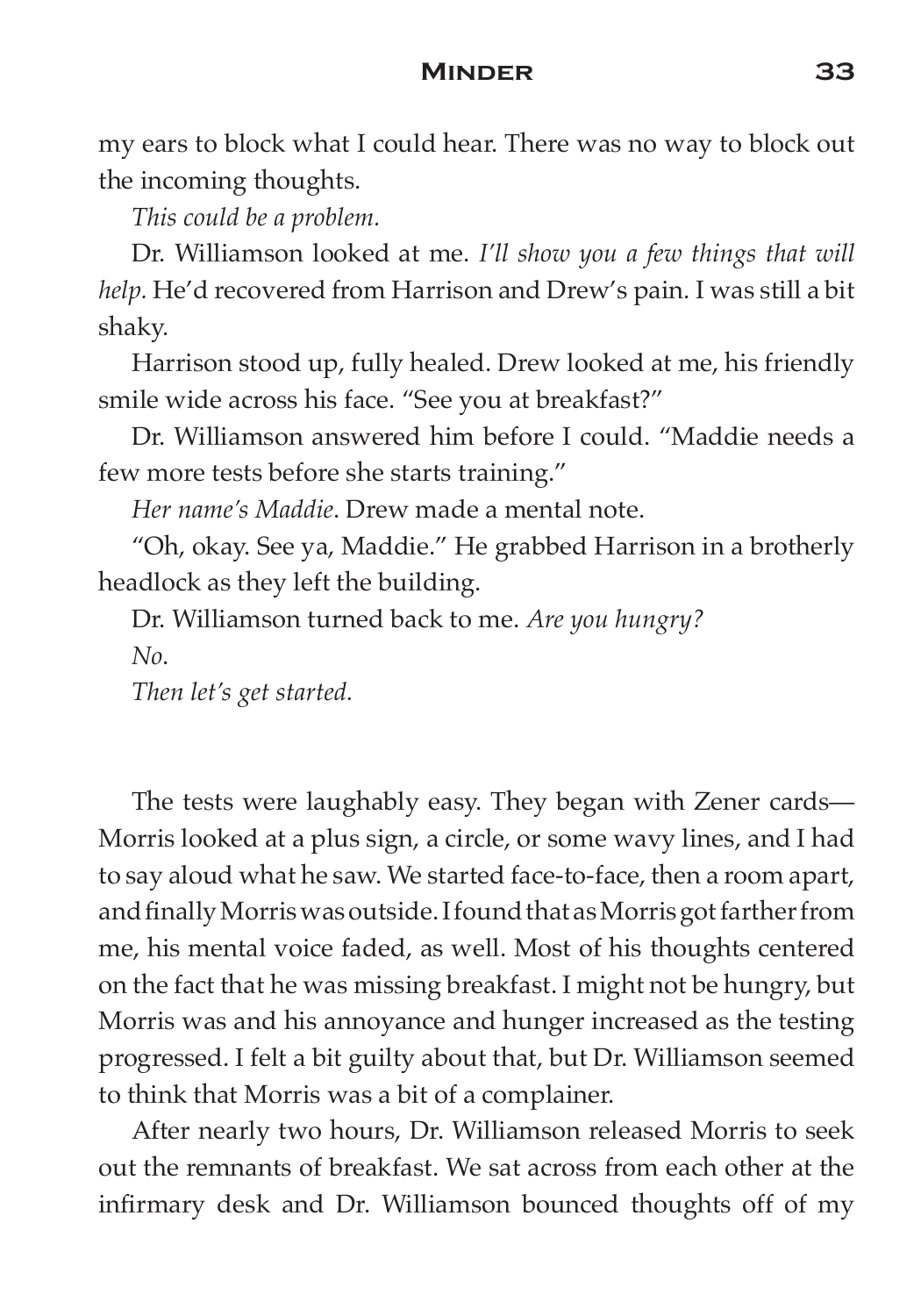my ears to block what I could hear. There was no way to block out the incoming thoughts.

*This could be a problem.* 

Dr. Williamson looked at me. *I'll show you a few things that will help.* He'd recovered from Harrison and Drew's pain. I was still a bit shaky.

Harrison stood up, fully healed. Drew looked at me, his friendly smile wide across his face. "See you at breakfast?"

Dr. Williamson answered him before I could. "Maddie needs a few more tests before she starts training."

*Her name's Maddie*. Drew made a mental note.

"Oh, okay. See ya, Maddie." He grabbed Harrison in a brotherly headlock as they left the building.

Dr. Williamson turned back to me. *Are you hungry? No*.

*Then let's get started.* 

The tests were laughably easy. They began with Zener cards— Morris looked at a plus sign, a circle, or some wavy lines, and I had to say aloud what he saw. We started face-to-face, then a room apart, and finally Morris was outside. I found that as Morris got farther from me, his mental voice faded, as well. Most of his thoughts centered on the fact that he was missing breakfast. I might not be hungry, but Morris was and his annoyance and hunger increased as the testing progressed. I felt a bit guilty about that, but Dr. Williamson seemed to think that Morris was a bit of a complainer.

After nearly two hours, Dr. Williamson released Morris to seek out the remnants of breakfast. We sat across from each other at the infirmary desk and Dr. Williamson bounced thoughts off of my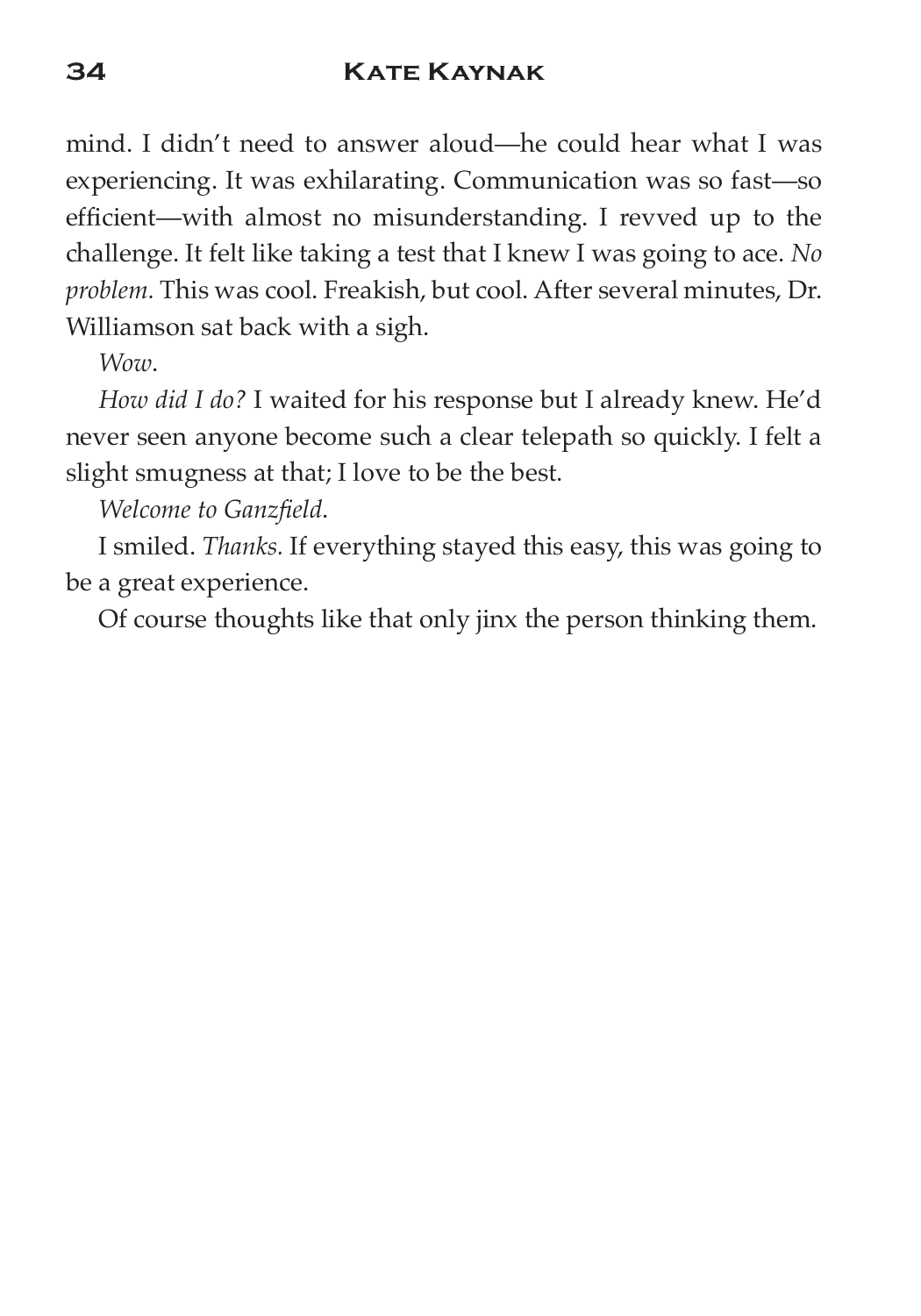mind. I didn't need to answer aloud—he could hear what I was experiencing. It was exhilarating. Communication was so fast—so efficient—with almost no misunderstanding. I revved up to the challenge. It felt like taking a test that I knew I was going to ace. *No problem.* This was cool. Freakish, but cool. After several minutes, Dr. Williamson sat back with a sigh.

*Wow*.

*How did I do?* I waited for his response but I already knew. He'd never seen anyone become such a clear telepath so quickly. I felt a slight smugness at that; I love to be the best.

*Welcome to Ganzfield*.

I smiled. *Thanks.* If everything stayed this easy, this was going to be a great experience.

Of course thoughts like that only jinx the person thinking them.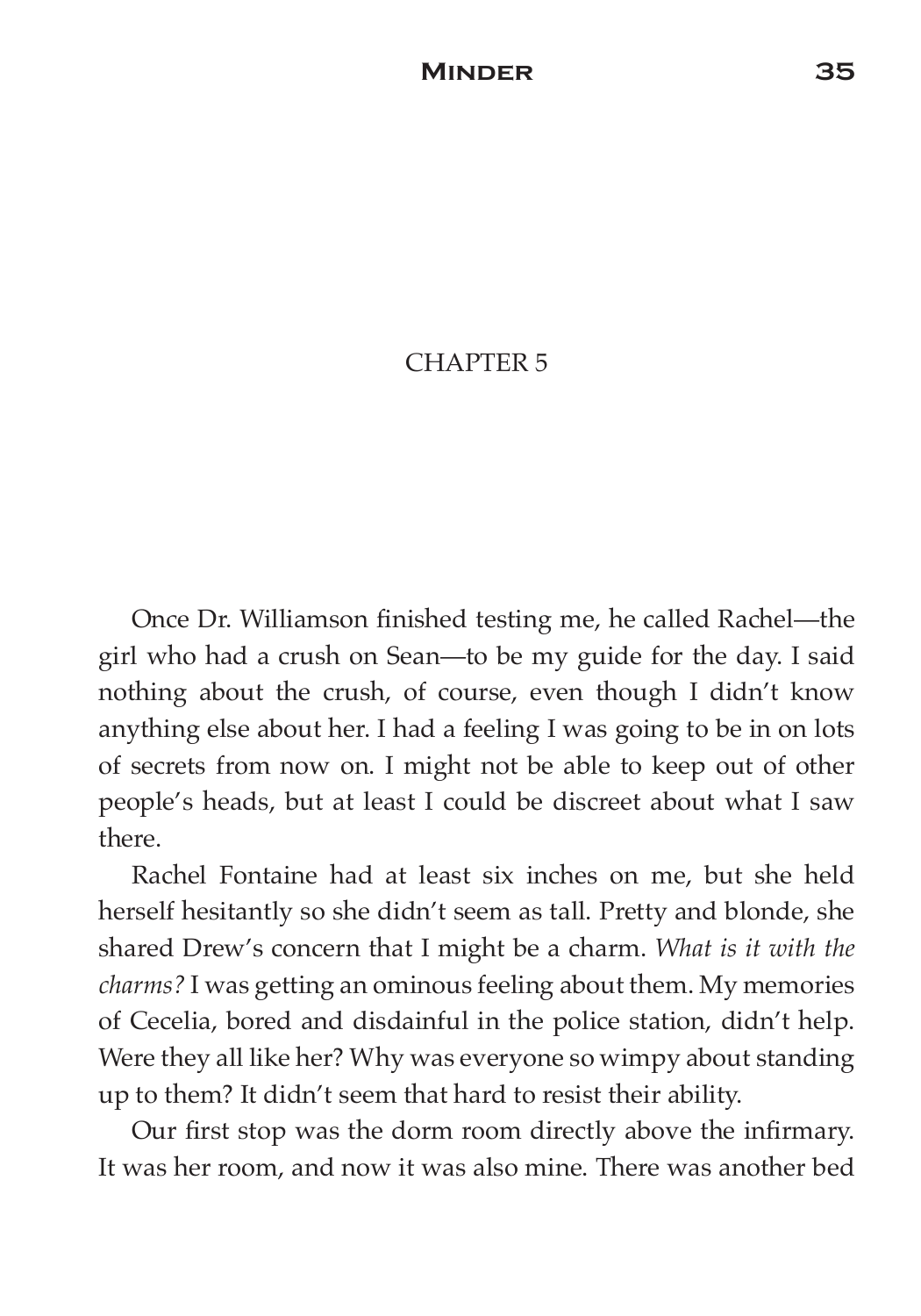## CHAPTER 5

Once Dr. Williamson finished testing me, he called Rachel—the girl who had a crush on Sean—to be my guide for the day. I said nothing about the crush, of course, even though I didn't know anything else about her. I had a feeling I was going to be in on lots of secrets from now on. I might not be able to keep out of other people's heads, but at least I could be discreet about what I saw there.

Rachel Fontaine had at least six inches on me, but she held herself hesitantly so she didn't seem as tall. Pretty and blonde, she shared Drew's concern that I might be a charm. *What is it with the charms?* I was getting an ominous feeling about them. My memories of Cecelia, bored and disdainful in the police station, didn't help. Were they all like her? Why was everyone so wimpy about standing up to them? It didn't seem that hard to resist their ability.

Our first stop was the dorm room directly above the infirmary. It was her room, and now it was also mine. There was another bed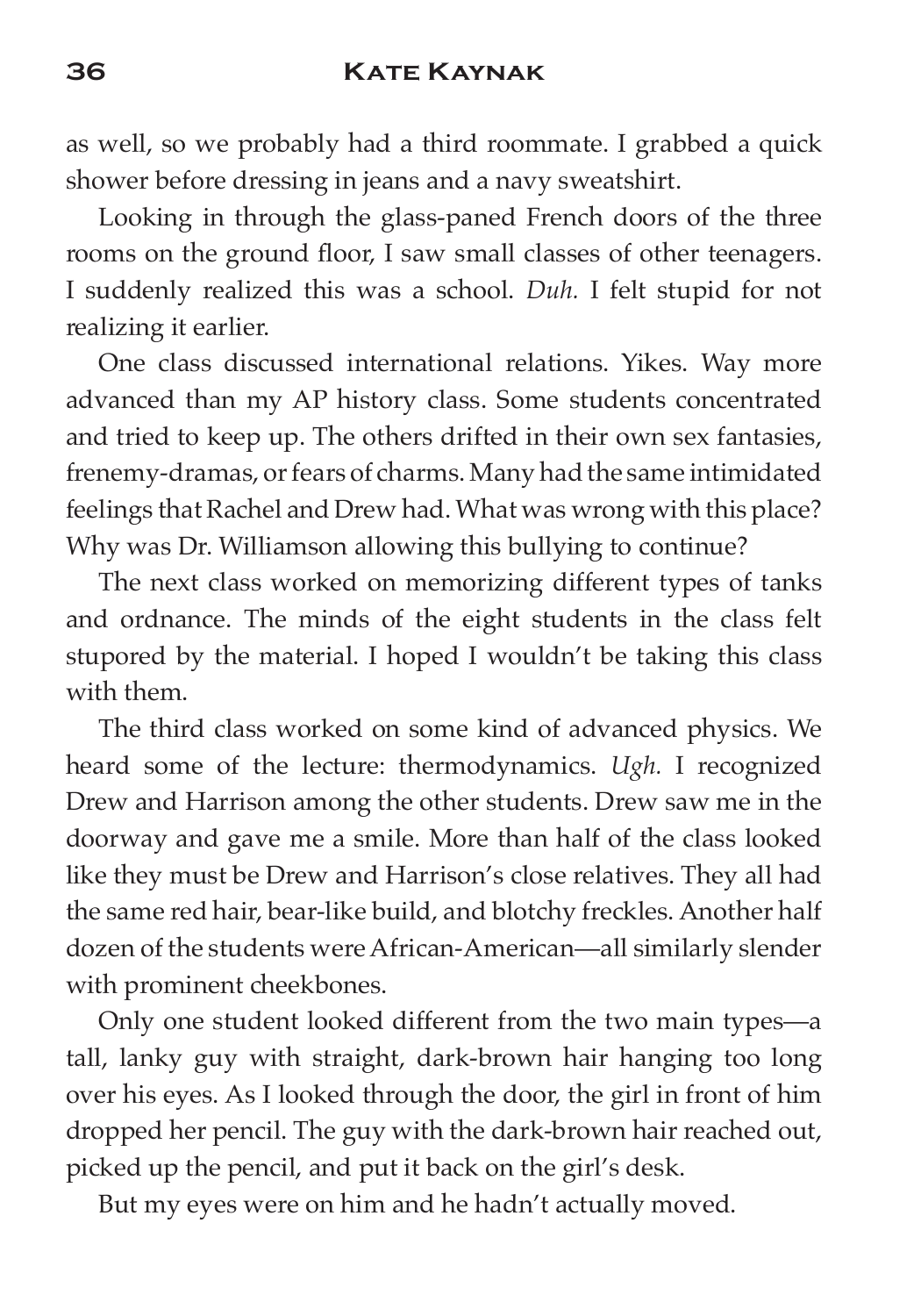as well, so we probably had a third roommate. I grabbed a quick shower before dressing in jeans and a navy sweatshirt.

Looking in through the glass-paned French doors of the three rooms on the ground floor, I saw small classes of other teenagers. I suddenly realized this was a school. *Duh.* I felt stupid for not realizing it earlier.

One class discussed international relations. Yikes. Way more advanced than my AP history class. Some students concentrated and tried to keep up. The others drifted in their own sex fantasies, frenemy-dramas, or fears of charms. Many had the same intimidated feelings that Rachel and Drew had. What was wrong with this place? Why was Dr. Williamson allowing this bullying to continue?

The next class worked on memorizing different types of tanks and ordnance. The minds of the eight students in the class felt stupored by the material. I hoped I wouldn't be taking this class with them.

The third class worked on some kind of advanced physics. We heard some of the lecture: thermodynamics. *Ugh.* I recognized Drew and Harrison among the other students. Drew saw me in the doorway and gave me a smile. More than half of the class looked like they must be Drew and Harrison's close relatives. They all had the same red hair, bear-like build, and blotchy freckles. Another half dozen of the students were African-American—all similarly slender with prominent cheekbones.

Only one student looked different from the two main types—a tall, lanky guy with straight, dark-brown hair hanging too long over his eyes. As I looked through the door, the girl in front of him dropped her pencil. The guy with the dark-brown hair reached out, picked up the pencil, and put it back on the girl's desk.

But my eyes were on him and he hadn't actually moved.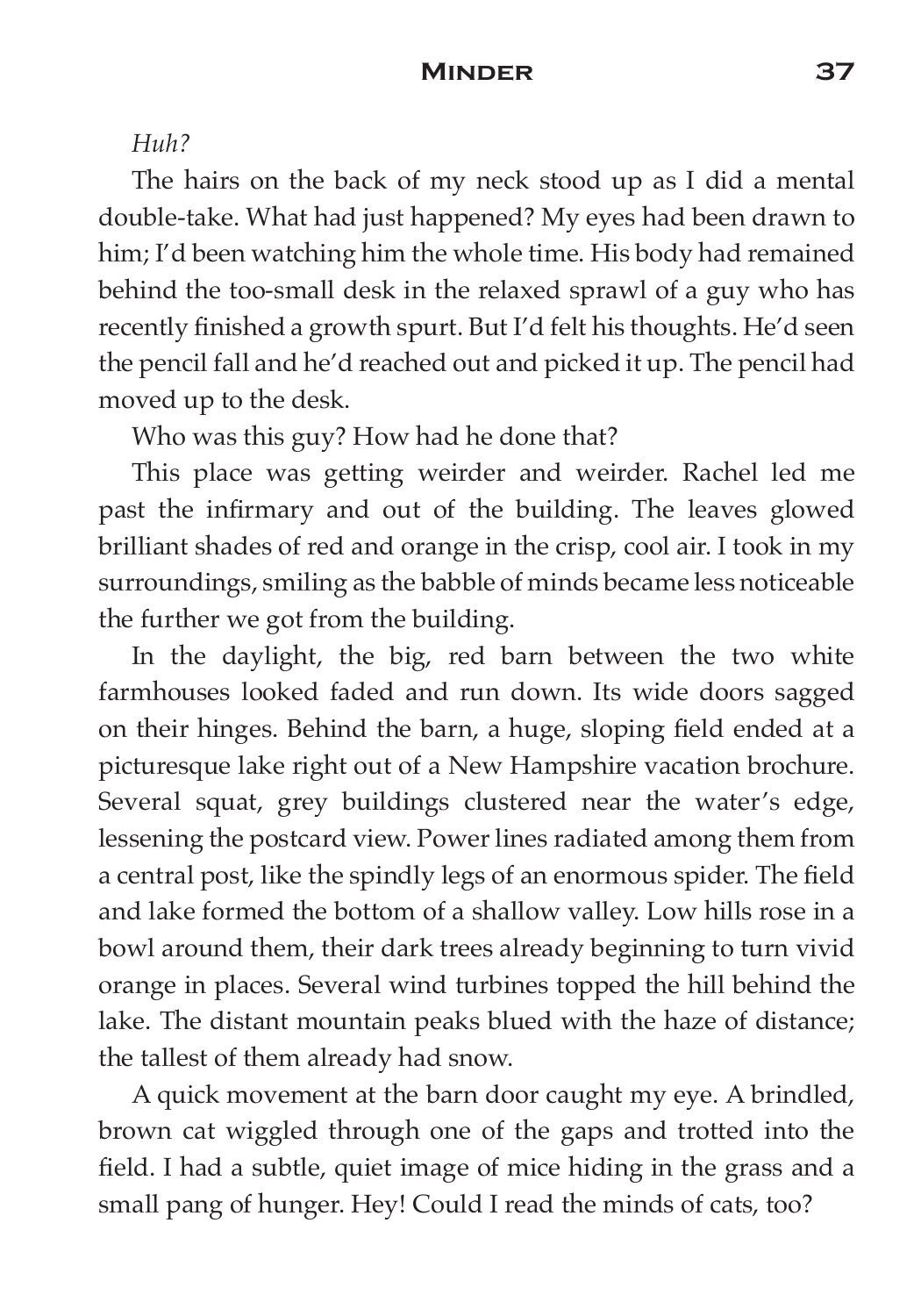## *Huh?*

The hairs on the back of my neck stood up as I did a mental double-take. What had just happened? My eyes had been drawn to him; I'd been watching him the whole time. His body had remained behind the too-small desk in the relaxed sprawl of a guy who has recently finished a growth spurt. But I'd felt his thoughts. He'd seen the pencil fall and he'd reached out and picked it up. The pencil had moved up to the desk.

Who was this guy? How had he done that?

This place was getting weirder and weirder. Rachel led me past the infirmary and out of the building. The leaves glowed brilliant shades of red and orange in the crisp, cool air. I took in my surroundings, smiling as the babble of minds became less noticeable the further we got from the building.

In the daylight, the big, red barn between the two white farmhouses looked faded and run down. Its wide doors sagged on their hinges. Behind the barn, a huge, sloping field ended at a picturesque lake right out of a New Hampshire vacation brochure. Several squat, grey buildings clustered near the water's edge, lessening the postcard view. Power lines radiated among them from a central post, like the spindly legs of an enormous spider. The field and lake formed the bottom of a shallow valley. Low hills rose in a bowl around them, their dark trees already beginning to turn vivid orange in places. Several wind turbines topped the hill behind the lake. The distant mountain peaks blued with the haze of distance; the tallest of them already had snow.

A quick movement at the barn door caught my eye. A brindled, brown cat wiggled through one of the gaps and trotted into the field. I had a subtle, quiet image of mice hiding in the grass and a small pang of hunger. Hey! Could I read the minds of cats, too?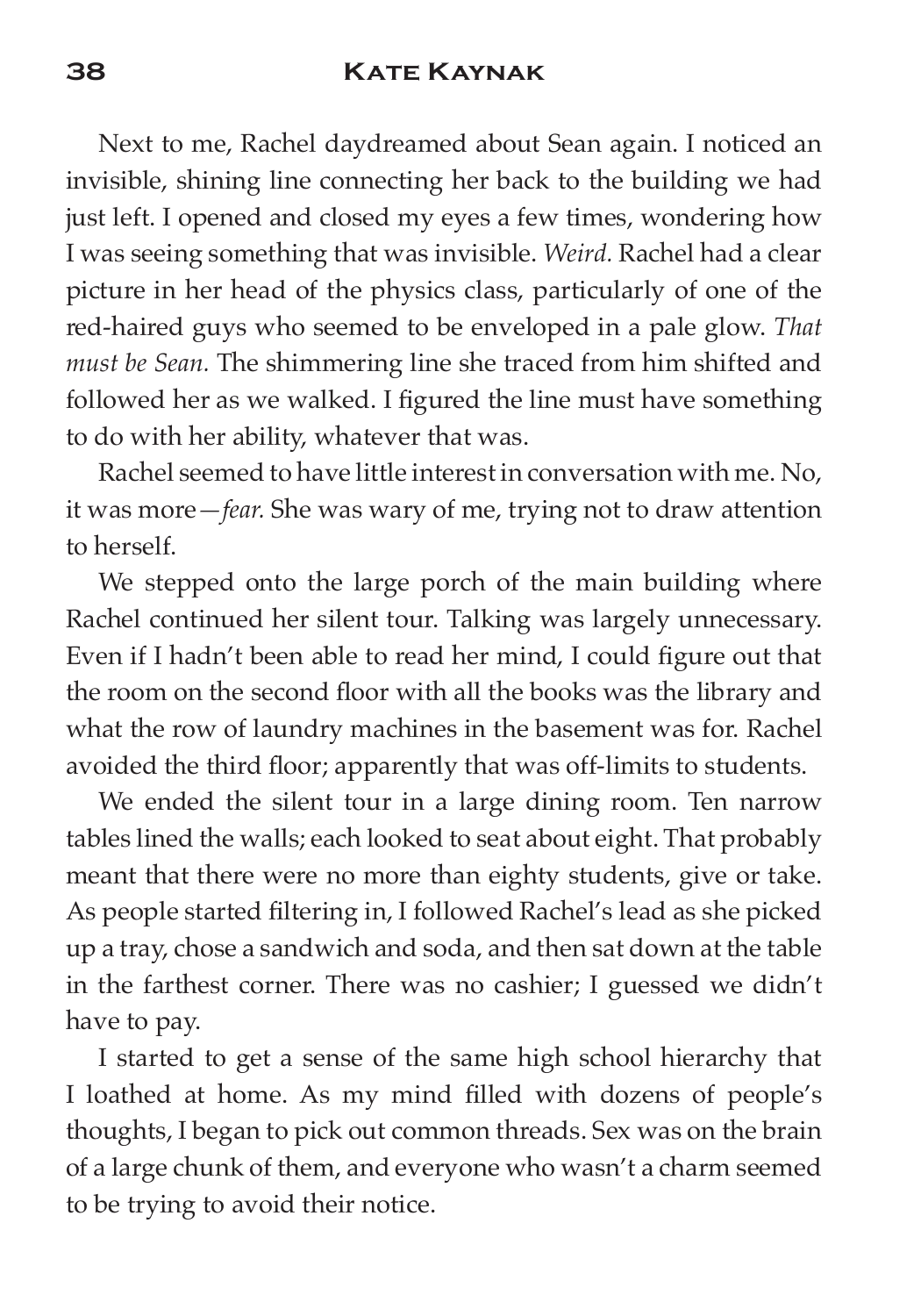#### **38 Kate Kaynak**

Next to me, Rachel daydreamed about Sean again. I noticed an invisible, shining line connecting her back to the building we had just left. I opened and closed my eyes a few times, wondering how I was seeing something that was invisible. *Weird.* Rachel had a clear picture in her head of the physics class, particularly of one of the red-haired guys who seemed to be enveloped in a pale glow. *That must be Sean.* The shimmering line she traced from him shifted and followed her as we walked. I figured the line must have something to do with her ability, whatever that was.

Rachel seemed to have little interest in conversation with me. No, it was more*—fear.* She was wary of me, trying not to draw attention to herself.

We stepped onto the large porch of the main building where Rachel continued her silent tour. Talking was largely unnecessary. Even if I hadn't been able to read her mind, I could figure out that the room on the second floor with all the books was the library and what the row of laundry machines in the basement was for. Rachel avoided the third floor; apparently that was off-limits to students.

We ended the silent tour in a large dining room. Ten narrow tables lined the walls; each looked to seat about eight. That probably meant that there were no more than eighty students, give or take. As people started filtering in, I followed Rachel's lead as she picked up a tray, chose a sandwich and soda, and then sat down at the table in the farthest corner. There was no cashier; I guessed we didn't have to pay.

I started to get a sense of the same high school hierarchy that I loathed at home. As my mind filled with dozens of people's thoughts, I began to pick out common threads. Sex was on the brain of a large chunk of them, and everyone who wasn't a charm seemed to be trying to avoid their notice.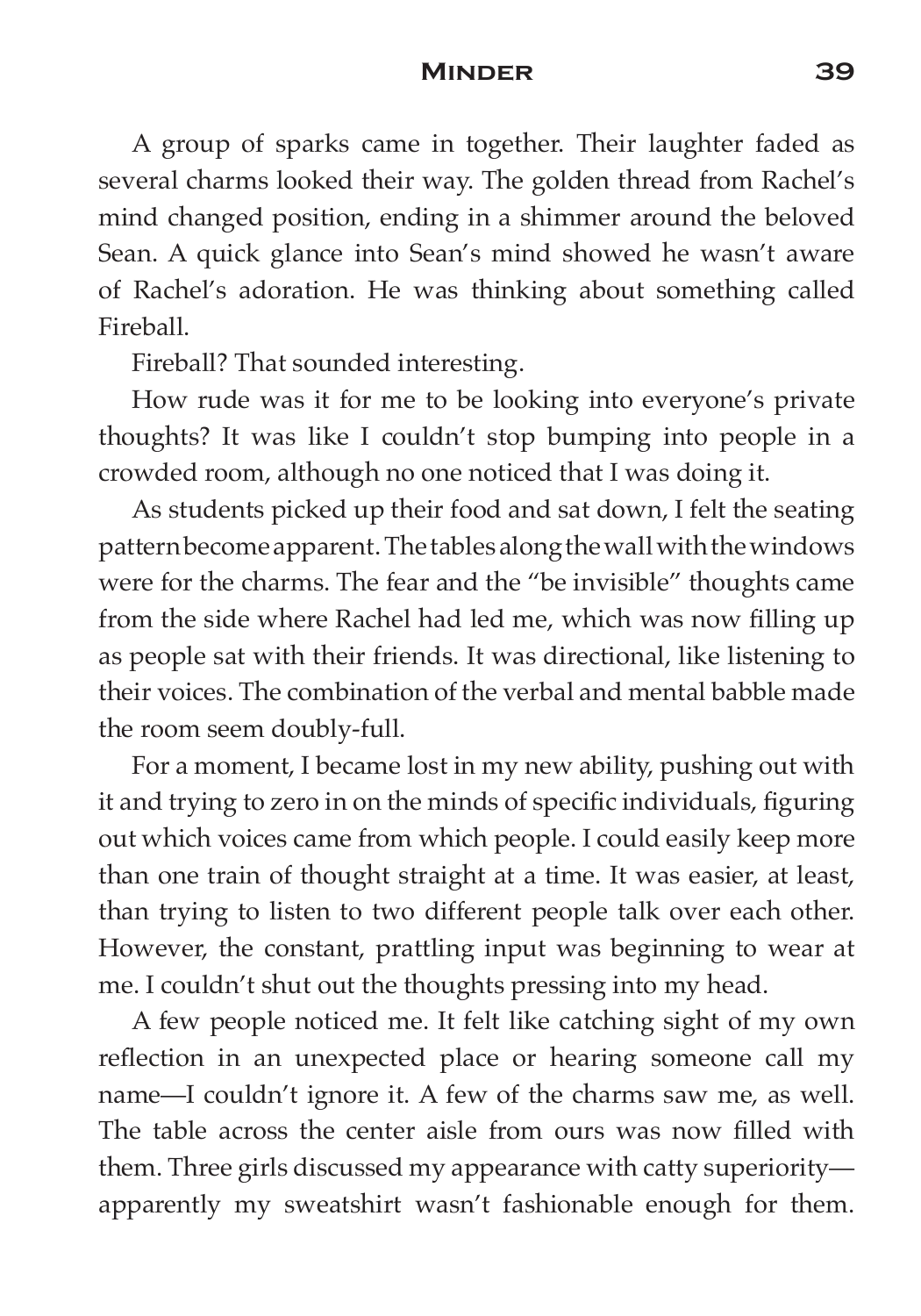A group of sparks came in together. Their laughter faded as several charms looked their way. The golden thread from Rachel's mind changed position, ending in a shimmer around the beloved Sean. A quick glance into Sean's mind showed he wasn't aware of Rachel's adoration. He was thinking about something called Fireball.

Fireball? That sounded interesting.

How rude was it for me to be looking into everyone's private thoughts? It was like I couldn't stop bumping into people in a crowded room, although no one noticed that I was doing it.

As students picked up their food and sat down, I felt the seating pattern become apparent. The tables along the wall with the windows were for the charms. The fear and the "be invisible" thoughts came from the side where Rachel had led me, which was now filling up as people sat with their friends. It was directional, like listening to their voices. The combination of the verbal and mental babble made the room seem doubly-full.

For a moment, I became lost in my new ability, pushing out with it and trying to zero in on the minds of specific individuals, figuring out which voices came from which people. I could easily keep more than one train of thought straight at a time. It was easier, at least, than trying to listen to two different people talk over each other. However, the constant, prattling input was beginning to wear at me. I couldn't shut out the thoughts pressing into my head.

A few people noticed me. It felt like catching sight of my own reflection in an unexpected place or hearing someone call my name—I couldn't ignore it. A few of the charms saw me, as well. The table across the center aisle from ours was now filled with them. Three girls discussed my appearance with catty superiority apparently my sweatshirt wasn't fashionable enough for them.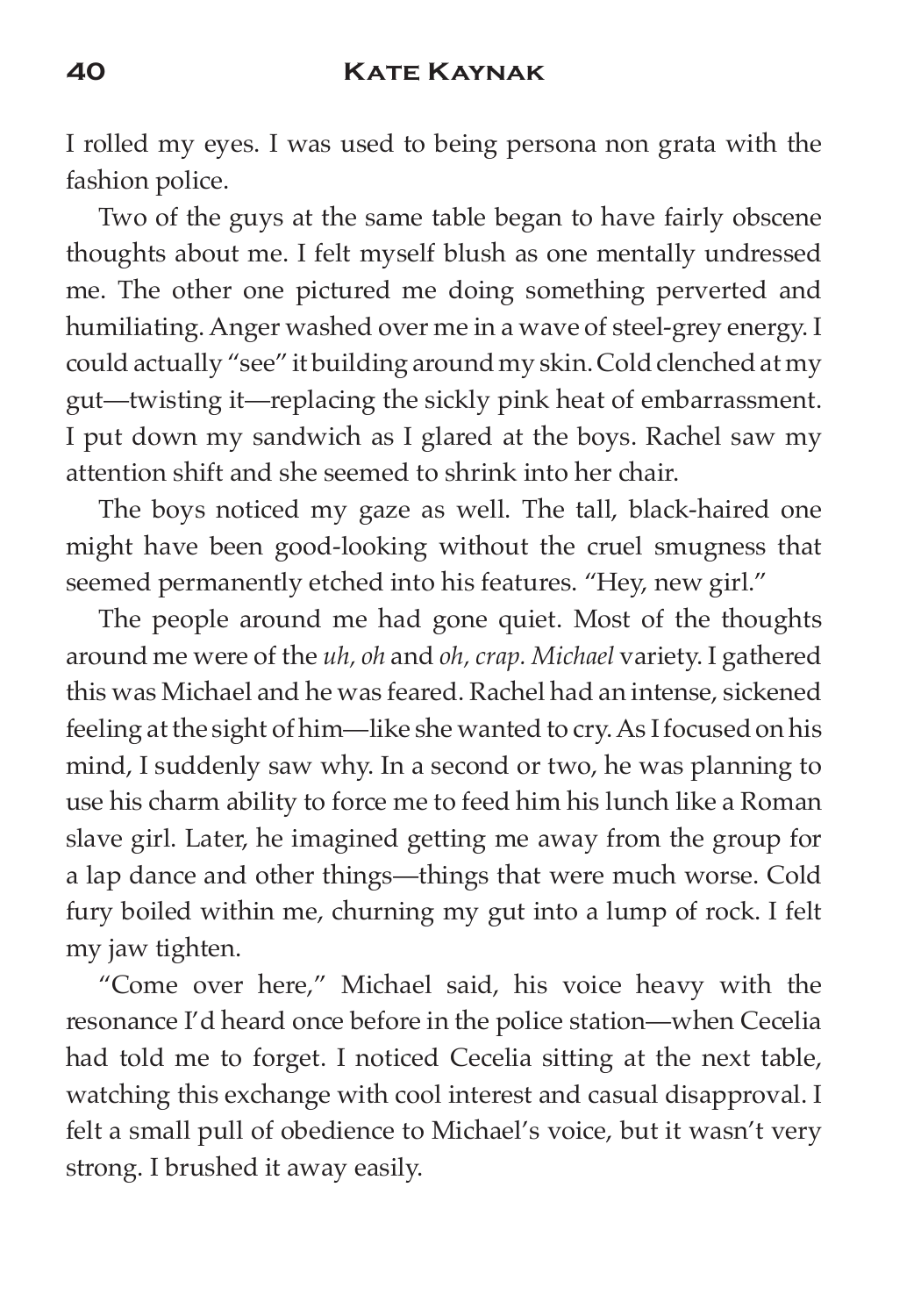## **40 Kate Kaynak**

I rolled my eyes. I was used to being persona non grata with the fashion police.

Two of the guys at the same table began to have fairly obscene thoughts about me. I felt myself blush as one mentally undressed me. The other one pictured me doing something perverted and humiliating. Anger washed over me in a wave of steel-grey energy. I could actually "see" it building around my skin. Cold clenched at my gut—twisting it—replacing the sickly pink heat of embarrassment. I put down my sandwich as I glared at the boys. Rachel saw my attention shift and she seemed to shrink into her chair.

The boys noticed my gaze as well. The tall, black-haired one might have been good-looking without the cruel smugness that seemed permanently etched into his features. "Hey, new girl."

The people around me had gone quiet. Most of the thoughts around me were of the *uh, oh* and *oh, crap. Michael* variety. I gathered this was Michael and he was feared. Rachel had an intense, sickened feeling at the sight of him—like she wanted to cry. As I focused on his mind, I suddenly saw why. In a second or two, he was planning to use his charm ability to force me to feed him his lunch like a Roman slave girl. Later, he imagined getting me away from the group for a lap dance and other things—things that were much worse. Cold fury boiled within me, churning my gut into a lump of rock. I felt my jaw tighten.

"Come over here," Michael said, his voice heavy with the resonance I'd heard once before in the police station—when Cecelia had told me to forget. I noticed Cecelia sitting at the next table, watching this exchange with cool interest and casual disapproval. I felt a small pull of obedience to Michael's voice, but it wasn't very strong. I brushed it away easily.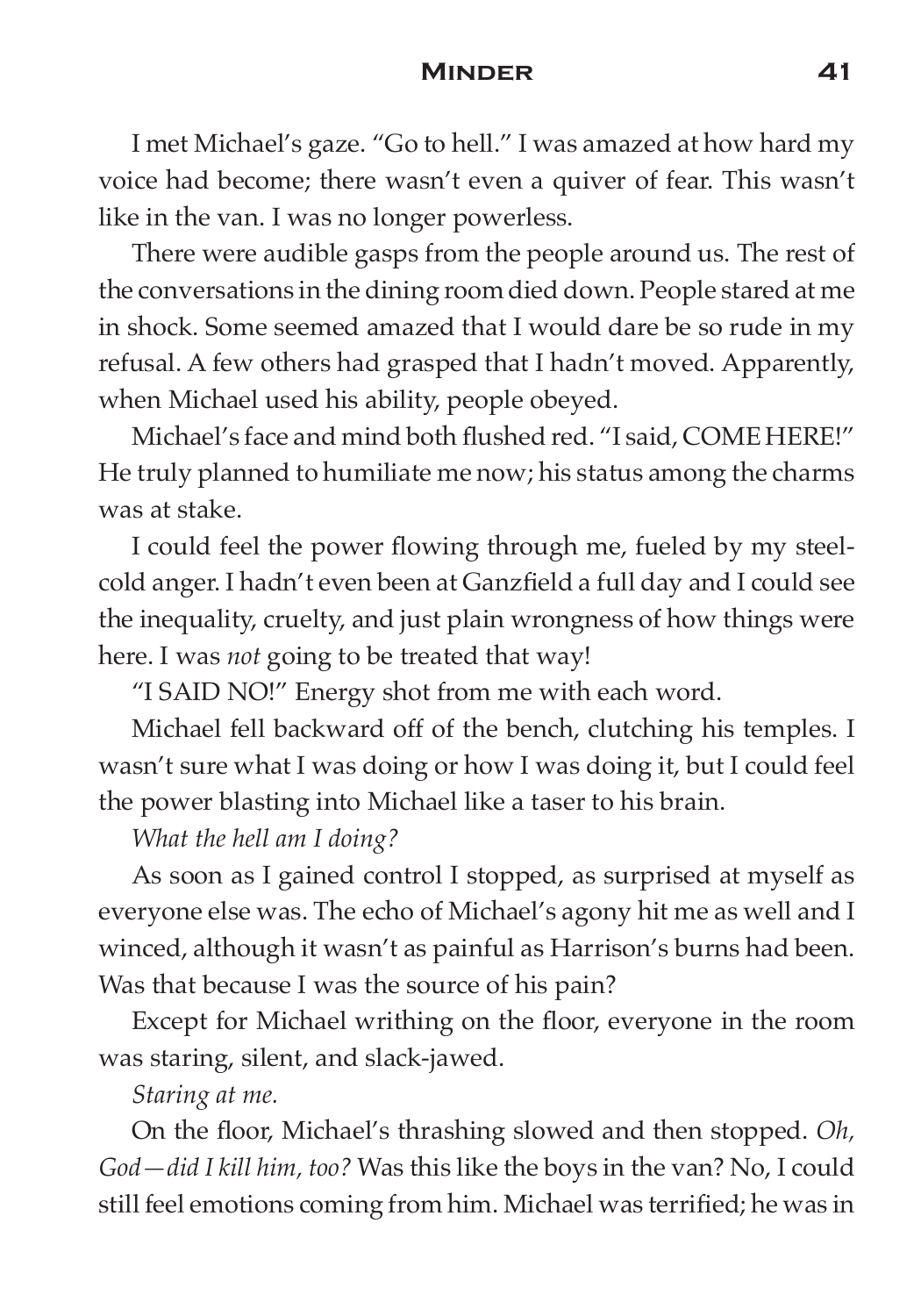I met Michael's gaze. "Go to hell." I was amazed at how hard my voice had become; there wasn't even a quiver of fear. This wasn't like in the van. I was no longer powerless.

There were audible gasps from the people around us. The rest of the conversations in the dining room died down. People stared at me in shock. Some seemed amazed that I would dare be so rude in my refusal. A few others had grasped that I hadn't moved. Apparently, when Michael used his ability, people obeyed.

Michael's face and mind both flushed red. "I said, COME HERE!" He truly planned to humiliate me now; his status among the charms was at stake.

I could feel the power flowing through me, fueled by my steelcold anger. I hadn't even been at Ganzfield a full day and I could see the inequality, cruelty, and just plain wrongness of how things were here. I was *not* going to be treated that way!

"I SAID NO!" Energy shot from me with each word.

Michael fell backward off of the bench, clutching his temples. I wasn't sure what I was doing or how I was doing it, but I could feel the power blasting into Michael like a taser to his brain.

*What the hell am I doing?*

As soon as I gained control I stopped, as surprised at myself as everyone else was. The echo of Michael's agony hit me as well and I winced, although it wasn't as painful as Harrison's burns had been. Was that because I was the source of his pain?

Except for Michael writhing on the floor, everyone in the room was staring, silent, and slack-jawed.

*Staring at me.* 

On the floor, Michael's thrashing slowed and then stopped. *Oh, God—did I kill him, too?* Was this like the boys in the van? No, I could still feel emotions coming from him. Michael was terrified; he was in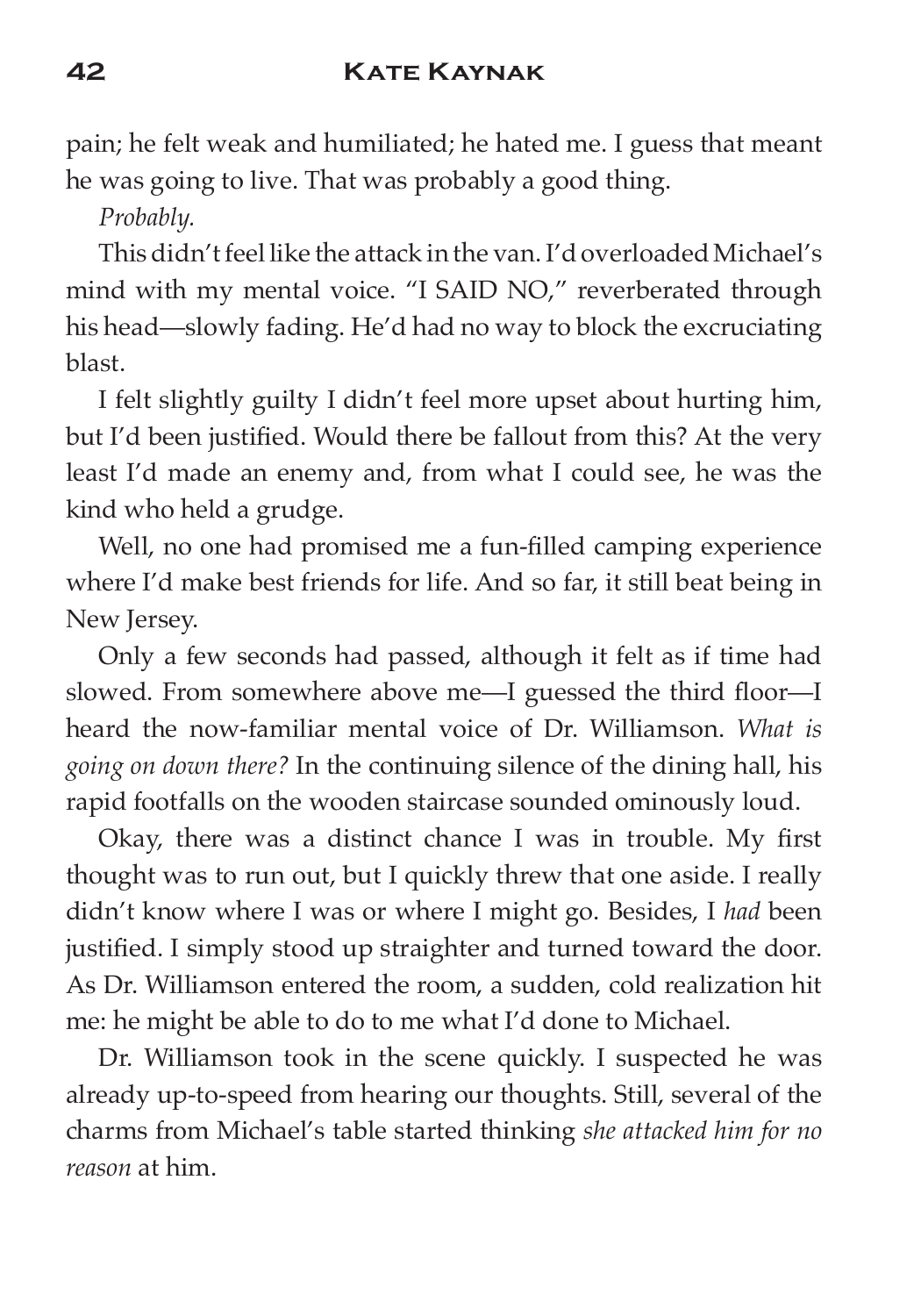pain; he felt weak and humiliated; he hated me. I guess that meant he was going to live. That was probably a good thing.

*Probably.* 

This didn't feel like the attack in the van. I'd overloaded Michael's mind with my mental voice. "I SAID NO," reverberated through his head—slowly fading. He'd had no way to block the excruciating blast.

I felt slightly guilty I didn't feel more upset about hurting him, but I'd been justified. Would there be fallout from this? At the very least I'd made an enemy and, from what I could see, he was the kind who held a grudge.

Well, no one had promised me a fun-filled camping experience where I'd make best friends for life. And so far, it still beat being in New Jersey.

Only a few seconds had passed, although it felt as if time had slowed. From somewhere above me—I guessed the third floor—I heard the now-familiar mental voice of Dr. Williamson. *What is going on down there?* In the continuing silence of the dining hall, his rapid footfalls on the wooden staircase sounded ominously loud.

Okay, there was a distinct chance I was in trouble. My first thought was to run out, but I quickly threw that one aside. I really didn't know where I was or where I might go. Besides, I *had* been justified. I simply stood up straighter and turned toward the door. As Dr. Williamson entered the room, a sudden, cold realization hit me: he might be able to do to me what I'd done to Michael.

Dr. Williamson took in the scene quickly. I suspected he was already up-to-speed from hearing our thoughts. Still, several of the charms from Michael's table started thinking *she attacked him for no reason* at him.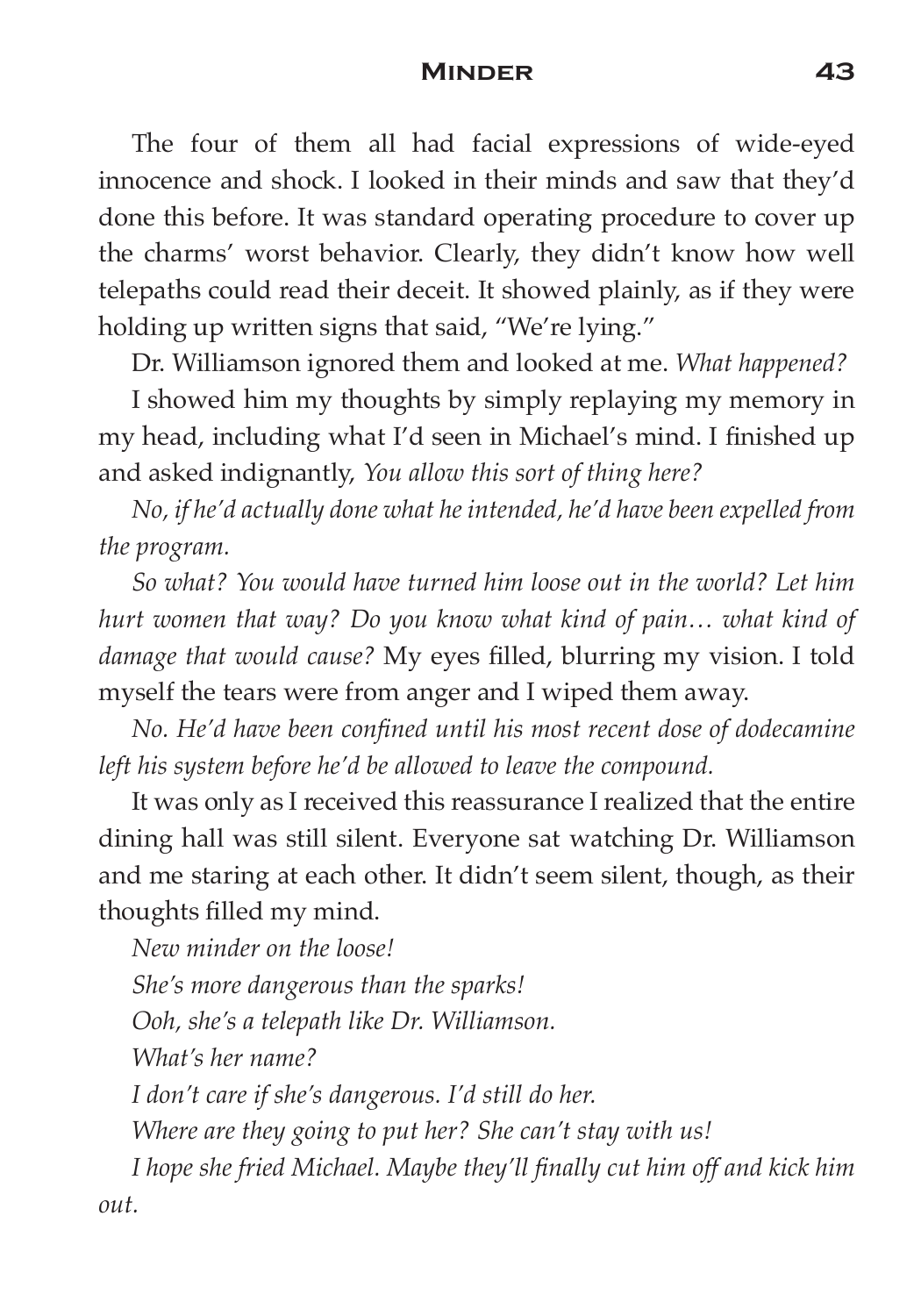The four of them all had facial expressions of wide-eyed innocence and shock. I looked in their minds and saw that they'd done this before. It was standard operating procedure to cover up the charms' worst behavior. Clearly, they didn't know how well telepaths could read their deceit. It showed plainly, as if they were holding up written signs that said, "We're lying."

Dr. Williamson ignored them and looked at me. *What happened?*

I showed him my thoughts by simply replaying my memory in my head, including what I'd seen in Michael's mind. I finished up and asked indignantly, *You allow this sort of thing here?* 

*No, if he'd actually done what he intended, he'd have been expelled from the program.*

*So what? You would have turned him loose out in the world? Let him hurt women that way? Do you know what kind of pain… what kind of damage that would cause?* My eyes filled, blurring my vision. I told myself the tears were from anger and I wiped them away.

*No. He'd have been confined until his most recent dose of dodecamine left his system before he'd be allowed to leave the compound.* 

It was only as I received this reassurance I realized that the entire dining hall was still silent. Everyone sat watching Dr. Williamson and me staring at each other. It didn't seem silent, though, as their thoughts filled my mind.

*New minder on the loose! She's more dangerous than the sparks! Ooh, she's a telepath like Dr. Williamson. What's her name? I don't care if she's dangerous. I'd still do her. Where are they going to put her? She can't stay with us! I hope she fried Michael. Maybe they'll finally cut him off and kick him out.*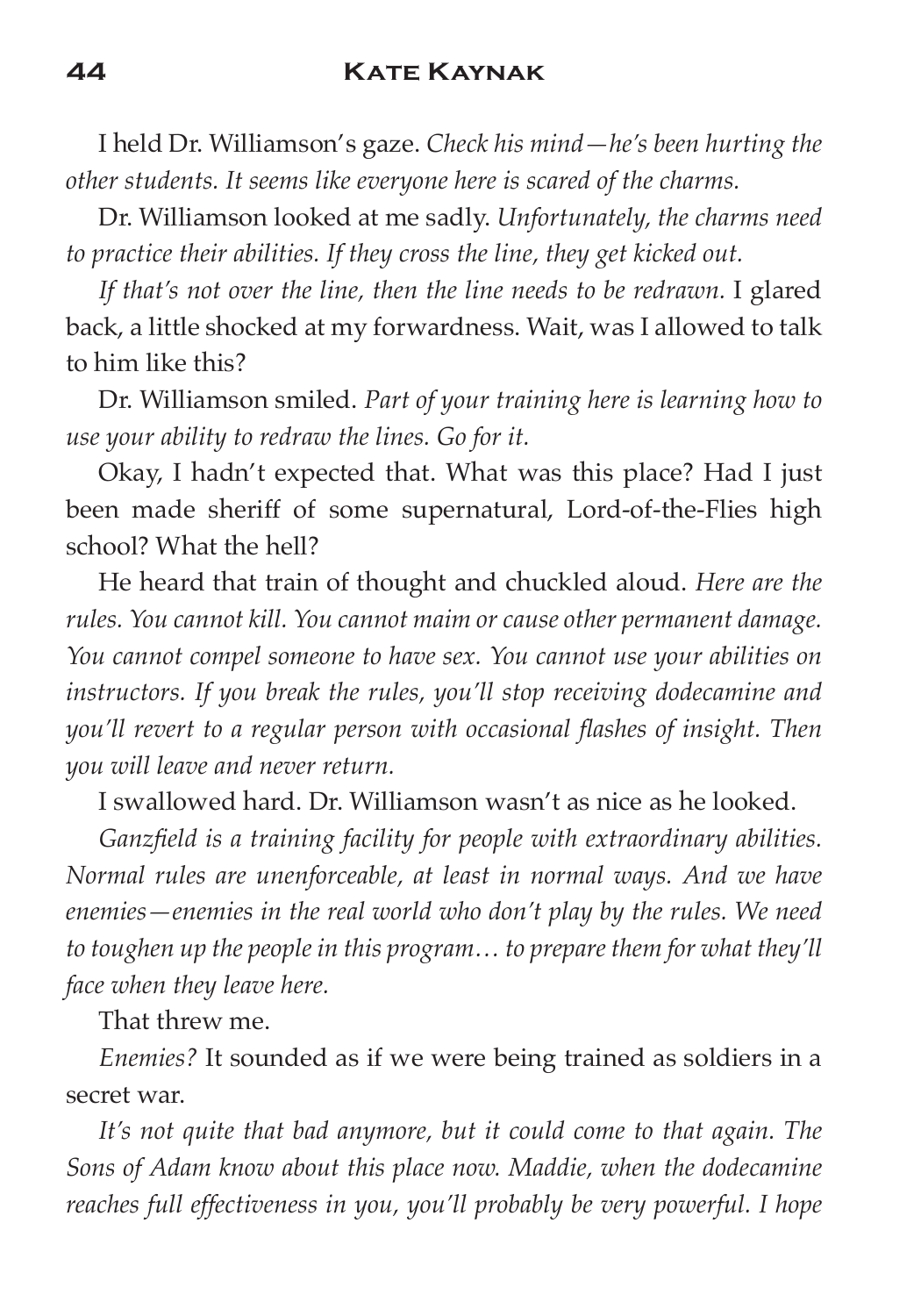I held Dr. Williamson's gaze. *Check his mind—he's been hurting the other students. It seems like everyone here is scared of the charms.*

Dr. Williamson looked at me sadly. *Unfortunately, the charms need to practice their abilities. If they cross the line, they get kicked out.* 

*If that's not over the line, then the line needs to be redrawn.* I glared back, a little shocked at my forwardness. Wait, was I allowed to talk to him like this?

Dr. Williamson smiled. *Part of your training here is learning how to use your ability to redraw the lines. Go for it.* 

Okay, I hadn't expected that. What was this place? Had I just been made sheriff of some supernatural, Lord-of-the-Flies high school? What the hell?

He heard that train of thought and chuckled aloud. *Here are the rules. You cannot kill. You cannot maim or cause other permanent damage. You cannot compel someone to have sex. You cannot use your abilities on instructors. If you break the rules, you'll stop receiving dodecamine and you'll revert to a regular person with occasional flashes of insight. Then you will leave and never return.* 

I swallowed hard. Dr. Williamson wasn't as nice as he looked.

*Ganzfield is a training facility for people with extraordinary abilities. Normal rules are unenforceable, at least in normal ways. And we have enemies—enemies in the real world who don't play by the rules. We need to toughen up the people in this program… to prepare them for what they'll face when they leave here.* 

That threw me.

*Enemies?* It sounded as if we were being trained as soldiers in a secret war.

*It's not quite that bad anymore, but it could come to that again. The Sons of Adam know about this place now. Maddie, when the dodecamine reaches full effectiveness in you, you'll probably be very powerful. I hope*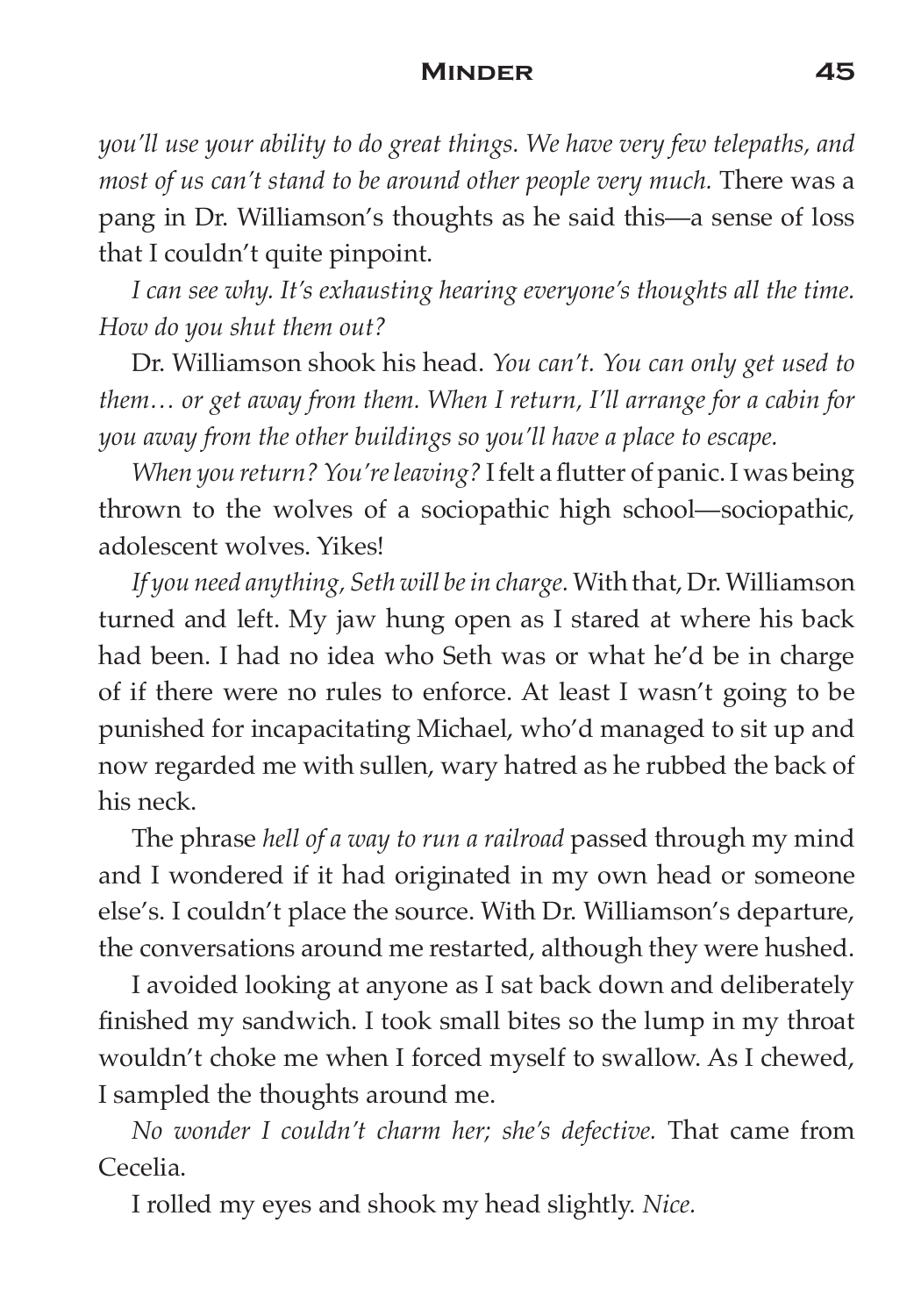*you'll use your ability to do great things. We have very few telepaths, and most of us can't stand to be around other people very much.* There was a pang in Dr. Williamson's thoughts as he said this—a sense of loss that I couldn't quite pinpoint.

*I can see why. It's exhausting hearing everyone's thoughts all the time. How do you shut them out?* 

Dr. Williamson shook his head. *You can't. You can only get used to them… or get away from them. When I return, I'll arrange for a cabin for you away from the other buildings so you'll have a place to escape.* 

*When you return? You're leaving?* I felt a flutter of panic. I was being thrown to the wolves of a sociopathic high school—sociopathic, adolescent wolves. Yikes!

*If you need anything, Seth will be in charge.* With that, Dr. Williamson turned and left. My jaw hung open as I stared at where his back had been. I had no idea who Seth was or what he'd be in charge of if there were no rules to enforce. At least I wasn't going to be punished for incapacitating Michael, who'd managed to sit up and now regarded me with sullen, wary hatred as he rubbed the back of his neck.

The phrase *hell of a way to run a railroad* passed through my mind and I wondered if it had originated in my own head or someone else's. I couldn't place the source. With Dr. Williamson's departure, the conversations around me restarted, although they were hushed.

I avoided looking at anyone as I sat back down and deliberately finished my sandwich. I took small bites so the lump in my throat wouldn't choke me when I forced myself to swallow. As I chewed, I sampled the thoughts around me.

*No wonder I couldn't charm her; she's defective.* That came from Cecelia.

I rolled my eyes and shook my head slightly. *Nice.*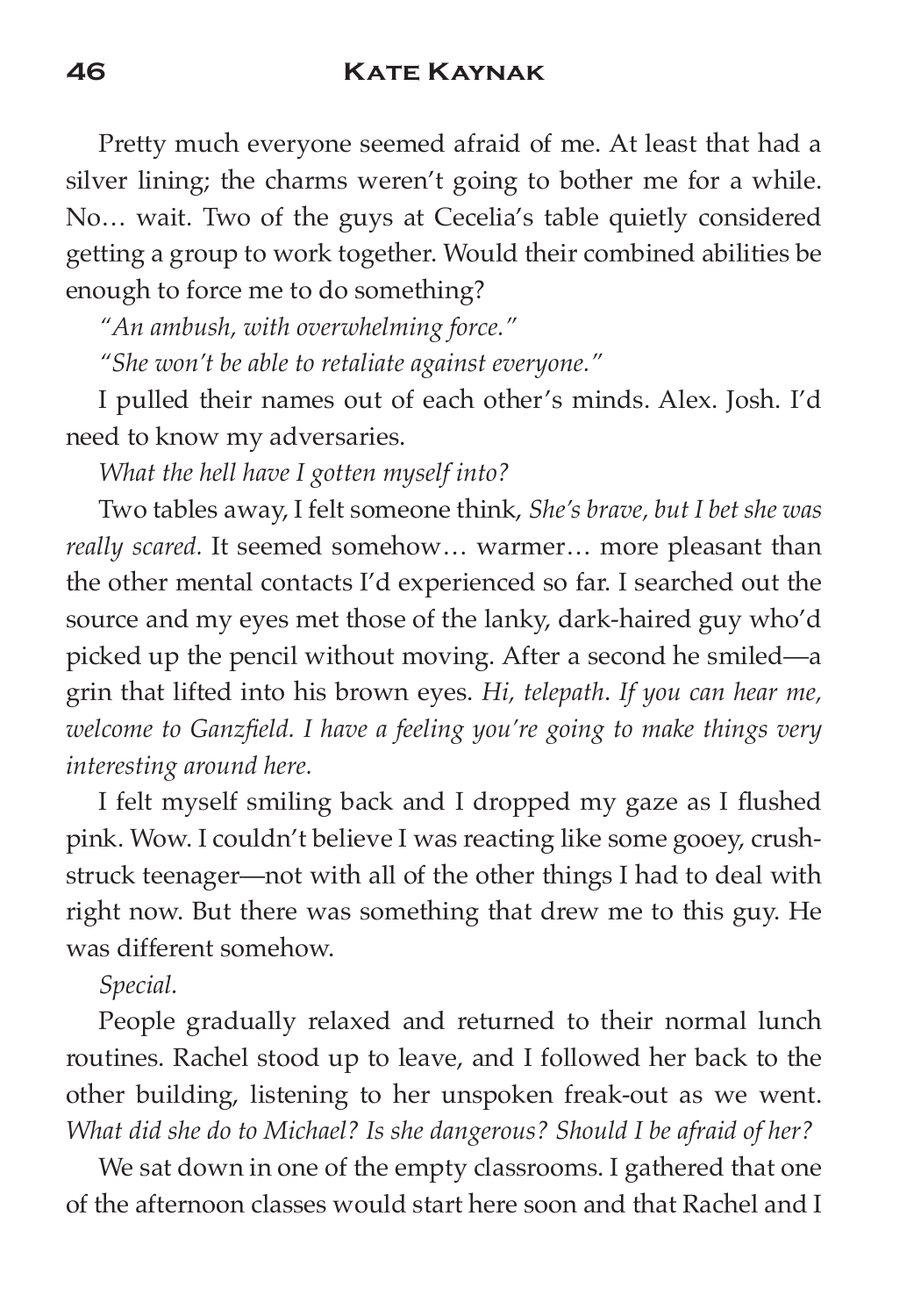Pretty much everyone seemed afraid of me. At least that had a silver lining; the charms weren't going to bother me for a while. No… wait. Two of the guys at Cecelia's table quietly considered getting a group to work together. Would their combined abilities be enough to force me to do something?

*"An ambush, with overwhelming force."* 

*"She won't be able to retaliate against everyone."* 

I pulled their names out of each other's minds. Alex. Josh. I'd need to know my adversaries.

*What the hell have I gotten myself into?*

Two tables away, I felt someone think, *She's brave, but I bet she was really scared.* It seemed somehow… warmer… more pleasant than the other mental contacts I'd experienced so far. I searched out the source and my eyes met those of the lanky, dark-haired guy who'd picked up the pencil without moving. After a second he smiled—a grin that lifted into his brown eyes. *Hi, telepath*. *If you can hear me, welcome to Ganzfield. I have a feeling you're going to make things very interesting around here.* 

I felt myself smiling back and I dropped my gaze as I flushed pink. Wow. I couldn't believe I was reacting like some gooey, crushstruck teenager—not with all of the other things I had to deal with right now. But there was something that drew me to this guy. He was different somehow.

# *Special.*

People gradually relaxed and returned to their normal lunch routines. Rachel stood up to leave, and I followed her back to the other building, listening to her unspoken freak-out as we went. *What did she do to Michael? Is she dangerous? Should I be afraid of her?* 

We sat down in one of the empty classrooms. I gathered that one of the afternoon classes would start here soon and that Rachel and I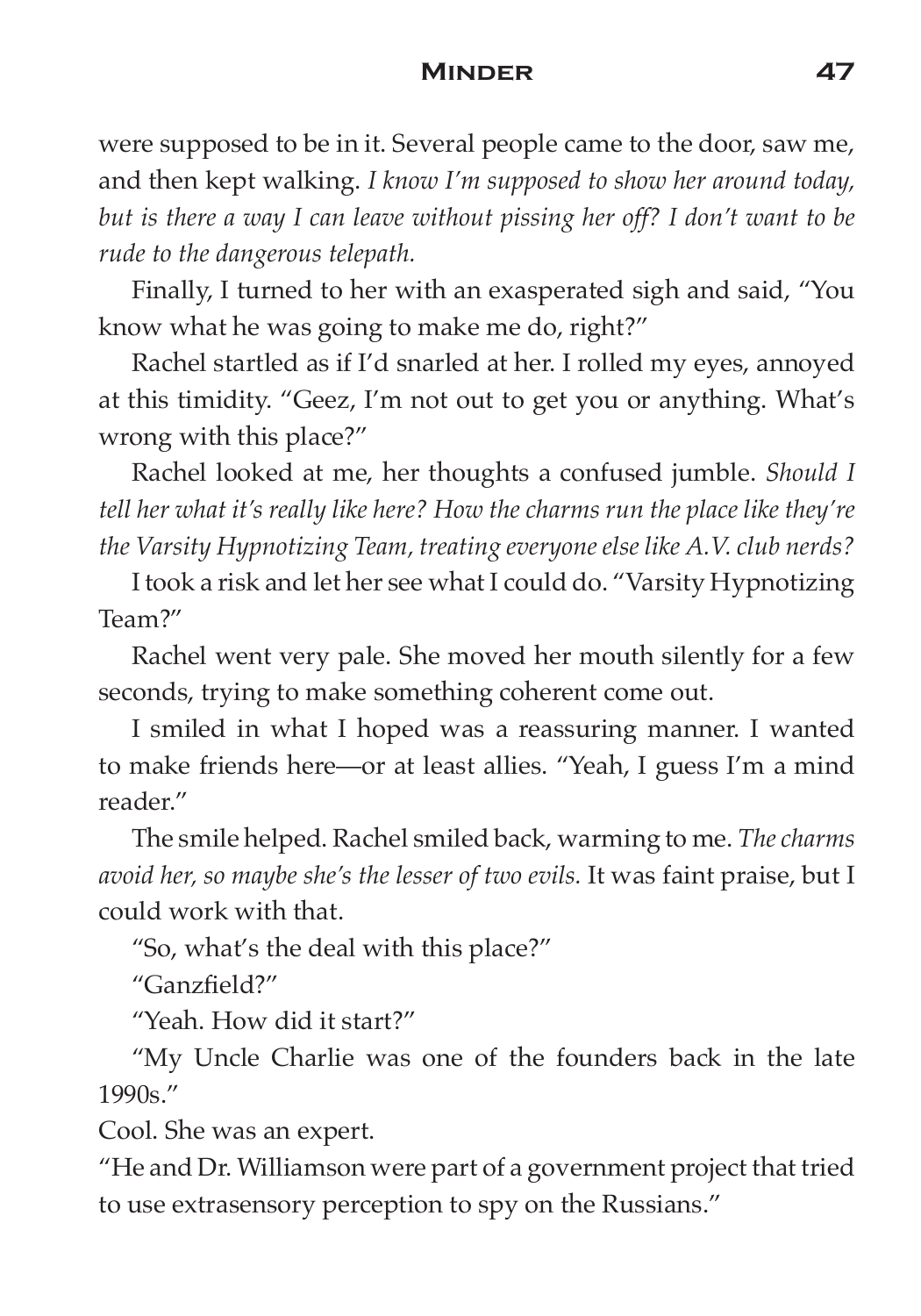were supposed to be in it. Several people came to the door, saw me, and then kept walking. *I know I'm supposed to show her around today, but is there a way I can leave without pissing her off? I don't want to be rude to the dangerous telepath.* 

Finally, I turned to her with an exasperated sigh and said, "You know what he was going to make me do, right?"

Rachel startled as if I'd snarled at her. I rolled my eyes, annoyed at this timidity. "Geez, I'm not out to get you or anything. What's wrong with this place?"

Rachel looked at me, her thoughts a confused jumble. *Should I tell her what it's really like here? How the charms run the place like they're the Varsity Hypnotizing Team, treating everyone else like A.V. club nerds?*

I took a risk and let her see what I could do. "Varsity Hypnotizing Team?"

Rachel went very pale. She moved her mouth silently for a few seconds, trying to make something coherent come out.

I smiled in what I hoped was a reassuring manner. I wanted to make friends here—or at least allies. "Yeah, I guess I'm a mind reader."

The smile helped. Rachel smiled back, warming to me. *The charms avoid her, so maybe she's the lesser of two evils.* It was faint praise, but I could work with that.

"So, what's the deal with this place?"

"Ganzfield?"

"Yeah. How did it start?"

"My Uncle Charlie was one of the founders back in the late 1990s."

Cool. She was an expert.

"He and Dr. Williamson were part of a government project that tried to use extrasensory perception to spy on the Russians."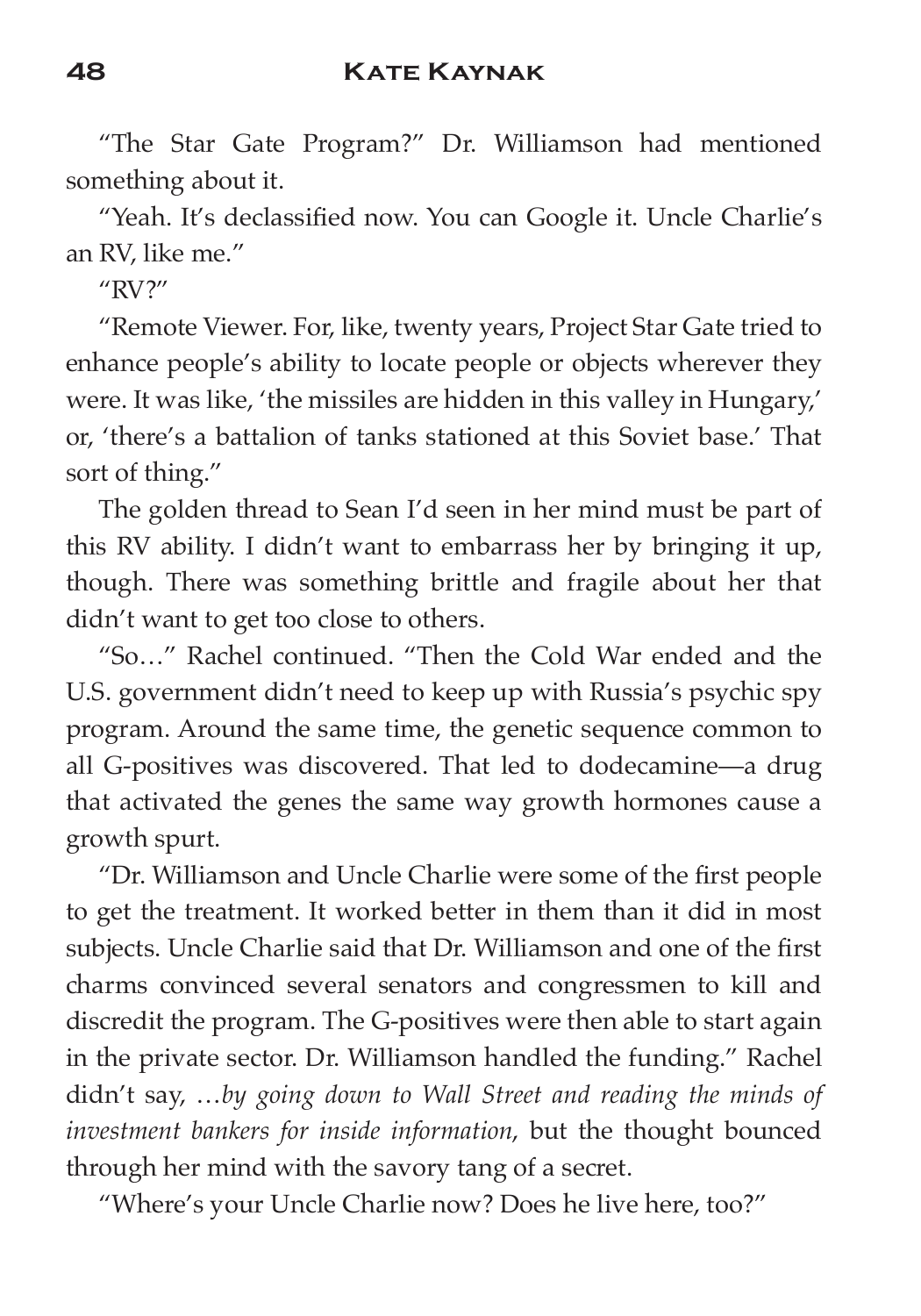"The Star Gate Program?" Dr. Williamson had mentioned something about it.

"Yeah. It's declassified now. You can Google it. Uncle Charlie's an RV, like me."

"RV?"

"Remote Viewer. For, like, twenty years, Project Star Gate tried to enhance people's ability to locate people or objects wherever they were. It was like, 'the missiles are hidden in this valley in Hungary,' or, 'there's a battalion of tanks stationed at this Soviet base.' That sort of thing."

The golden thread to Sean I'd seen in her mind must be part of this RV ability. I didn't want to embarrass her by bringing it up, though. There was something brittle and fragile about her that didn't want to get too close to others.

"So…" Rachel continued. "Then the Cold War ended and the U.S. government didn't need to keep up with Russia's psychic spy program. Around the same time, the genetic sequence common to all G-positives was discovered. That led to dodecamine—a drug that activated the genes the same way growth hormones cause a growth spurt.

"Dr. Williamson and Uncle Charlie were some of the first people to get the treatment. It worked better in them than it did in most subjects. Uncle Charlie said that Dr. Williamson and one of the first charms convinced several senators and congressmen to kill and discredit the program. The G-positives were then able to start again in the private sector. Dr. Williamson handled the funding." Rachel didn't say, …*by going down to Wall Street and reading the minds of investment bankers for inside information*, but the thought bounced through her mind with the savory tang of a secret.

"Where's your Uncle Charlie now? Does he live here, too?"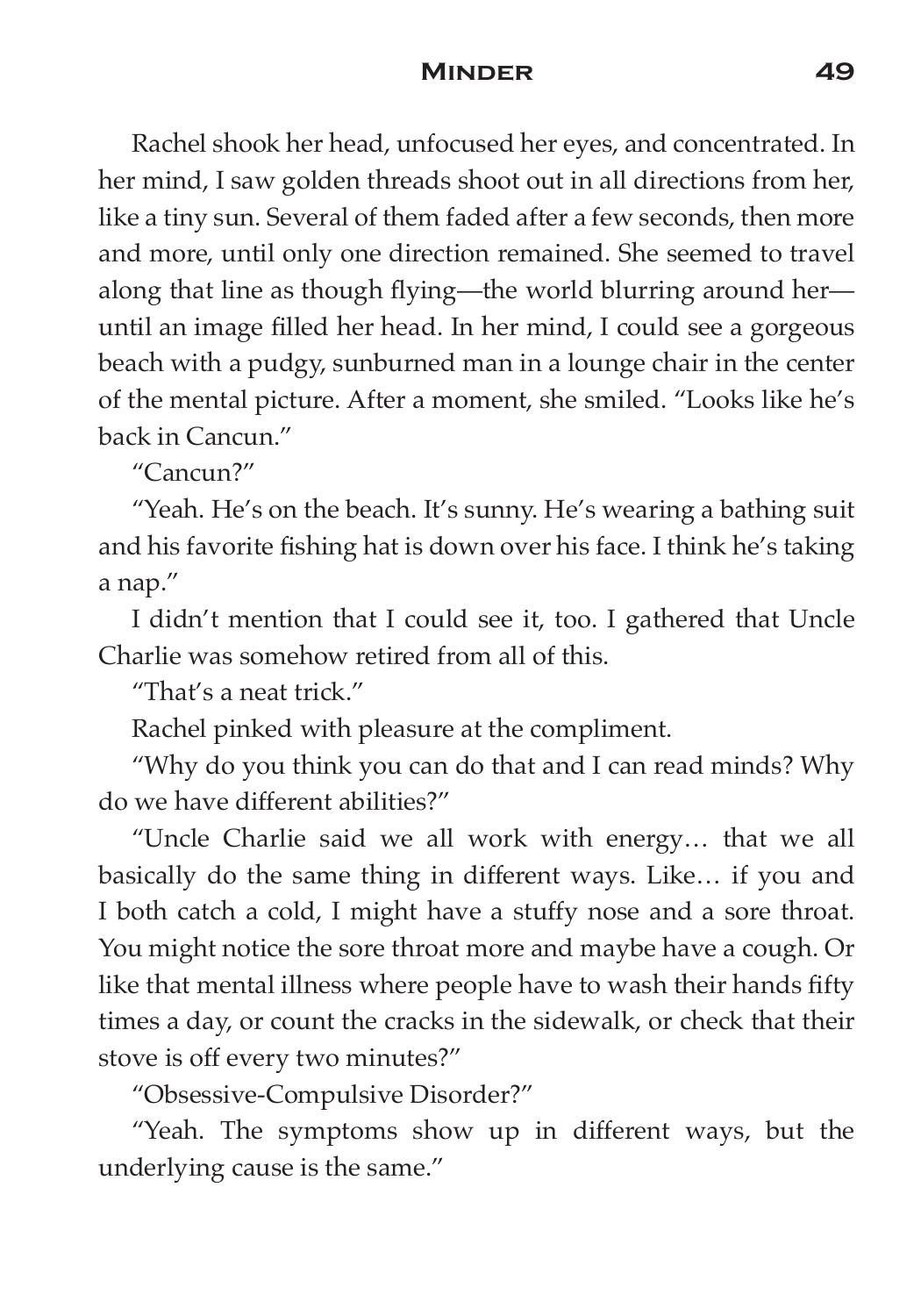Rachel shook her head, unfocused her eyes, and concentrated. In her mind, I saw golden threads shoot out in all directions from her, like a tiny sun. Several of them faded after a few seconds, then more and more, until only one direction remained. She seemed to travel along that line as though flying—the world blurring around her until an image filled her head. In her mind, I could see a gorgeous beach with a pudgy, sunburned man in a lounge chair in the center of the mental picture. After a moment, she smiled. "Looks like he's back in Cancun."

"Cancun?"

"Yeah. He's on the beach. It's sunny. He's wearing a bathing suit and his favorite fishing hat is down over his face. I think he's taking a nap."

I didn't mention that I could see it, too. I gathered that Uncle Charlie was somehow retired from all of this.

"That's a neat trick."

Rachel pinked with pleasure at the compliment.

"Why do you think you can do that and I can read minds? Why do we have different abilities?"

"Uncle Charlie said we all work with energy… that we all basically do the same thing in different ways. Like… if you and I both catch a cold, I might have a stuffy nose and a sore throat. You might notice the sore throat more and maybe have a cough. Or like that mental illness where people have to wash their hands fifty times a day, or count the cracks in the sidewalk, or check that their stove is off every two minutes?"

"Obsessive-Compulsive Disorder?"

"Yeah. The symptoms show up in different ways, but the underlying cause is the same."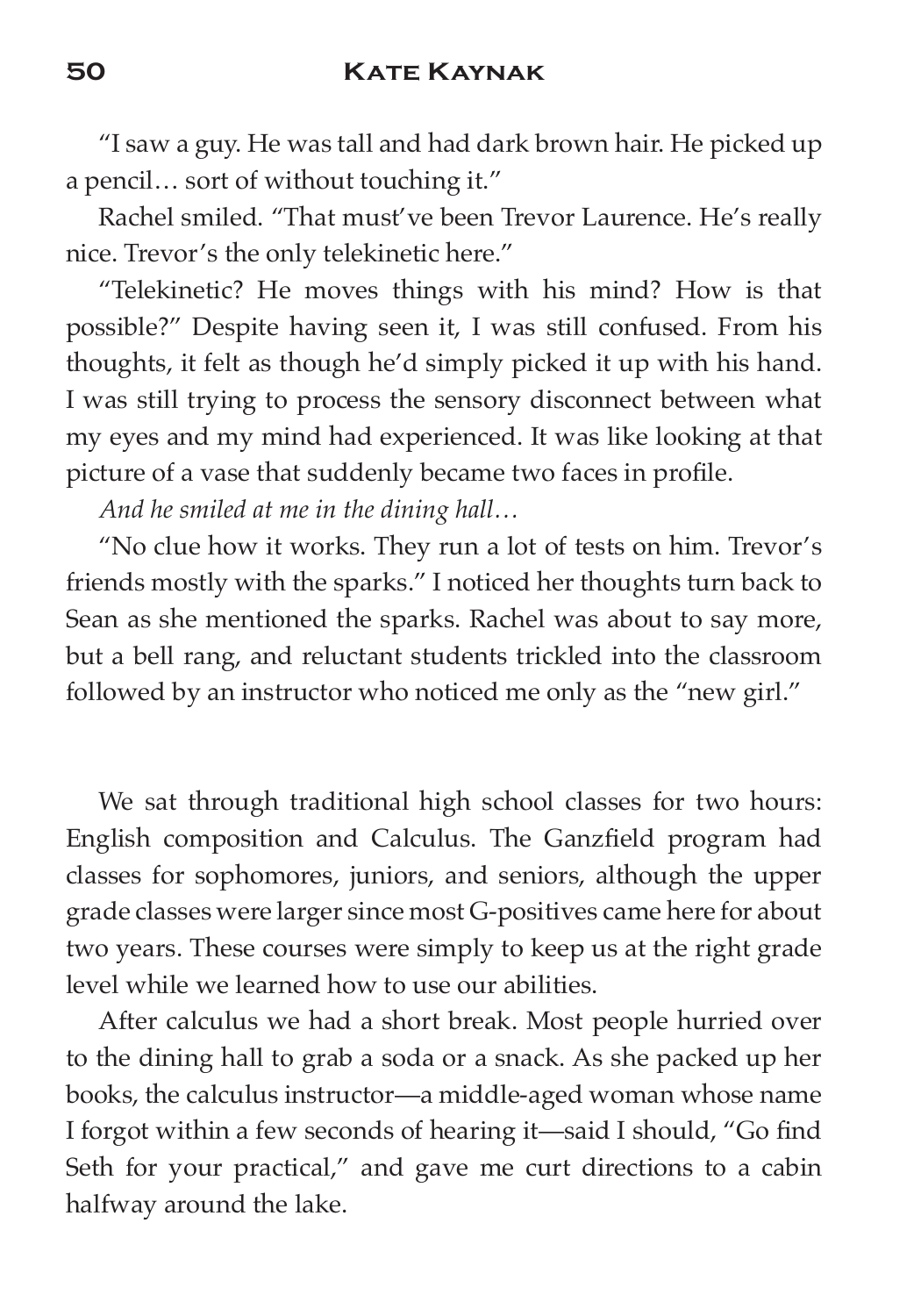"I saw a guy. He was tall and had dark brown hair. He picked up a pencil… sort of without touching it."

Rachel smiled. "That must've been Trevor Laurence. He's really nice. Trevor's the only telekinetic here."

"Telekinetic? He moves things with his mind? How is that possible?" Despite having seen it, I was still confused. From his thoughts, it felt as though he'd simply picked it up with his hand. I was still trying to process the sensory disconnect between what my eyes and my mind had experienced. It was like looking at that picture of a vase that suddenly became two faces in profile.

*And he smiled at me in the dining hall…* 

"No clue how it works. They run a lot of tests on him. Trevor's friends mostly with the sparks." I noticed her thoughts turn back to Sean as she mentioned the sparks. Rachel was about to say more, but a bell rang, and reluctant students trickled into the classroom followed by an instructor who noticed me only as the "new girl."

We sat through traditional high school classes for two hours: English composition and Calculus. The Ganzfield program had classes for sophomores, juniors, and seniors, although the upper grade classes were larger since most G-positives came here for about two years. These courses were simply to keep us at the right grade level while we learned how to use our abilities.

After calculus we had a short break. Most people hurried over to the dining hall to grab a soda or a snack. As she packed up her books, the calculus instructor—a middle-aged woman whose name I forgot within a few seconds of hearing it—said I should, "Go find Seth for your practical," and gave me curt directions to a cabin halfway around the lake.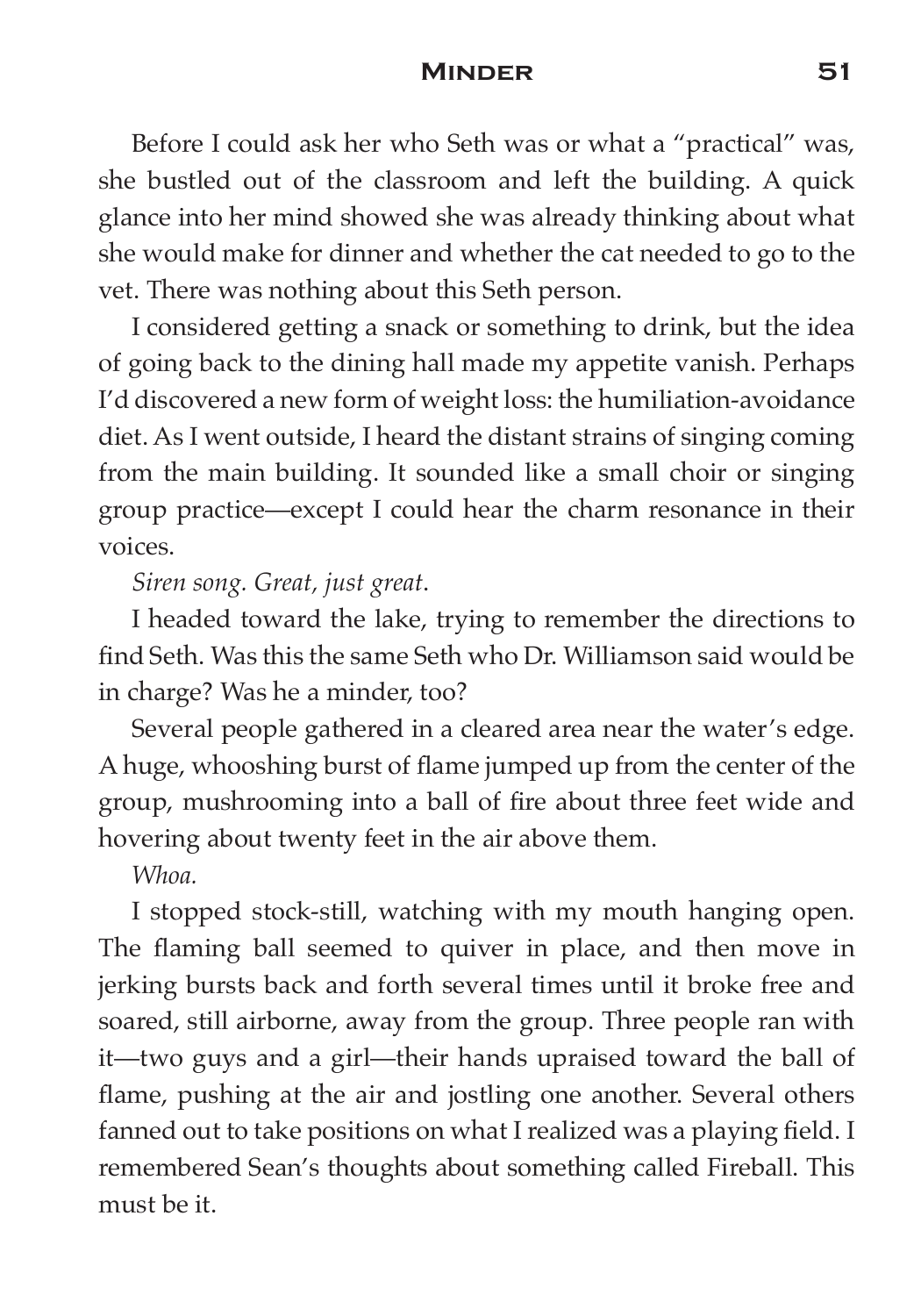Before I could ask her who Seth was or what a "practical" was, she bustled out of the classroom and left the building. A quick glance into her mind showed she was already thinking about what she would make for dinner and whether the cat needed to go to the vet. There was nothing about this Seth person.

I considered getting a snack or something to drink, but the idea of going back to the dining hall made my appetite vanish. Perhaps I'd discovered a new form of weight loss: the humiliation-avoidance diet. As I went outside, I heard the distant strains of singing coming from the main building. It sounded like a small choir or singing group practice—except I could hear the charm resonance in their voices.

## *Siren song. Great, just great*.

I headed toward the lake, trying to remember the directions to find Seth. Was this the same Seth who Dr. Williamson said would be in charge? Was he a minder, too?

Several people gathered in a cleared area near the water's edge. A huge, whooshing burst of flame jumped up from the center of the group, mushrooming into a ball of fire about three feet wide and hovering about twenty feet in the air above them.

*Whoa.*

I stopped stock-still, watching with my mouth hanging open. The flaming ball seemed to quiver in place, and then move in jerking bursts back and forth several times until it broke free and soared, still airborne, away from the group. Three people ran with it—two guys and a girl—their hands upraised toward the ball of flame, pushing at the air and jostling one another. Several others fanned out to take positions on what I realized was a playing field. I remembered Sean's thoughts about something called Fireball. This must be it.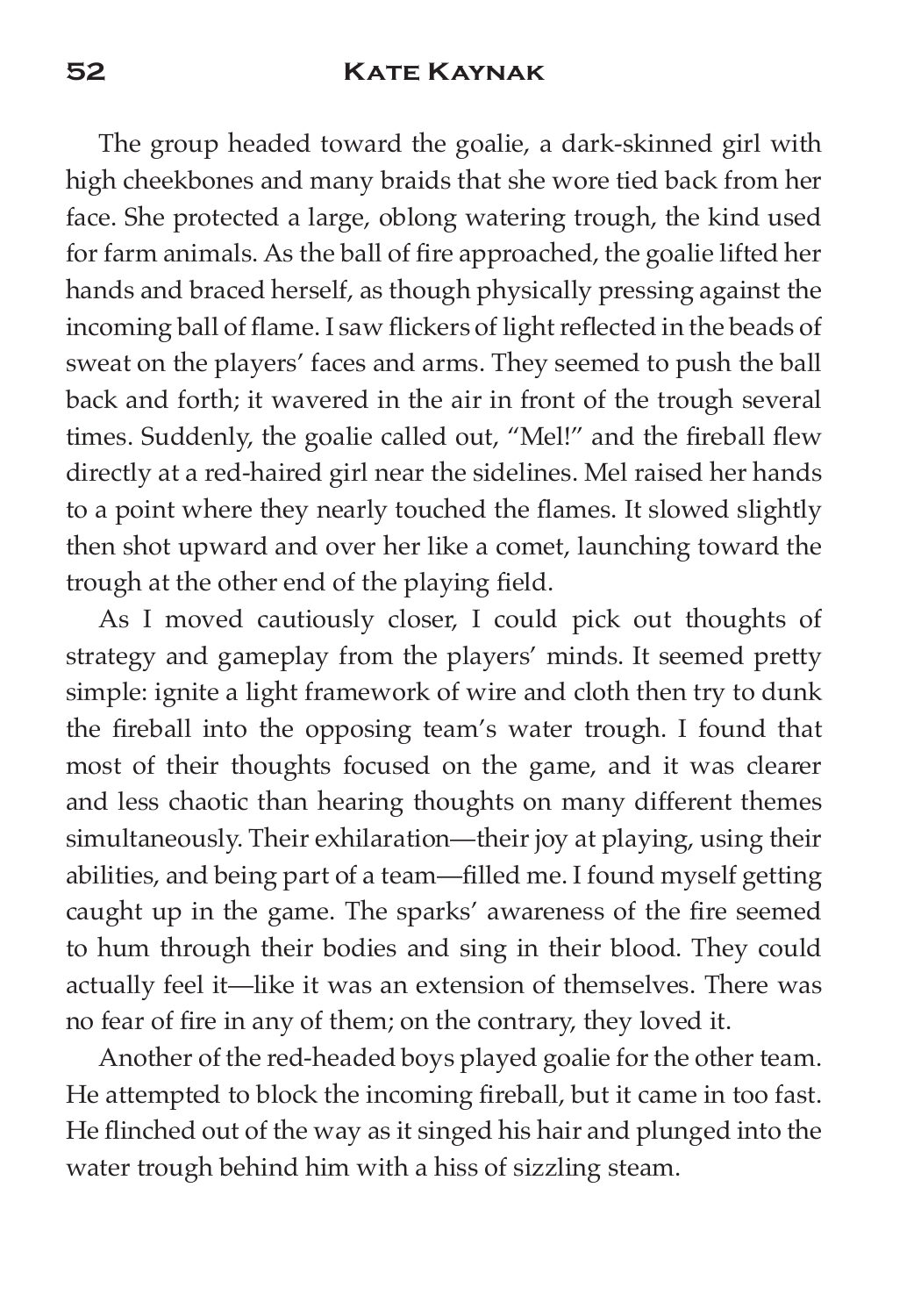#### **52 Kate Kaynak**

The group headed toward the goalie, a dark-skinned girl with high cheekbones and many braids that she wore tied back from her face. She protected a large, oblong watering trough, the kind used for farm animals. As the ball of fire approached, the goalie lifted her hands and braced herself, as though physically pressing against the incoming ball of flame. I saw flickers of light reflected in the beads of sweat on the players' faces and arms. They seemed to push the ball back and forth; it wavered in the air in front of the trough several times. Suddenly, the goalie called out, "Mel!" and the fireball flew directly at a red-haired girl near the sidelines. Mel raised her hands to a point where they nearly touched the flames. It slowed slightly then shot upward and over her like a comet, launching toward the trough at the other end of the playing field.

As I moved cautiously closer, I could pick out thoughts of strategy and gameplay from the players' minds. It seemed pretty simple: ignite a light framework of wire and cloth then try to dunk the fireball into the opposing team's water trough. I found that most of their thoughts focused on the game, and it was clearer and less chaotic than hearing thoughts on many different themes simultaneously. Their exhilaration—their joy at playing, using their abilities, and being part of a team—filled me. I found myself getting caught up in the game. The sparks' awareness of the fire seemed to hum through their bodies and sing in their blood. They could actually feel it—like it was an extension of themselves. There was no fear of fire in any of them; on the contrary, they loved it.

Another of the red-headed boys played goalie for the other team. He attempted to block the incoming fireball, but it came in too fast. He flinched out of the way as it singed his hair and plunged into the water trough behind him with a hiss of sizzling steam.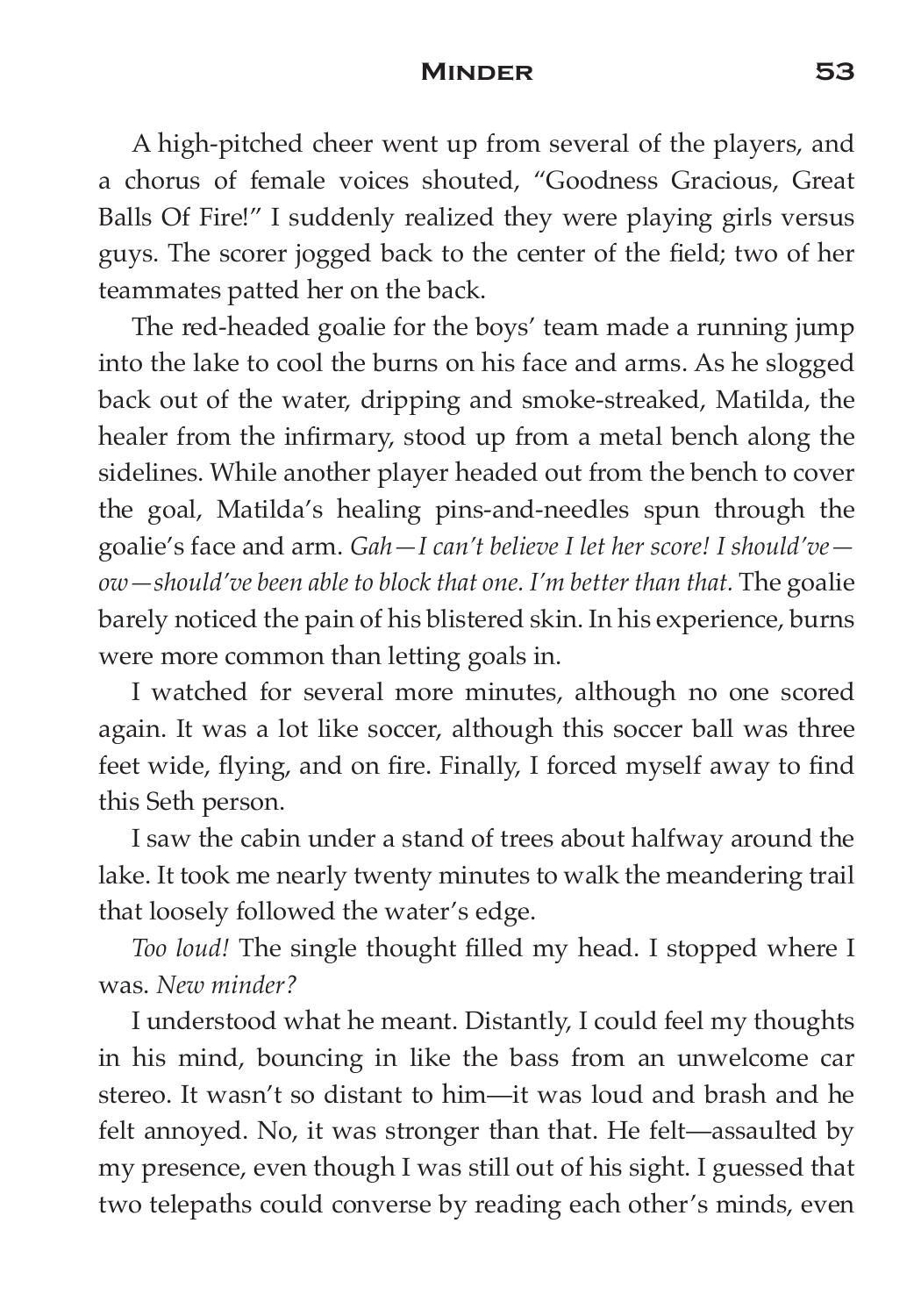A high-pitched cheer went up from several of the players, and a chorus of female voices shouted, "Goodness Gracious, Great Balls Of Fire!" I suddenly realized they were playing girls versus guys. The scorer jogged back to the center of the field; two of her teammates patted her on the back.

The red-headed goalie for the boys' team made a running jump into the lake to cool the burns on his face and arms. As he slogged back out of the water, dripping and smoke-streaked, Matilda, the healer from the infirmary, stood up from a metal bench along the sidelines. While another player headed out from the bench to cover the goal, Matilda's healing pins-and-needles spun through the goalie's face and arm. *Gah—I can't believe I let her score! I should've ow—should've been able to block that one. I'm better than that.* The goalie barely noticed the pain of his blistered skin. In his experience, burns were more common than letting goals in.

I watched for several more minutes, although no one scored again. It was a lot like soccer, although this soccer ball was three feet wide, flying, and on fire. Finally, I forced myself away to find this Seth person.

I saw the cabin under a stand of trees about halfway around the lake. It took me nearly twenty minutes to walk the meandering trail that loosely followed the water's edge.

*Too loud!* The single thought filled my head. I stopped where I was. *New minder?* 

I understood what he meant. Distantly, I could feel my thoughts in his mind, bouncing in like the bass from an unwelcome car stereo. It wasn't so distant to him—it was loud and brash and he felt annoyed. No, it was stronger than that. He felt—assaulted by my presence, even though I was still out of his sight. I guessed that two telepaths could converse by reading each other's minds, even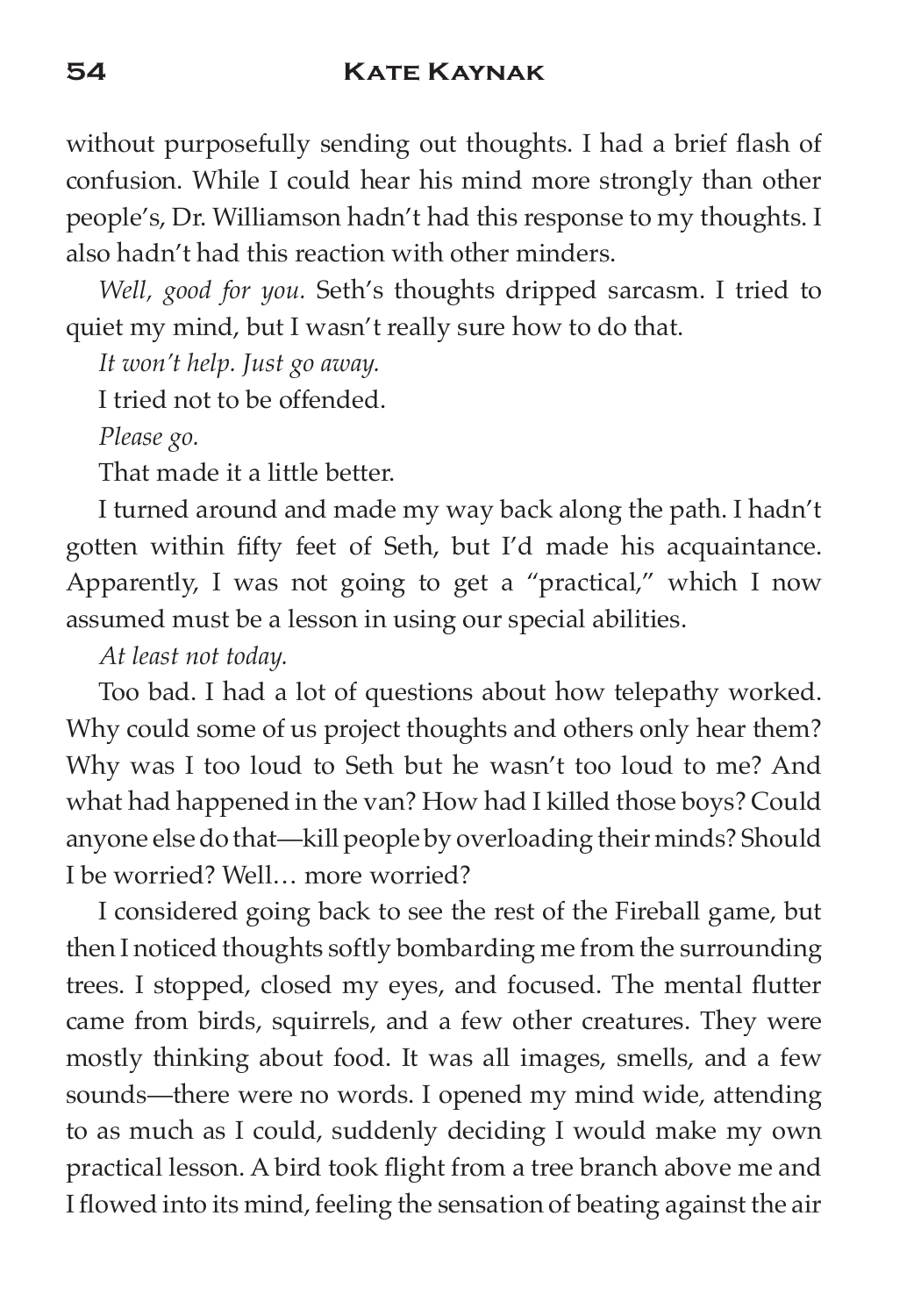without purposefully sending out thoughts. I had a brief flash of confusion. While I could hear his mind more strongly than other people's, Dr. Williamson hadn't had this response to my thoughts. I also hadn't had this reaction with other minders.

*Well, good for you.* Seth's thoughts dripped sarcasm. I tried to quiet my mind, but I wasn't really sure how to do that.

*It won't help. Just go away.* 

I tried not to be offended.

*Please go.* 

That made it a little better.

I turned around and made my way back along the path. I hadn't gotten within fifty feet of Seth, but I'd made his acquaintance. Apparently, I was not going to get a "practical," which I now assumed must be a lesson in using our special abilities.

*At least not today.* 

Too bad. I had a lot of questions about how telepathy worked. Why could some of us project thoughts and others only hear them? Why was I too loud to Seth but he wasn't too loud to me? And what had happened in the van? How had I killed those boys? Could anyone else do that—kill people by overloading their minds? Should I be worried? Well… more worried?

I considered going back to see the rest of the Fireball game, but then I noticed thoughts softly bombarding me from the surrounding trees. I stopped, closed my eyes, and focused. The mental flutter came from birds, squirrels, and a few other creatures. They were mostly thinking about food. It was all images, smells, and a few sounds—there were no words. I opened my mind wide, attending to as much as I could, suddenly deciding I would make my own practical lesson. A bird took flight from a tree branch above me and I flowed into its mind, feeling the sensation of beating against the air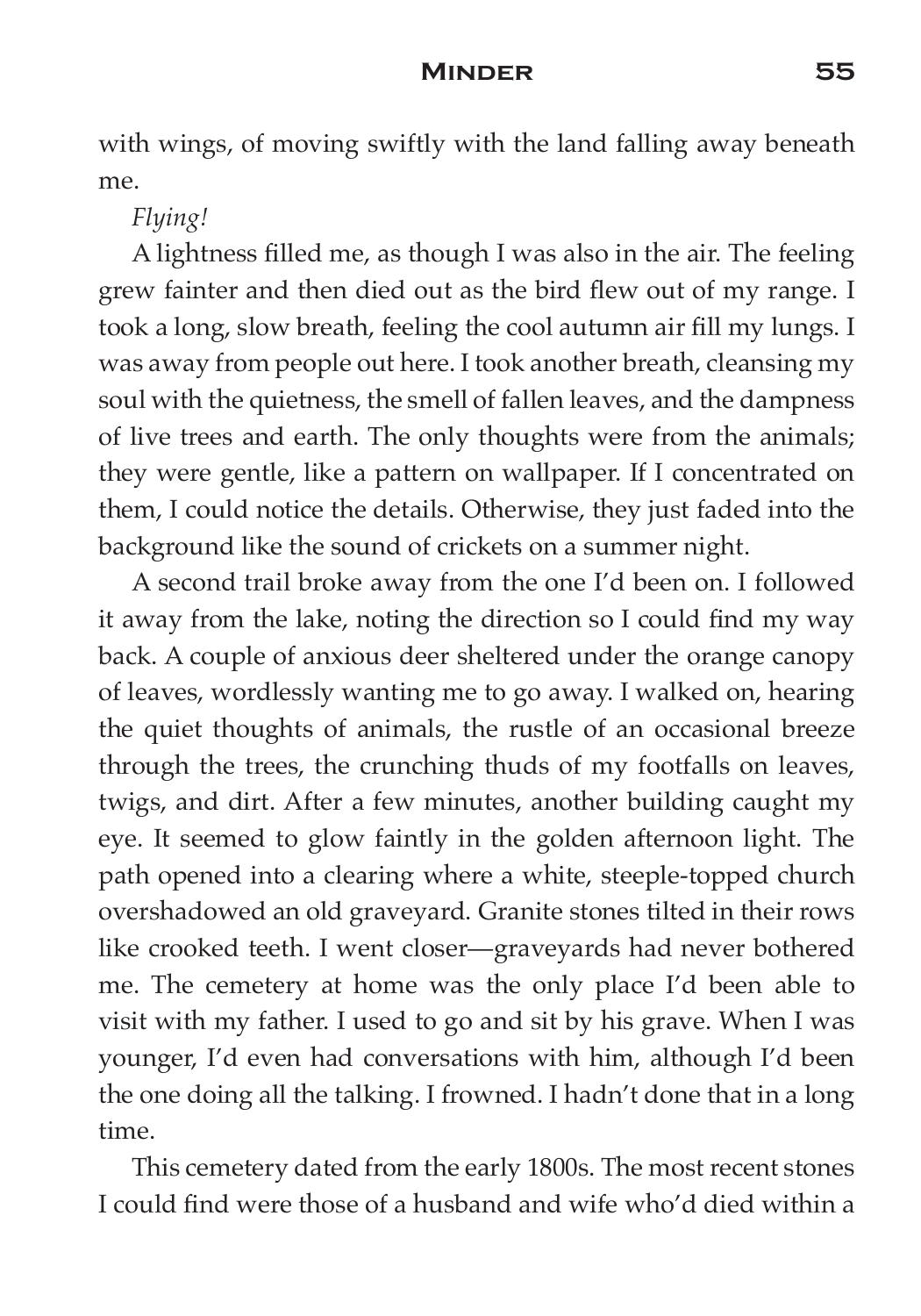with wings, of moving swiftly with the land falling away beneath me.

# *Flying!*

A lightness filled me, as though I was also in the air. The feeling grew fainter and then died out as the bird flew out of my range. I took a long, slow breath, feeling the cool autumn air fill my lungs. I was away from people out here. I took another breath, cleansing my soul with the quietness, the smell of fallen leaves, and the dampness of live trees and earth. The only thoughts were from the animals; they were gentle, like a pattern on wallpaper. If I concentrated on them, I could notice the details. Otherwise, they just faded into the background like the sound of crickets on a summer night.

A second trail broke away from the one I'd been on. I followed it away from the lake, noting the direction so I could find my way back. A couple of anxious deer sheltered under the orange canopy of leaves, wordlessly wanting me to go away. I walked on, hearing the quiet thoughts of animals, the rustle of an occasional breeze through the trees, the crunching thuds of my footfalls on leaves, twigs, and dirt. After a few minutes, another building caught my eye. It seemed to glow faintly in the golden afternoon light. The path opened into a clearing where a white, steeple-topped church overshadowed an old graveyard. Granite stones tilted in their rows like crooked teeth. I went closer—graveyards had never bothered me. The cemetery at home was the only place I'd been able to visit with my father. I used to go and sit by his grave. When I was younger, I'd even had conversations with him, although I'd been the one doing all the talking. I frowned. I hadn't done that in a long time.

This cemetery dated from the early 1800s. The most recent stones I could find were those of a husband and wife who'd died within a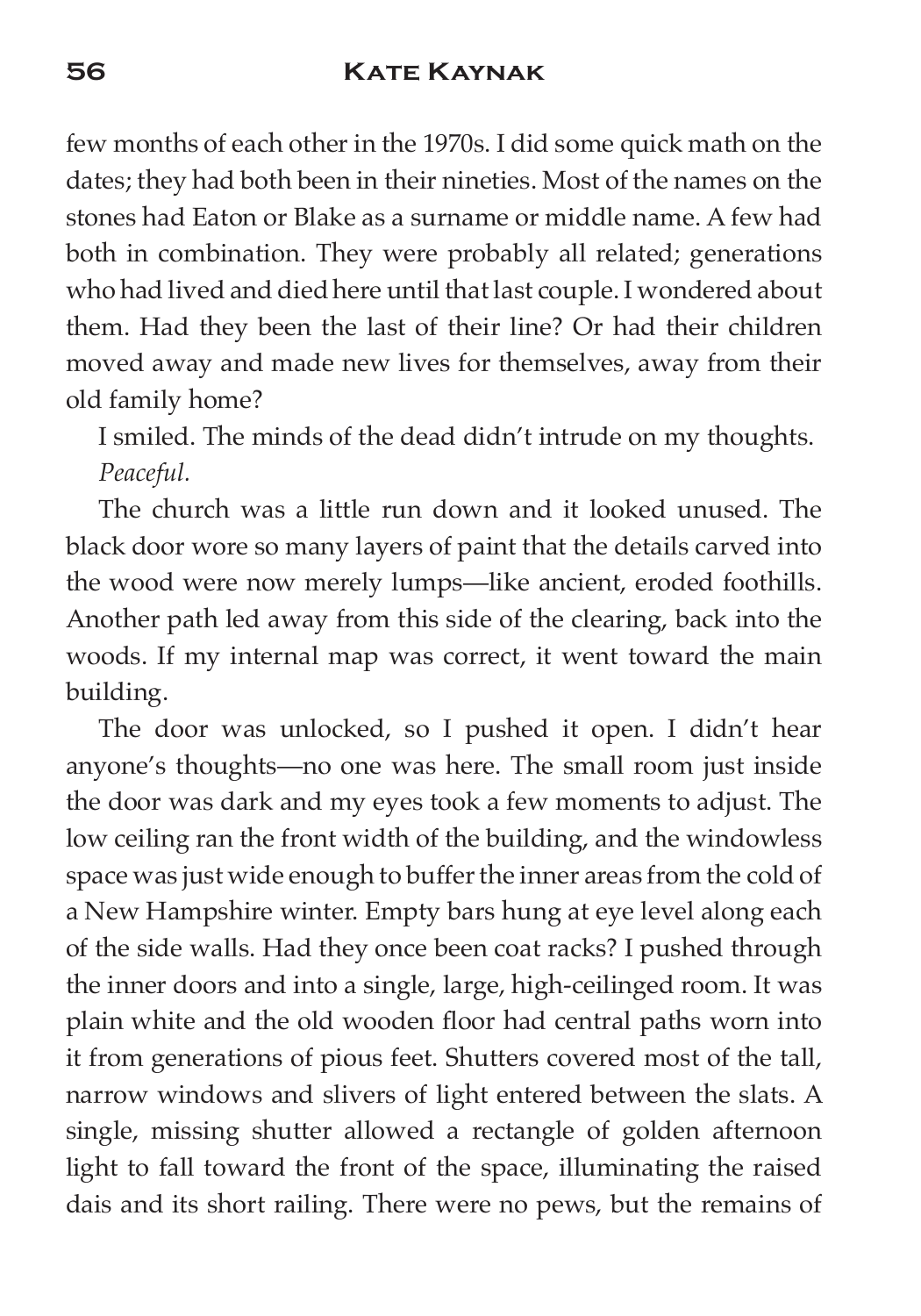few months of each other in the 1970s. I did some quick math on the dates; they had both been in their nineties. Most of the names on the stones had Eaton or Blake as a surname or middle name. A few had both in combination. They were probably all related; generations who had lived and died here until that last couple. I wondered about them. Had they been the last of their line? Or had their children moved away and made new lives for themselves, away from their old family home?

I smiled. The minds of the dead didn't intrude on my thoughts. *Peaceful.*

The church was a little run down and it looked unused. The black door wore so many layers of paint that the details carved into the wood were now merely lumps—like ancient, eroded foothills. Another path led away from this side of the clearing, back into the woods. If my internal map was correct, it went toward the main building.

The door was unlocked, so I pushed it open. I didn't hear anyone's thoughts—no one was here. The small room just inside the door was dark and my eyes took a few moments to adjust. The low ceiling ran the front width of the building, and the windowless space was just wide enough to buffer the inner areas from the cold of a New Hampshire winter. Empty bars hung at eye level along each of the side walls. Had they once been coat racks? I pushed through the inner doors and into a single, large, high-ceilinged room. It was plain white and the old wooden floor had central paths worn into it from generations of pious feet. Shutters covered most of the tall, narrow windows and slivers of light entered between the slats. A single, missing shutter allowed a rectangle of golden afternoon light to fall toward the front of the space, illuminating the raised dais and its short railing. There were no pews, but the remains of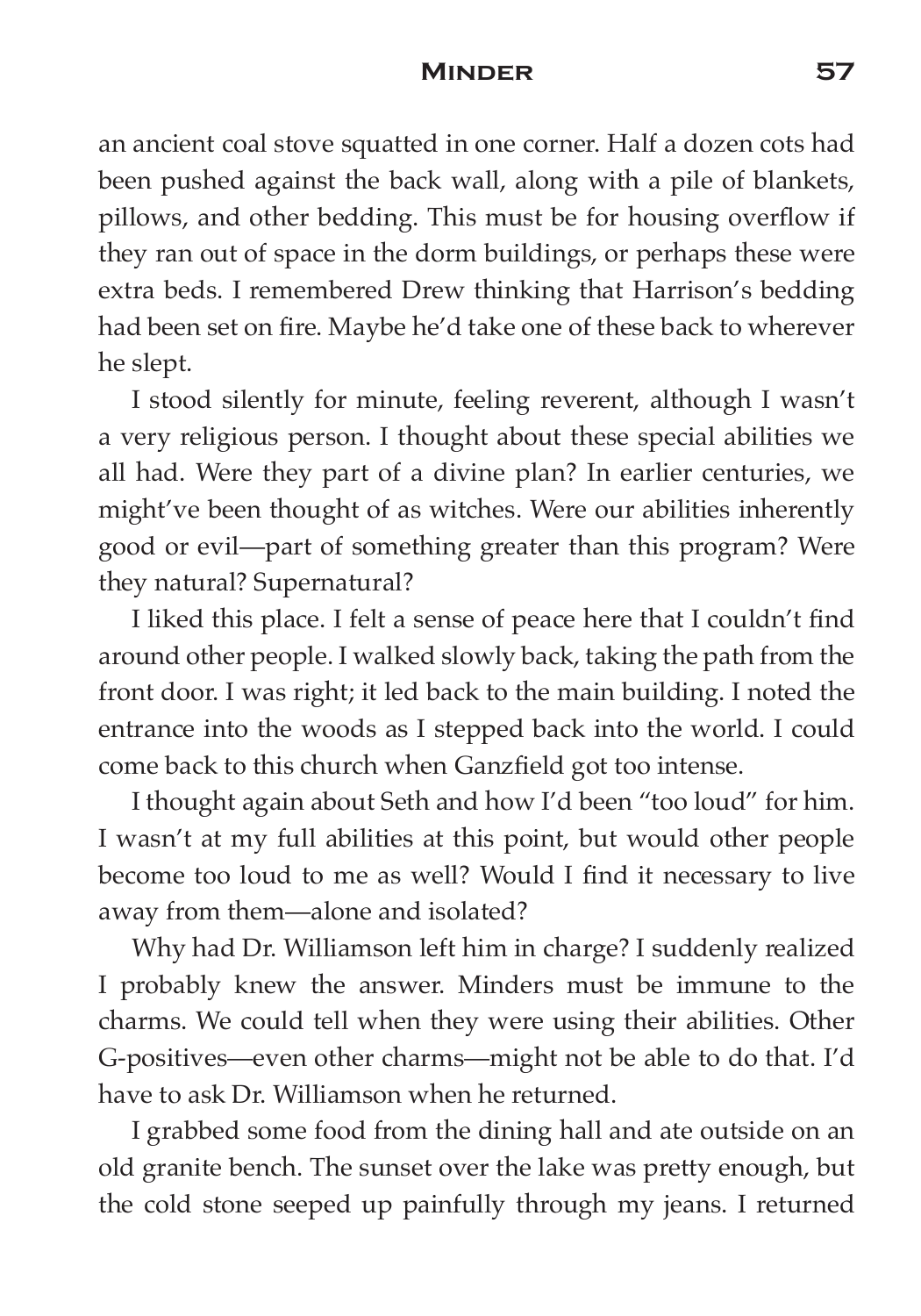an ancient coal stove squatted in one corner. Half a dozen cots had been pushed against the back wall, along with a pile of blankets, pillows, and other bedding. This must be for housing overflow if they ran out of space in the dorm buildings, or perhaps these were extra beds. I remembered Drew thinking that Harrison's bedding had been set on fire. Maybe he'd take one of these back to wherever he slept.

I stood silently for minute, feeling reverent, although I wasn't a very religious person. I thought about these special abilities we all had. Were they part of a divine plan? In earlier centuries, we might've been thought of as witches. Were our abilities inherently good or evil—part of something greater than this program? Were they natural? Supernatural?

I liked this place. I felt a sense of peace here that I couldn't find around other people. I walked slowly back, taking the path from the front door. I was right; it led back to the main building. I noted the entrance into the woods as I stepped back into the world. I could come back to this church when Ganzfield got too intense.

I thought again about Seth and how I'd been "too loud" for him. I wasn't at my full abilities at this point, but would other people become too loud to me as well? Would I find it necessary to live away from them—alone and isolated?

Why had Dr. Williamson left him in charge? I suddenly realized I probably knew the answer. Minders must be immune to the charms. We could tell when they were using their abilities. Other G-positives—even other charms—might not be able to do that. I'd have to ask Dr. Williamson when he returned.

I grabbed some food from the dining hall and ate outside on an old granite bench. The sunset over the lake was pretty enough, but the cold stone seeped up painfully through my jeans. I returned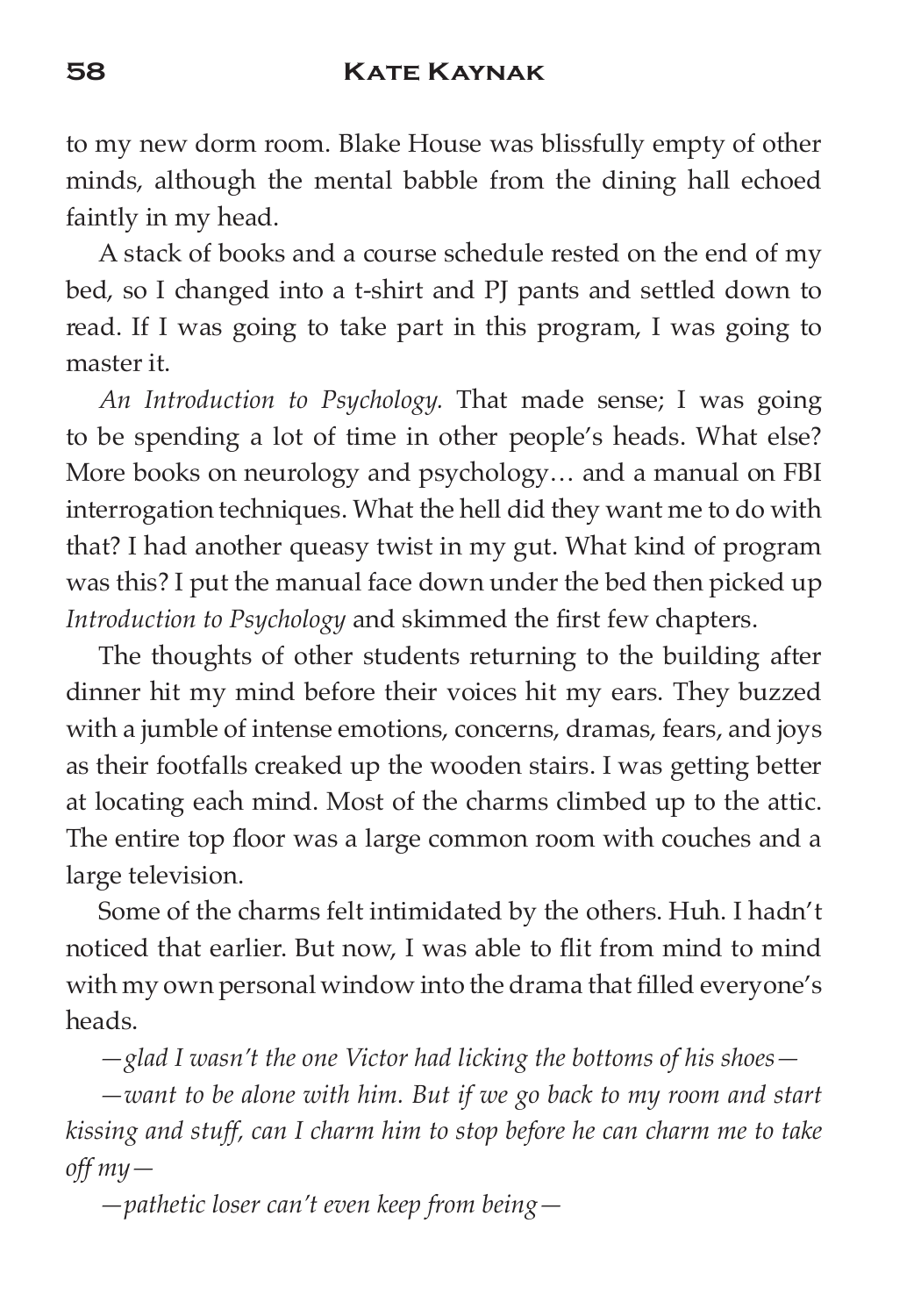to my new dorm room. Blake House was blissfully empty of other minds, although the mental babble from the dining hall echoed faintly in my head.

A stack of books and a course schedule rested on the end of my bed, so I changed into a t-shirt and PJ pants and settled down to read. If I was going to take part in this program, I was going to master it.

*An Introduction to Psychology.* That made sense; I was going to be spending a lot of time in other people's heads. What else? More books on neurology and psychology… and a manual on FBI interrogation techniques. What the hell did they want me to do with that? I had another queasy twist in my gut. What kind of program was this? I put the manual face down under the bed then picked up *Introduction to Psychology* and skimmed the first few chapters.

The thoughts of other students returning to the building after dinner hit my mind before their voices hit my ears. They buzzed with a jumble of intense emotions, concerns, dramas, fears, and joys as their footfalls creaked up the wooden stairs. I was getting better at locating each mind. Most of the charms climbed up to the attic. The entire top floor was a large common room with couches and a large television.

Some of the charms felt intimidated by the others. Huh. I hadn't noticed that earlier. But now, I was able to flit from mind to mind with my own personal window into the drama that filled everyone's heads.

*—glad I wasn't the one Victor had licking the bottoms of his shoes—*

*—want to be alone with him. But if we go back to my room and start kissing and stuff, can I charm him to stop before he can charm me to take off my—*

*—pathetic loser can't even keep from being—*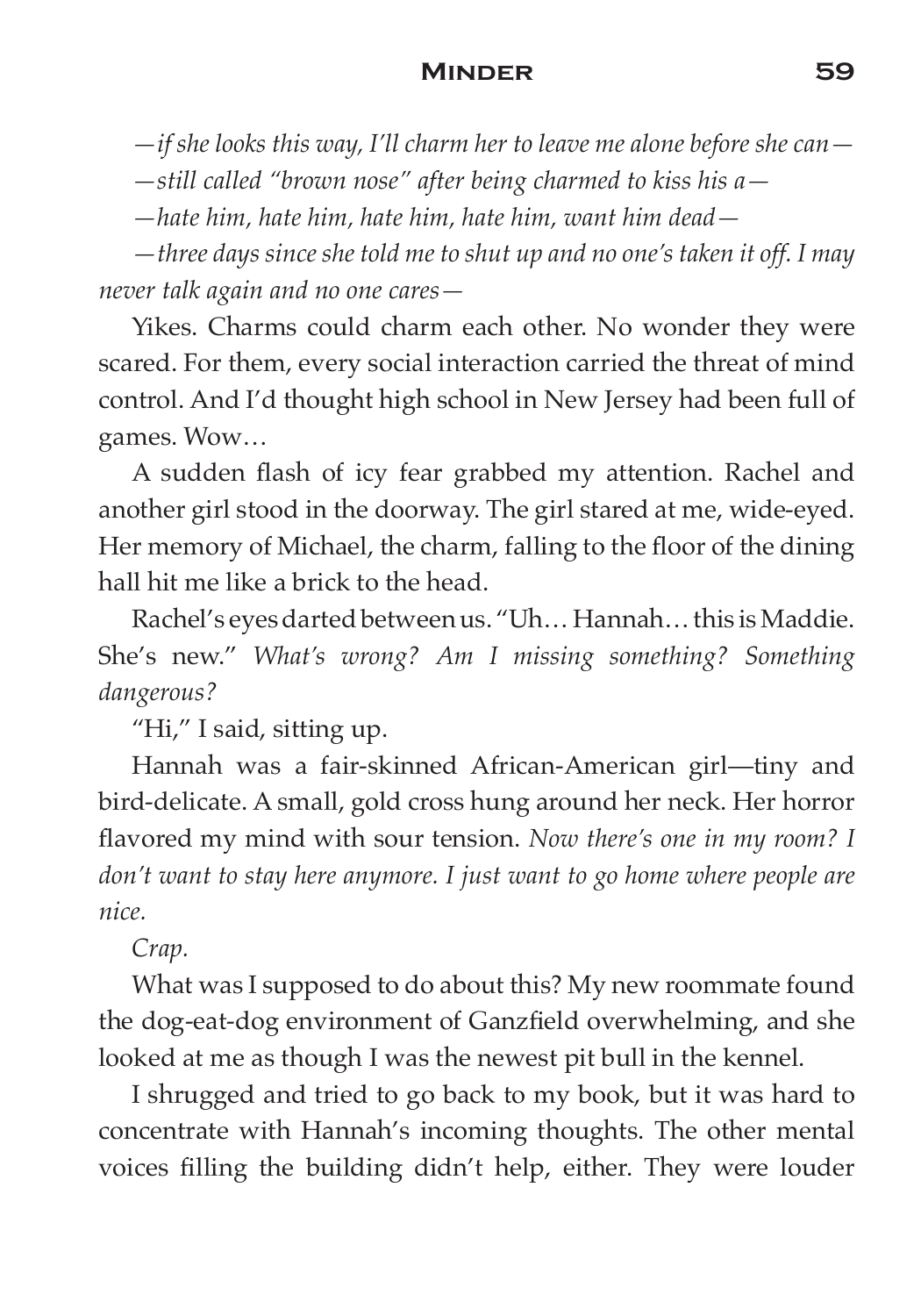*—if she looks this way, I'll charm her to leave me alone before she can—*

*—still called "brown nose" after being charmed to kiss his a—*

*—hate him, hate him, hate him, hate him, want him dead—*

*—three days since she told me to shut up and no one's taken it off. I may never talk again and no one cares—*

Yikes. Charms could charm each other. No wonder they were scared. For them, every social interaction carried the threat of mind control. And I'd thought high school in New Jersey had been full of games. Wow…

A sudden flash of icy fear grabbed my attention. Rachel and another girl stood in the doorway. The girl stared at me, wide-eyed. Her memory of Michael, the charm, falling to the floor of the dining hall hit me like a brick to the head.

Rachel's eyes darted between us. "Uh… Hannah… this is Maddie. She's new." *What's wrong? Am I missing something? Something dangerous?* 

"Hi," I said, sitting up.

Hannah was a fair-skinned African-American girl—tiny and bird-delicate. A small, gold cross hung around her neck. Her horror flavored my mind with sour tension. *Now there's one in my room? I don't want to stay here anymore. I just want to go home where people are nice.* 

*Crap.* 

What was I supposed to do about this? My new roommate found the dog-eat-dog environment of Ganzfield overwhelming, and she looked at me as though I was the newest pit bull in the kennel.

I shrugged and tried to go back to my book, but it was hard to concentrate with Hannah's incoming thoughts. The other mental voices filling the building didn't help, either. They were louder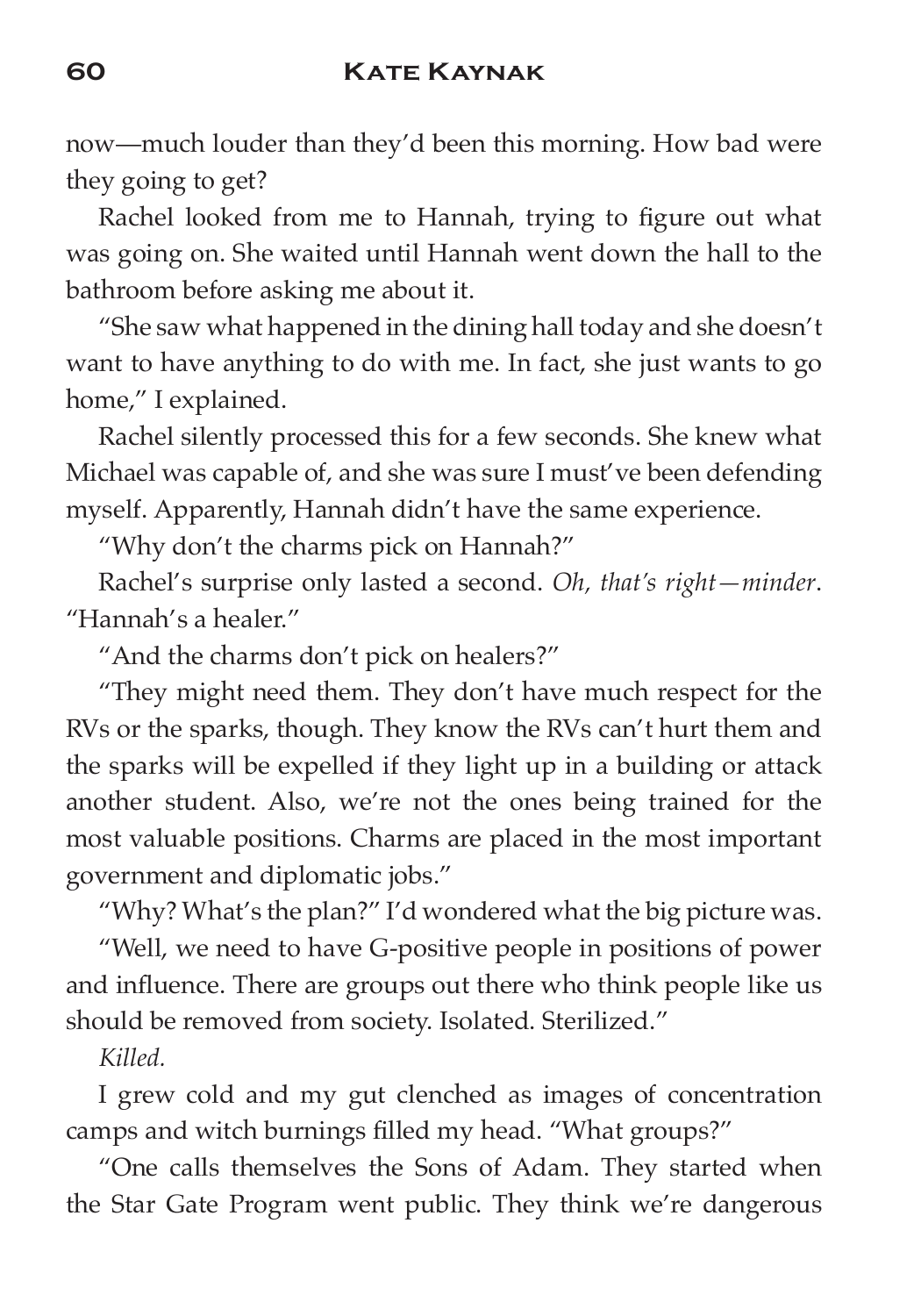now—much louder than they'd been this morning. How bad were they going to get?

Rachel looked from me to Hannah, trying to figure out what was going on. She waited until Hannah went down the hall to the bathroom before asking me about it.

"She saw what happened in the dining hall today and she doesn't want to have anything to do with me. In fact, she just wants to go home," I explained.

Rachel silently processed this for a few seconds. She knew what Michael was capable of, and she was sure I must've been defending myself. Apparently, Hannah didn't have the same experience.

"Why don't the charms pick on Hannah?"

Rachel's surprise only lasted a second. *Oh, that's right—minder*. "Hannah's a healer."

"And the charms don't pick on healers?"

"They might need them. They don't have much respect for the RVs or the sparks, though. They know the RVs can't hurt them and the sparks will be expelled if they light up in a building or attack another student. Also, we're not the ones being trained for the most valuable positions. Charms are placed in the most important government and diplomatic jobs."

"Why? What's the plan?" I'd wondered what the big picture was.

"Well, we need to have G-positive people in positions of power and influence. There are groups out there who think people like us should be removed from society. Isolated. Sterilized."

*Killed.* 

I grew cold and my gut clenched as images of concentration camps and witch burnings filled my head. "What groups?"

"One calls themselves the Sons of Adam. They started when the Star Gate Program went public. They think we're dangerous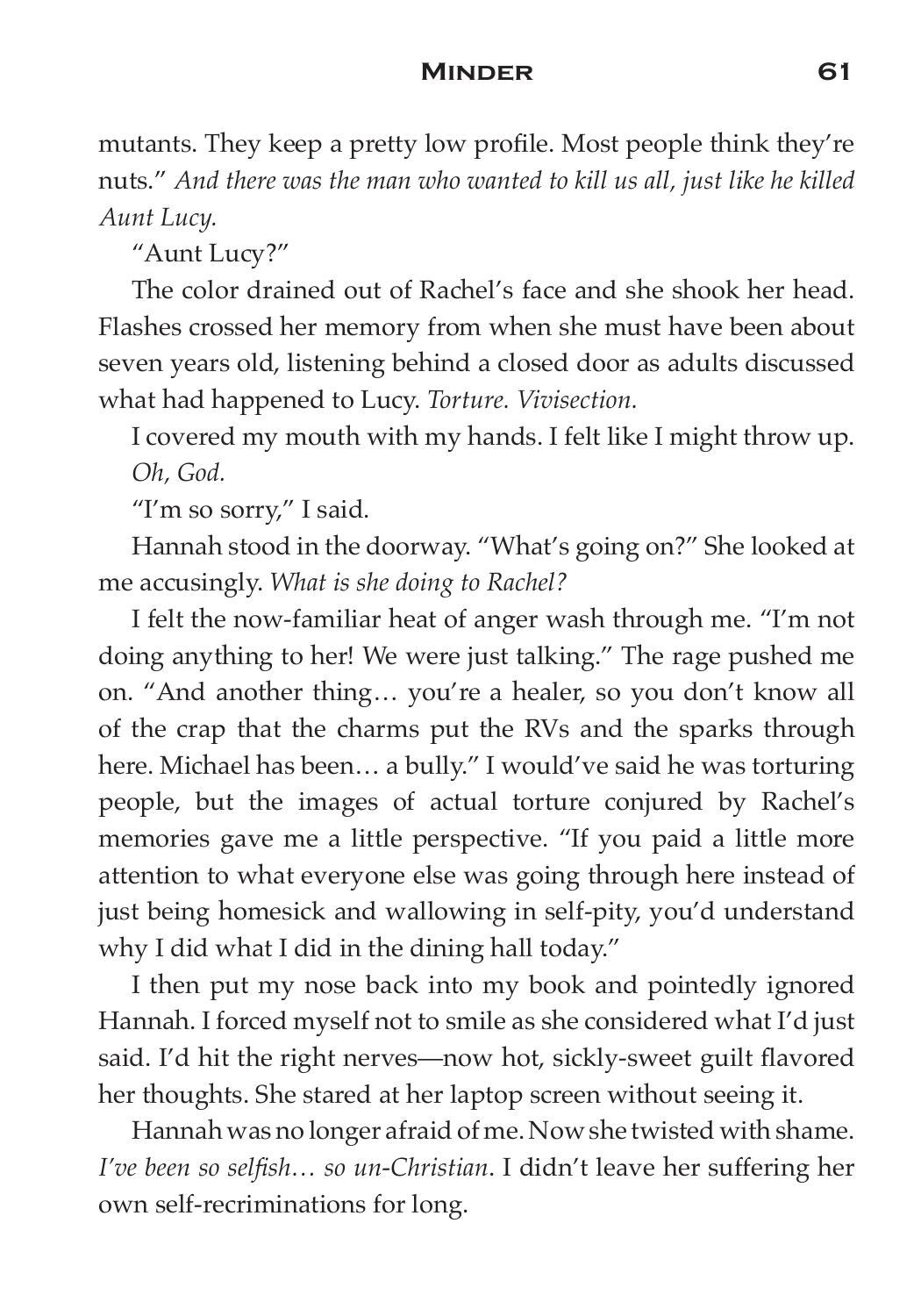mutants. They keep a pretty low profile. Most people think they're nuts." *And there was the man who wanted to kill us all, just like he killed Aunt Lucy.* 

"Aunt Lucy?"

The color drained out of Rachel's face and she shook her head. Flashes crossed her memory from when she must have been about seven years old, listening behind a closed door as adults discussed what had happened to Lucy. *Torture. Vivisection.*

I covered my mouth with my hands. I felt like I might throw up. *Oh, God.*

"I'm so sorry," I said.

Hannah stood in the doorway. "What's going on?" She looked at me accusingly. *What is she doing to Rachel?* 

I felt the now-familiar heat of anger wash through me. "I'm not doing anything to her! We were just talking." The rage pushed me on. "And another thing… you're a healer, so you don't know all of the crap that the charms put the RVs and the sparks through here. Michael has been… a bully." I would've said he was torturing people, but the images of actual torture conjured by Rachel's memories gave me a little perspective. "If you paid a little more attention to what everyone else was going through here instead of just being homesick and wallowing in self-pity, you'd understand why I did what I did in the dining hall today."

I then put my nose back into my book and pointedly ignored Hannah. I forced myself not to smile as she considered what I'd just said. I'd hit the right nerves—now hot, sickly-sweet guilt flavored her thoughts. She stared at her laptop screen without seeing it.

Hannah was no longer afraid of me. Now she twisted with shame. *I've been so selfish… so un-Christian*. I didn't leave her suffering her own self-recriminations for long.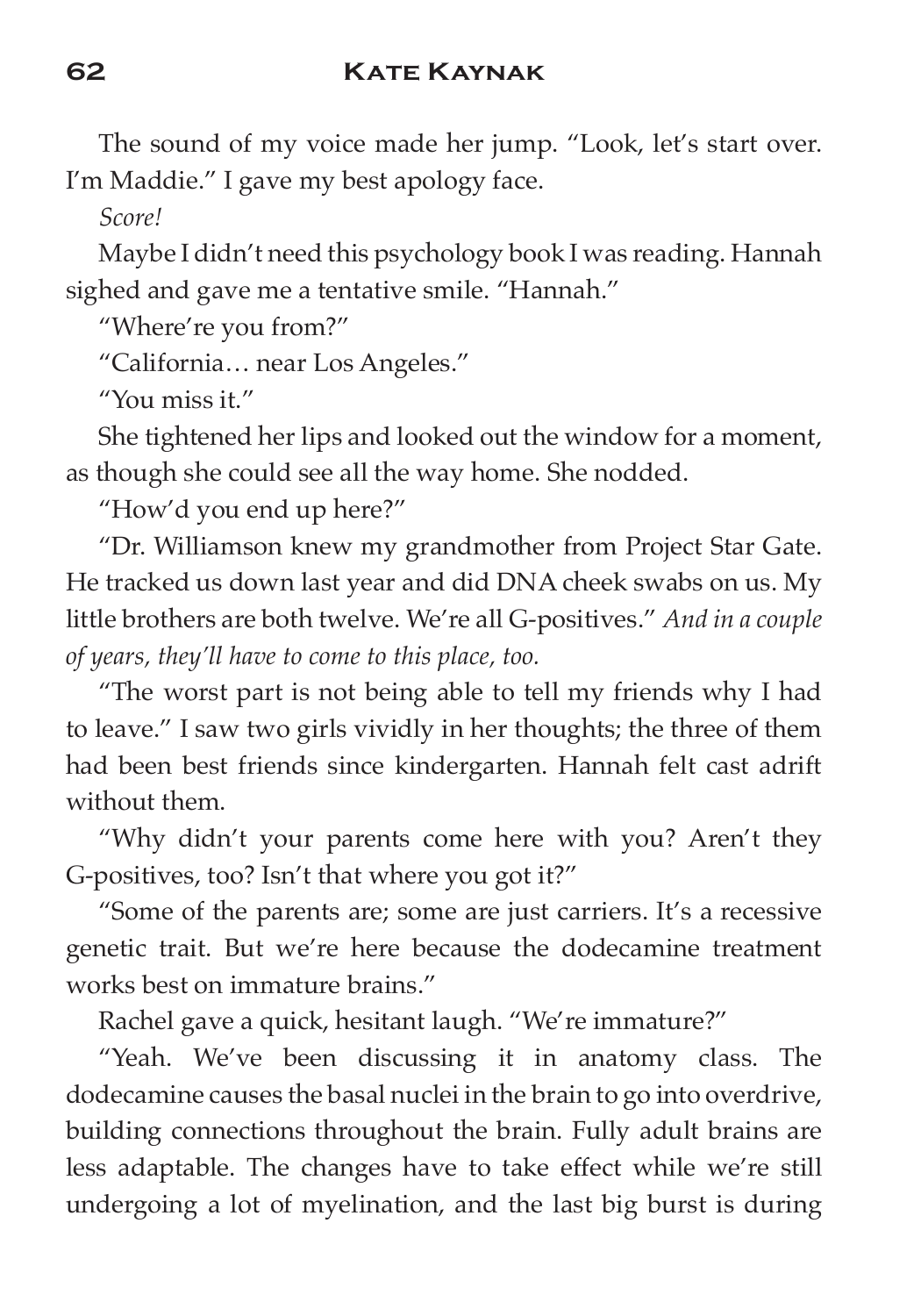The sound of my voice made her jump. "Look, let's start over. I'm Maddie." I gave my best apology face.

*Score!*

Maybe I didn't need this psychology book I was reading. Hannah sighed and gave me a tentative smile. "Hannah."

"Where're you from?"

"California… near Los Angeles."

"You miss it."

She tightened her lips and looked out the window for a moment, as though she could see all the way home. She nodded.

"How'd you end up here?"

"Dr. Williamson knew my grandmother from Project Star Gate. He tracked us down last year and did DNA cheek swabs on us. My little brothers are both twelve. We're all G-positives." *And in a couple of years, they'll have to come to this place, too.* 

"The worst part is not being able to tell my friends why I had to leave." I saw two girls vividly in her thoughts; the three of them had been best friends since kindergarten. Hannah felt cast adrift without them.

"Why didn't your parents come here with you? Aren't they G-positives, too? Isn't that where you got it?"

"Some of the parents are; some are just carriers. It's a recessive genetic trait. But we're here because the dodecamine treatment works best on immature brains."

Rachel gave a quick, hesitant laugh. "We're immature?"

"Yeah. We've been discussing it in anatomy class. The dodecamine causes the basal nuclei in the brain to go into overdrive, building connections throughout the brain. Fully adult brains are less adaptable. The changes have to take effect while we're still undergoing a lot of myelination, and the last big burst is during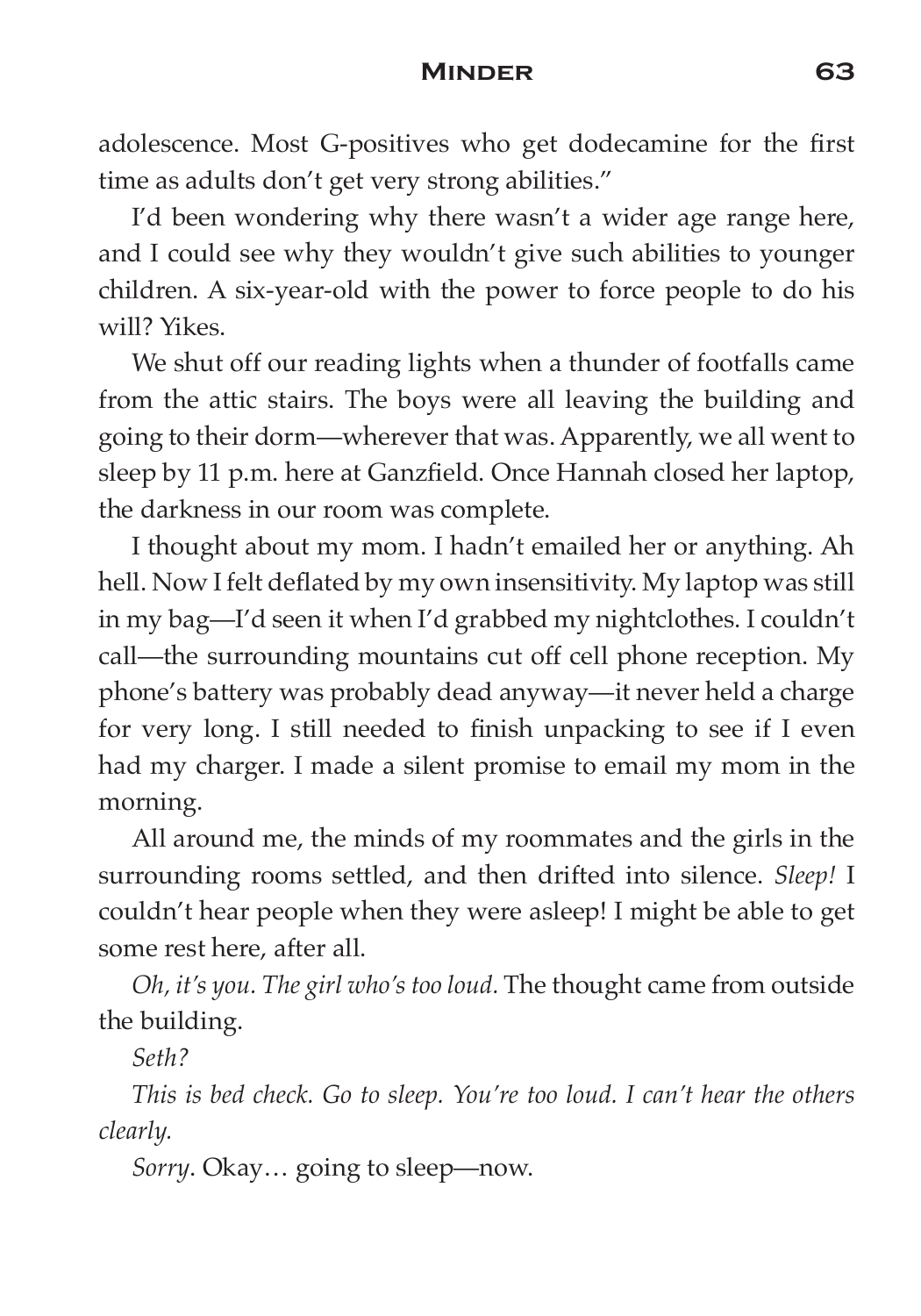adolescence. Most G-positives who get dodecamine for the first time as adults don't get very strong abilities."

I'd been wondering why there wasn't a wider age range here, and I could see why they wouldn't give such abilities to younger children. A six-year-old with the power to force people to do his will? Yikes.

We shut off our reading lights when a thunder of footfalls came from the attic stairs. The boys were all leaving the building and going to their dorm—wherever that was. Apparently, we all went to sleep by 11 p.m. here at Ganzfield. Once Hannah closed her laptop, the darkness in our room was complete.

I thought about my mom. I hadn't emailed her or anything. Ah hell. Now I felt deflated by my own insensitivity. My laptop was still in my bag—I'd seen it when I'd grabbed my nightclothes. I couldn't call—the surrounding mountains cut off cell phone reception. My phone's battery was probably dead anyway—it never held a charge for very long. I still needed to finish unpacking to see if I even had my charger. I made a silent promise to email my mom in the morning.

All around me, the minds of my roommates and the girls in the surrounding rooms settled, and then drifted into silence. *Sleep!* I couldn't hear people when they were asleep! I might be able to get some rest here, after all.

*Oh, it's you. The girl who's too loud.* The thought came from outside the building.

*Seth?*

*This is bed check. Go to sleep. You're too loud. I can't hear the others clearly.* 

*Sorry*. Okay… going to sleep—now.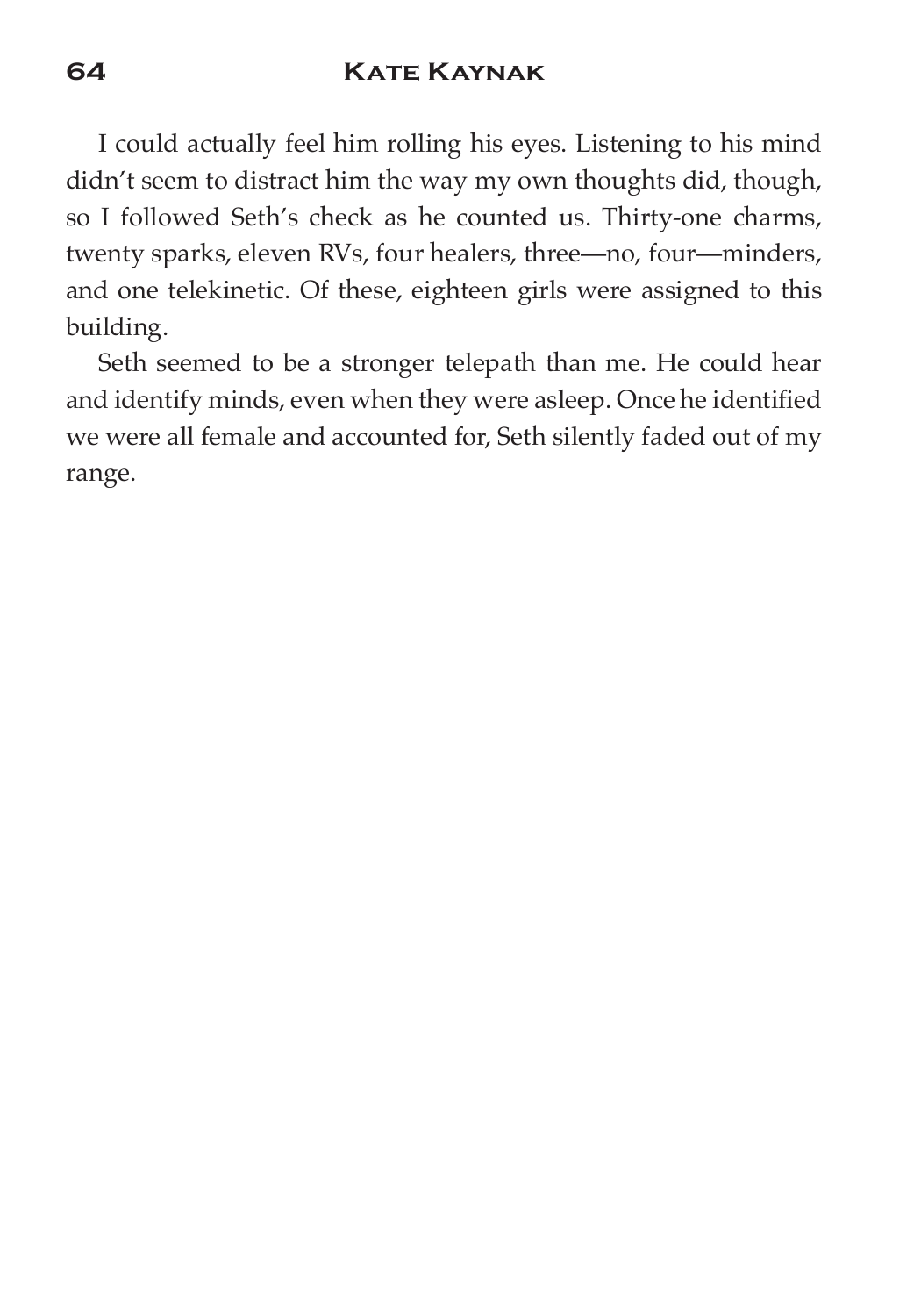I could actually feel him rolling his eyes. Listening to his mind didn't seem to distract him the way my own thoughts did, though, so I followed Seth's check as he counted us. Thirty-one charms, twenty sparks, eleven RVs, four healers, three—no, four—minders, and one telekinetic. Of these, eighteen girls were assigned to this building.

Seth seemed to be a stronger telepath than me. He could hear and identify minds, even when they were asleep. Once he identified we were all female and accounted for, Seth silently faded out of my range.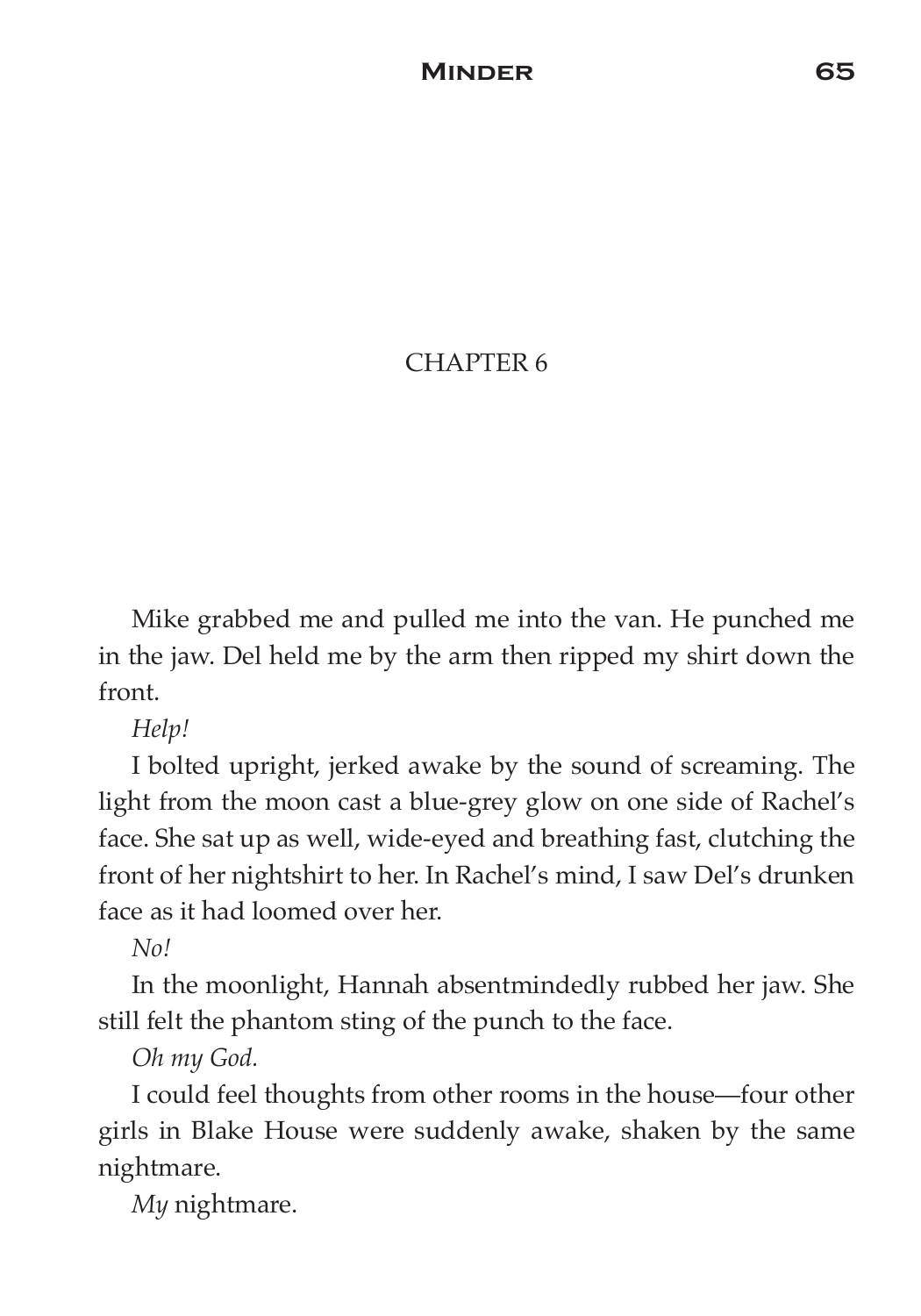# CHAPTER 6

Mike grabbed me and pulled me into the van. He punched me in the jaw. Del held me by the arm then ripped my shirt down the front.

*Help!* 

I bolted upright, jerked awake by the sound of screaming. The light from the moon cast a blue-grey glow on one side of Rachel's face. She sat up as well, wide-eyed and breathing fast, clutching the front of her nightshirt to her. In Rachel's mind, I saw Del's drunken face as it had loomed over her.

*No!* 

In the moonlight, Hannah absentmindedly rubbed her jaw. She still felt the phantom sting of the punch to the face.

*Oh my God.* 

I could feel thoughts from other rooms in the house—four other girls in Blake House were suddenly awake, shaken by the same nightmare.

*My* nightmare.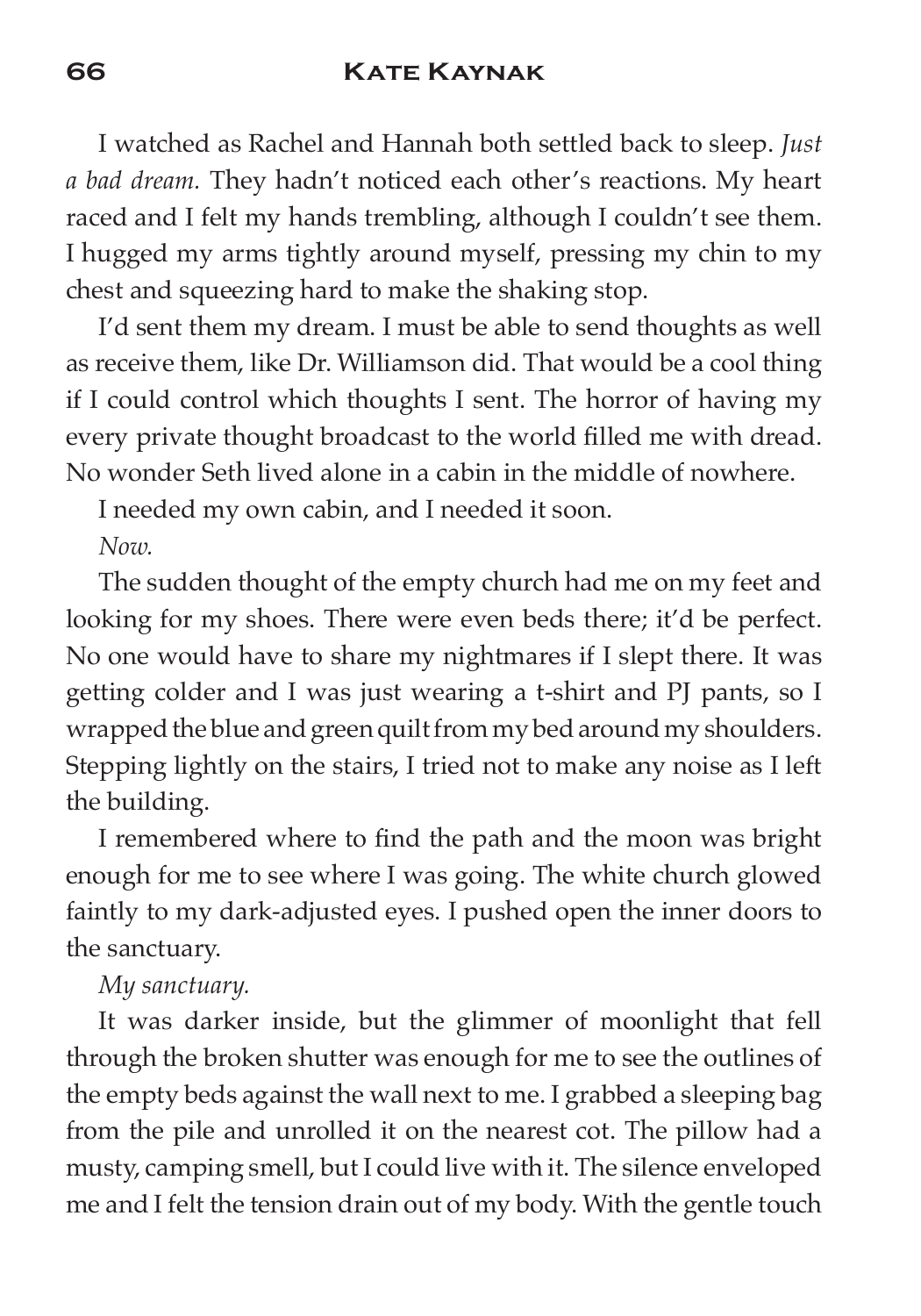I watched as Rachel and Hannah both settled back to sleep. *Just a bad dream.* They hadn't noticed each other's reactions. My heart raced and I felt my hands trembling, although I couldn't see them. I hugged my arms tightly around myself, pressing my chin to my chest and squeezing hard to make the shaking stop.

I'd sent them my dream. I must be able to send thoughts as well as receive them, like Dr. Williamson did. That would be a cool thing if I could control which thoughts I sent. The horror of having my every private thought broadcast to the world filled me with dread. No wonder Seth lived alone in a cabin in the middle of nowhere.

I needed my own cabin, and I needed it soon.

*Now.* 

The sudden thought of the empty church had me on my feet and looking for my shoes. There were even beds there; it'd be perfect. No one would have to share my nightmares if I slept there. It was getting colder and I was just wearing a t-shirt and PJ pants, so I wrapped the blue and green quilt from my bed around my shoulders. Stepping lightly on the stairs, I tried not to make any noise as I left the building.

I remembered where to find the path and the moon was bright enough for me to see where I was going. The white church glowed faintly to my dark-adjusted eyes. I pushed open the inner doors to the sanctuary.

# *My sanctuary.*

It was darker inside, but the glimmer of moonlight that fell through the broken shutter was enough for me to see the outlines of the empty beds against the wall next to me. I grabbed a sleeping bag from the pile and unrolled it on the nearest cot. The pillow had a musty, camping smell, but I could live with it. The silence enveloped me and I felt the tension drain out of my body. With the gentle touch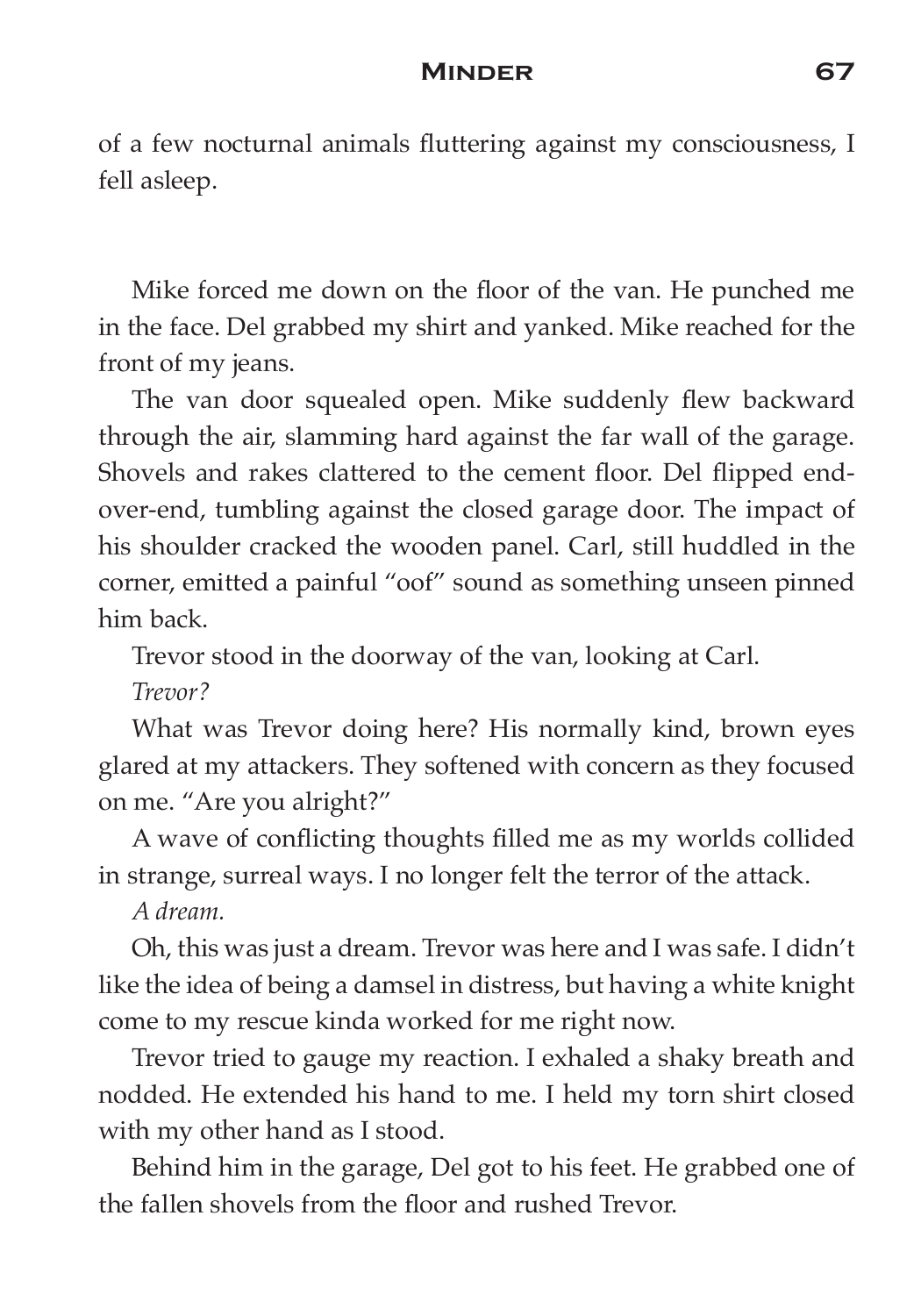of a few nocturnal animals fluttering against my consciousness, I fell asleep.

Mike forced me down on the floor of the van. He punched me in the face. Del grabbed my shirt and yanked. Mike reached for the front of my jeans.

The van door squealed open. Mike suddenly flew backward through the air, slamming hard against the far wall of the garage. Shovels and rakes clattered to the cement floor. Del flipped endover-end, tumbling against the closed garage door. The impact of his shoulder cracked the wooden panel. Carl, still huddled in the corner, emitted a painful "oof" sound as something unseen pinned him back.

Trevor stood in the doorway of the van, looking at Carl.

*Trevor?* 

What was Trevor doing here? His normally kind, brown eyes glared at my attackers. They softened with concern as they focused on me. "Are you alright?"

A wave of conflicting thoughts filled me as my worlds collided in strange, surreal ways. I no longer felt the terror of the attack.

*A dream.* 

Oh, this was just a dream. Trevor was here and I was safe. I didn't like the idea of being a damsel in distress, but having a white knight come to my rescue kinda worked for me right now.

Trevor tried to gauge my reaction. I exhaled a shaky breath and nodded. He extended his hand to me. I held my torn shirt closed with my other hand as I stood.

Behind him in the garage, Del got to his feet. He grabbed one of the fallen shovels from the floor and rushed Trevor.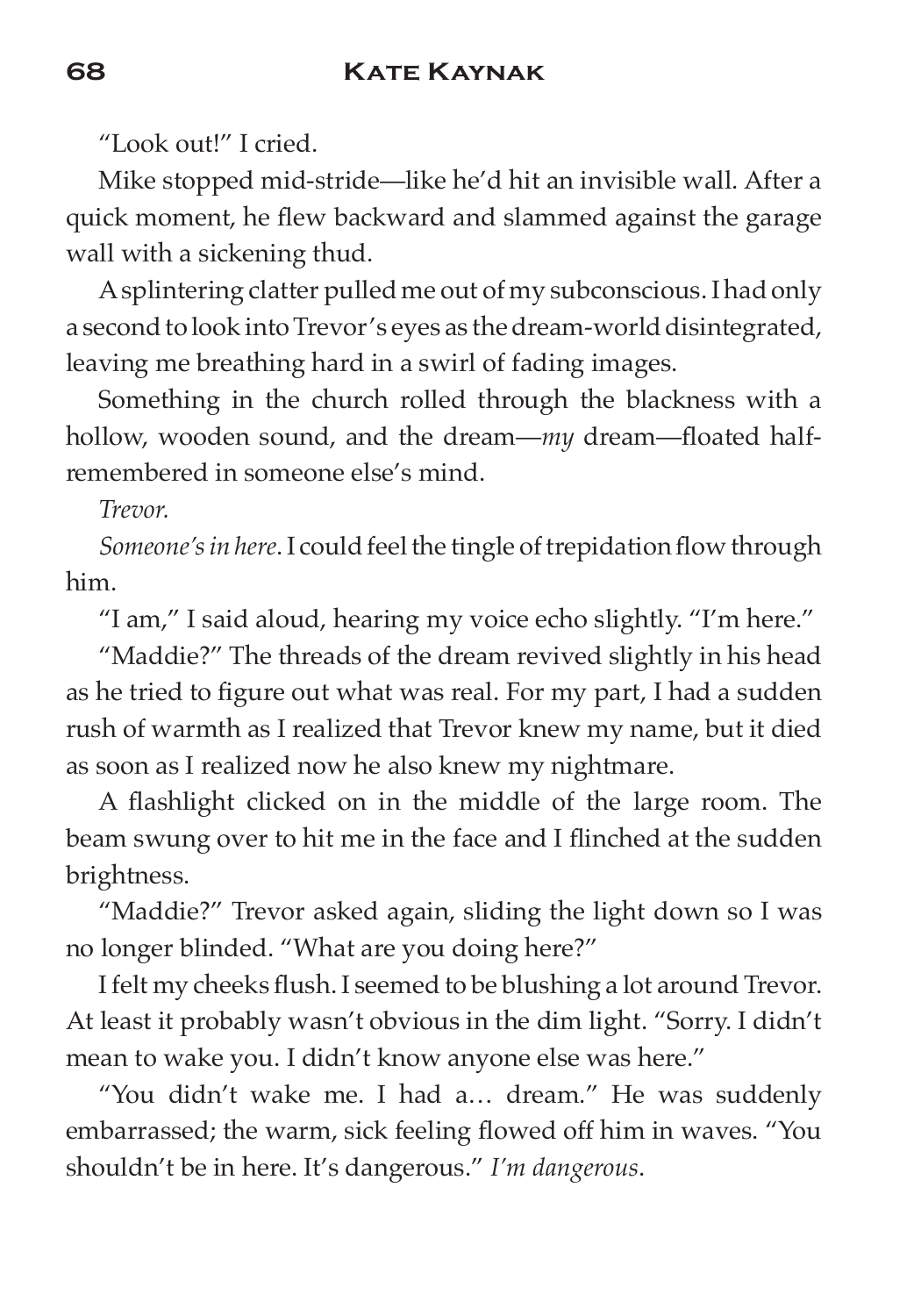"Look out!" I cried.

Mike stopped mid-stride—like he'd hit an invisible wall. After a quick moment, he flew backward and slammed against the garage wall with a sickening thud.

A splintering clatter pulled me out of my subconscious. I had only a second to look into Trevor's eyes as the dream-world disintegrated, leaving me breathing hard in a swirl of fading images.

Something in the church rolled through the blackness with a hollow, wooden sound, and the dream—*my* dream—floated halfremembered in someone else's mind.

*Trevor.*

*Someone's in here*. I could feel the tingle of trepidation flow through him.

"I am," I said aloud, hearing my voice echo slightly. "I'm here."

"Maddie?" The threads of the dream revived slightly in his head as he tried to figure out what was real. For my part, I had a sudden rush of warmth as I realized that Trevor knew my name, but it died as soon as I realized now he also knew my nightmare.

A flashlight clicked on in the middle of the large room. The beam swung over to hit me in the face and I flinched at the sudden brightness.

"Maddie?" Trevor asked again, sliding the light down so I was no longer blinded. "What are you doing here?"

I felt my cheeks flush. I seemed to be blushing a lot around Trevor. At least it probably wasn't obvious in the dim light. "Sorry. I didn't mean to wake you. I didn't know anyone else was here."

"You didn't wake me. I had a… dream." He was suddenly embarrassed; the warm, sick feeling flowed off him in waves. "You shouldn't be in here. It's dangerous." *I'm dangerous*.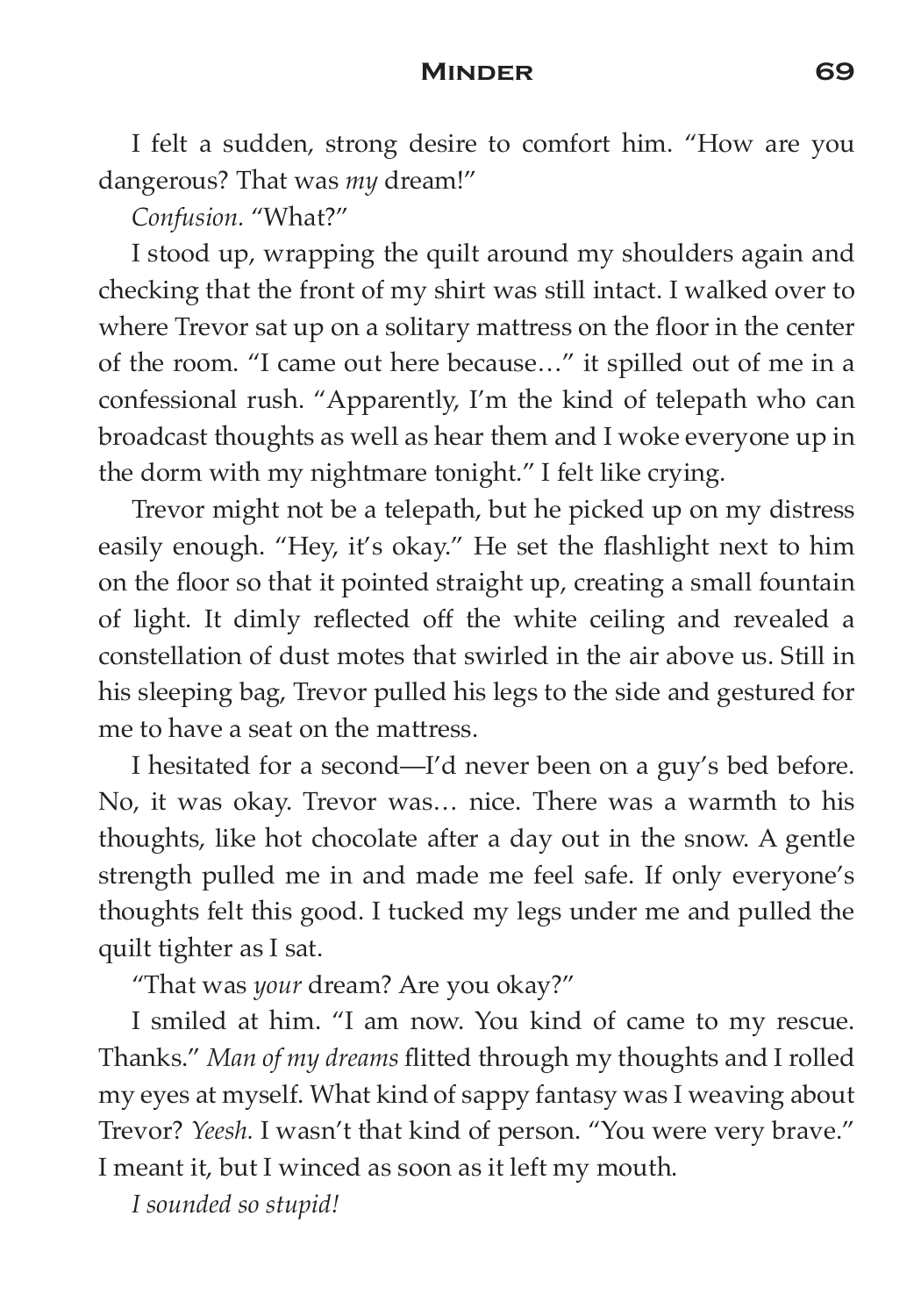I felt a sudden, strong desire to comfort him. "How are you dangerous? That was *my* dream!"

*Confusion.* "What?"

I stood up, wrapping the quilt around my shoulders again and checking that the front of my shirt was still intact. I walked over to where Trevor sat up on a solitary mattress on the floor in the center of the room. "I came out here because…" it spilled out of me in a confessional rush. "Apparently, I'm the kind of telepath who can broadcast thoughts as well as hear them and I woke everyone up in the dorm with my nightmare tonight." I felt like crying.

Trevor might not be a telepath, but he picked up on my distress easily enough. "Hey, it's okay." He set the flashlight next to him on the floor so that it pointed straight up, creating a small fountain of light. It dimly reflected off the white ceiling and revealed a constellation of dust motes that swirled in the air above us. Still in his sleeping bag, Trevor pulled his legs to the side and gestured for me to have a seat on the mattress.

I hesitated for a second—I'd never been on a guy's bed before. No, it was okay. Trevor was… nice. There was a warmth to his thoughts, like hot chocolate after a day out in the snow. A gentle strength pulled me in and made me feel safe. If only everyone's thoughts felt this good. I tucked my legs under me and pulled the quilt tighter as I sat.

"That was *your* dream? Are you okay?"

I smiled at him. "I am now. You kind of came to my rescue. Thanks." *Man of my dreams* flitted through my thoughts and I rolled my eyes at myself. What kind of sappy fantasy was I weaving about Trevor? *Yeesh.* I wasn't that kind of person. "You were very brave." I meant it, but I winced as soon as it left my mouth.

*I sounded so stupid!*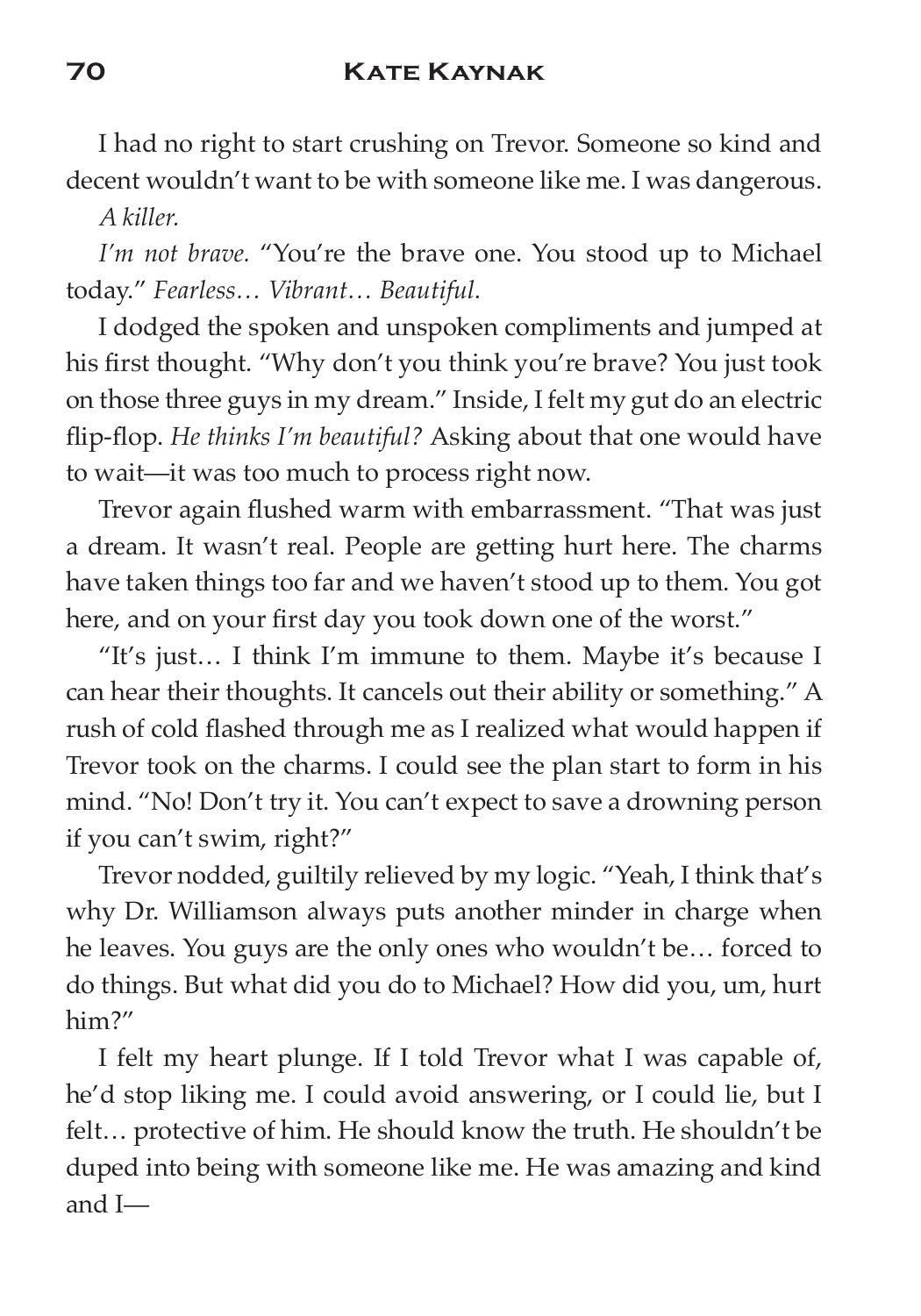I had no right to start crushing on Trevor. Someone so kind and decent wouldn't want to be with someone like me. I was dangerous.

*A killer.*

*I'm not brave.* "You're the brave one. You stood up to Michael today." *Fearless… Vibrant… Beautiful.*

I dodged the spoken and unspoken compliments and jumped at his first thought. "Why don't you think you're brave? You just took on those three guys in my dream." Inside, I felt my gut do an electric flip-flop. *He thinks I'm beautiful?* Asking about that one would have to wait—it was too much to process right now.

Trevor again flushed warm with embarrassment. "That was just a dream. It wasn't real. People are getting hurt here. The charms have taken things too far and we haven't stood up to them. You got here, and on your first day you took down one of the worst."

"It's just… I think I'm immune to them. Maybe it's because I can hear their thoughts. It cancels out their ability or something." A rush of cold flashed through me as I realized what would happen if Trevor took on the charms. I could see the plan start to form in his mind. "No! Don't try it. You can't expect to save a drowning person if you can't swim, right?"

Trevor nodded, guiltily relieved by my logic. "Yeah, I think that's why Dr. Williamson always puts another minder in charge when he leaves. You guys are the only ones who wouldn't be… forced to do things. But what did you do to Michael? How did you, um, hurt him?"

I felt my heart plunge. If I told Trevor what I was capable of, he'd stop liking me. I could avoid answering, or I could lie, but I felt… protective of him. He should know the truth. He shouldn't be duped into being with someone like me. He was amazing and kind and I—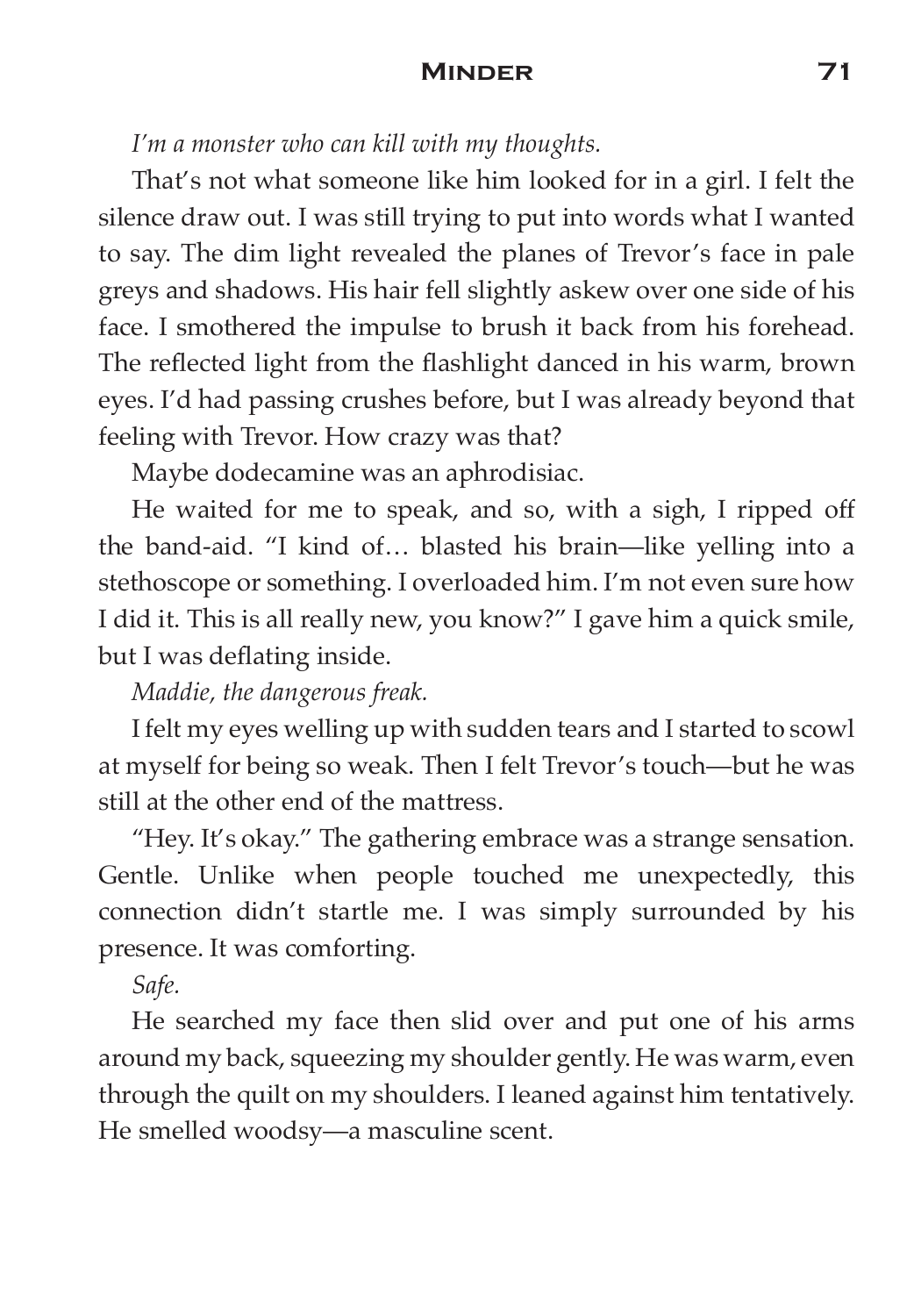*I'm a monster who can kill with my thoughts.* 

That's not what someone like him looked for in a girl. I felt the silence draw out. I was still trying to put into words what I wanted to say. The dim light revealed the planes of Trevor's face in pale greys and shadows. His hair fell slightly askew over one side of his face. I smothered the impulse to brush it back from his forehead. The reflected light from the flashlight danced in his warm, brown eyes. I'd had passing crushes before, but I was already beyond that feeling with Trevor. How crazy was that?

Maybe dodecamine was an aphrodisiac.

He waited for me to speak, and so, with a sigh, I ripped off the band-aid. "I kind of… blasted his brain—like yelling into a stethoscope or something. I overloaded him. I'm not even sure how I did it. This is all really new, you know?" I gave him a quick smile, but I was deflating inside.

*Maddie, the dangerous freak.* 

I felt my eyes welling up with sudden tears and I started to scowl at myself for being so weak. Then I felt Trevor's touch—but he was still at the other end of the mattress.

"Hey. It's okay." The gathering embrace was a strange sensation. Gentle. Unlike when people touched me unexpectedly, this connection didn't startle me. I was simply surrounded by his presence. It was comforting.

*Safe.* 

He searched my face then slid over and put one of his arms around my back, squeezing my shoulder gently. He was warm, even through the quilt on my shoulders. I leaned against him tentatively. He smelled woodsy—a masculine scent.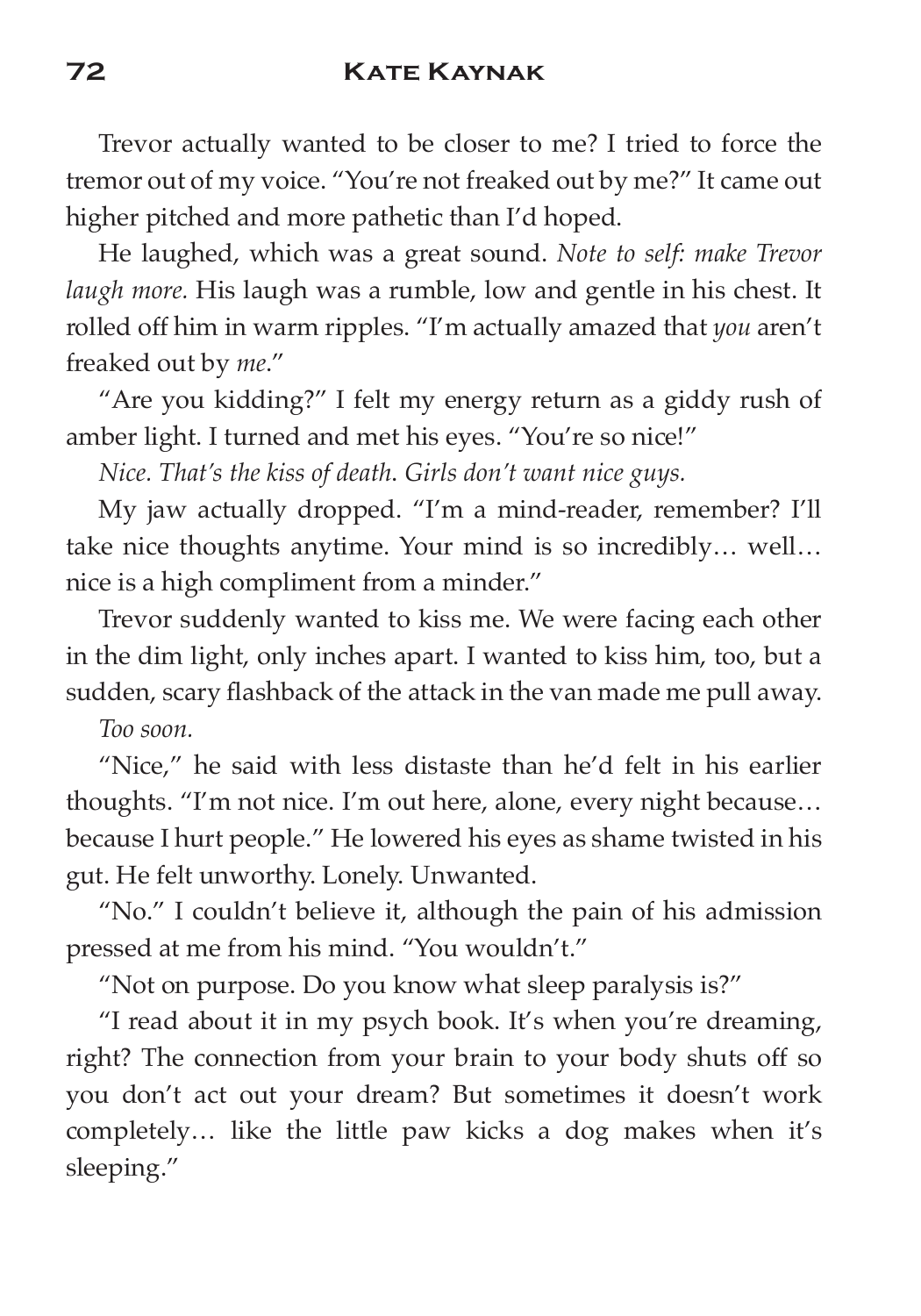Trevor actually wanted to be closer to me? I tried to force the tremor out of my voice. "You're not freaked out by me?" It came out higher pitched and more pathetic than I'd hoped.

He laughed, which was a great sound. *Note to self: make Trevor laugh more.* His laugh was a rumble, low and gentle in his chest. It rolled off him in warm ripples. "I'm actually amazed that *you* aren't freaked out by *me*."

"Are you kidding?" I felt my energy return as a giddy rush of amber light. I turned and met his eyes. "You're so nice!"

*Nice. That's the kiss of death*. *Girls don't want nice guys.* 

My jaw actually dropped. "I'm a mind-reader, remember? I'll take nice thoughts anytime. Your mind is so incredibly… well… nice is a high compliment from a minder."

Trevor suddenly wanted to kiss me. We were facing each other in the dim light, only inches apart. I wanted to kiss him, too, but a sudden, scary flashback of the attack in the van made me pull away.

# *Too soon.*

"Nice," he said with less distaste than he'd felt in his earlier thoughts. "I'm not nice. I'm out here, alone, every night because… because I hurt people." He lowered his eyes as shame twisted in his gut. He felt unworthy. Lonely. Unwanted.

"No." I couldn't believe it, although the pain of his admission pressed at me from his mind. "You wouldn't."

"Not on purpose. Do you know what sleep paralysis is?"

"I read about it in my psych book. It's when you're dreaming, right? The connection from your brain to your body shuts off so you don't act out your dream? But sometimes it doesn't work completely… like the little paw kicks a dog makes when it's sleeping."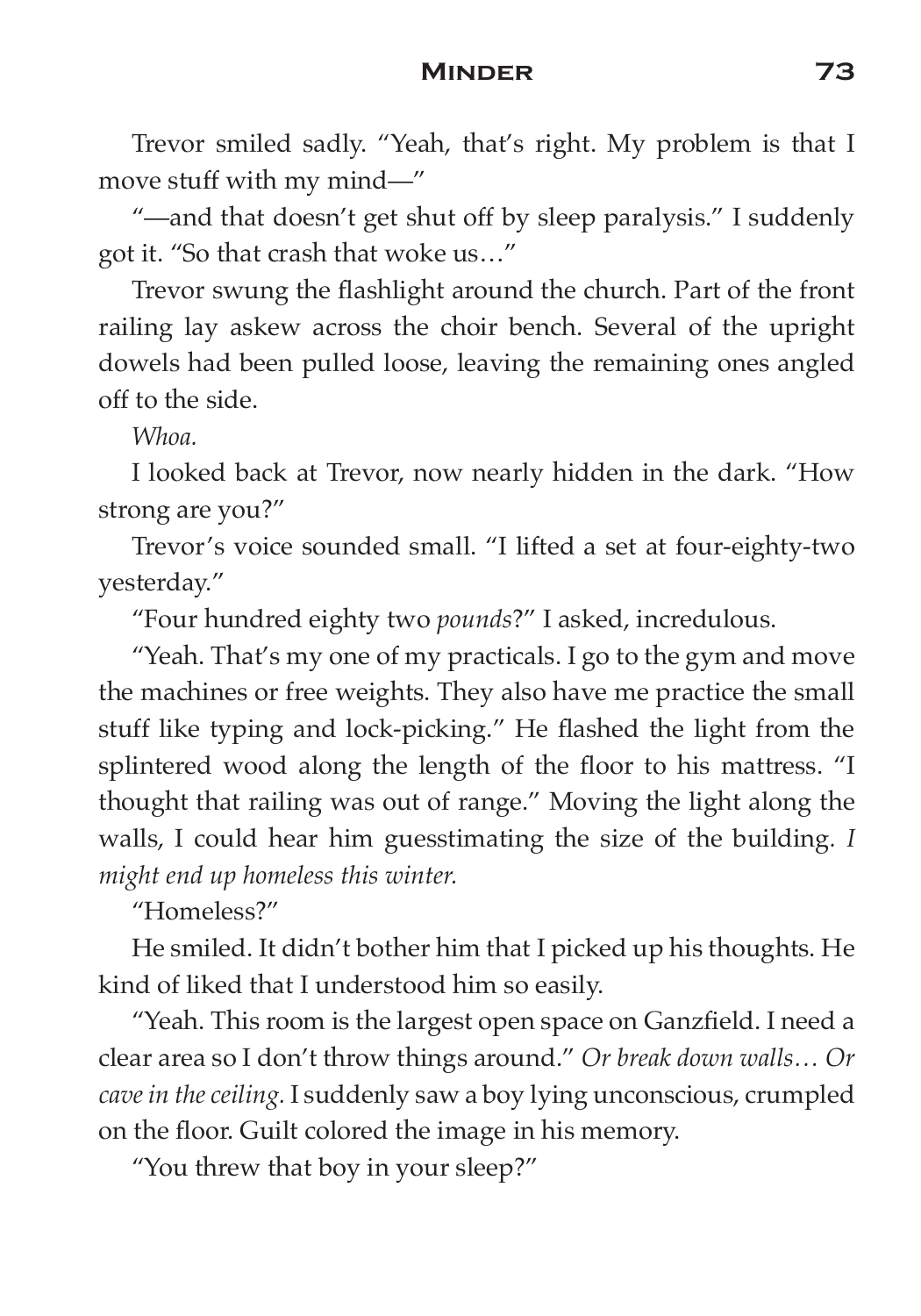Trevor smiled sadly. "Yeah, that's right. My problem is that I move stuff with my mind—"

"—and that doesn't get shut off by sleep paralysis." I suddenly got it. "So that crash that woke us…"

Trevor swung the flashlight around the church. Part of the front railing lay askew across the choir bench. Several of the upright dowels had been pulled loose, leaving the remaining ones angled off to the side.

*Whoa.* 

I looked back at Trevor, now nearly hidden in the dark. "How strong are you?"

Trevor's voice sounded small. "I lifted a set at four-eighty-two yesterday."

"Four hundred eighty two *pounds*?" I asked, incredulous.

"Yeah. That's my one of my practicals. I go to the gym and move the machines or free weights. They also have me practice the small stuff like typing and lock-picking." He flashed the light from the splintered wood along the length of the floor to his mattress. "I thought that railing was out of range." Moving the light along the walls, I could hear him guesstimating the size of the building*. I might end up homeless this winter.* 

"Homeless?"

He smiled. It didn't bother him that I picked up his thoughts. He kind of liked that I understood him so easily.

"Yeah. This room is the largest open space on Ganzfield. I need a clear area so I don't throw things around." *Or break down walls… Or cave in the ceiling.* I suddenly saw a boy lying unconscious, crumpled on the floor. Guilt colored the image in his memory.

"You threw that boy in your sleep?"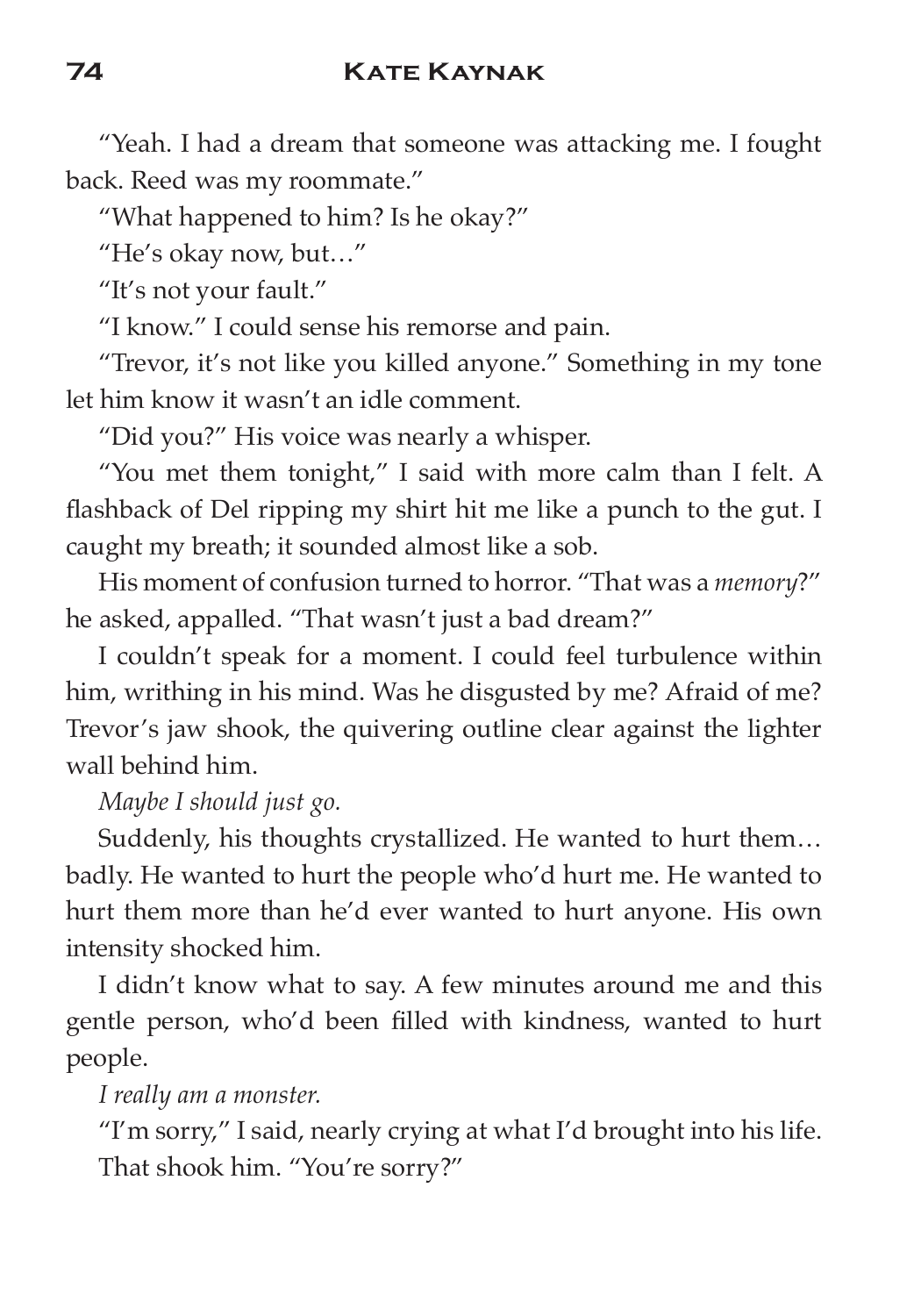"Yeah. I had a dream that someone was attacking me. I fought back. Reed was my roommate."

"What happened to him? Is he okay?"

"He's okay now, but…"

"It's not your fault."

"I know." I could sense his remorse and pain.

"Trevor, it's not like you killed anyone." Something in my tone let him know it wasn't an idle comment.

"Did you?" His voice was nearly a whisper.

"You met them tonight," I said with more calm than I felt. A flashback of Del ripping my shirt hit me like a punch to the gut. I caught my breath; it sounded almost like a sob.

His moment of confusion turned to horror. "That was a *memory*?" he asked, appalled. "That wasn't just a bad dream?"

I couldn't speak for a moment. I could feel turbulence within him, writhing in his mind. Was he disgusted by me? Afraid of me? Trevor's jaw shook, the quivering outline clear against the lighter wall behind him.

*Maybe I should just go.* 

Suddenly, his thoughts crystallized. He wanted to hurt them… badly. He wanted to hurt the people who'd hurt me. He wanted to hurt them more than he'd ever wanted to hurt anyone. His own intensity shocked him.

I didn't know what to say. A few minutes around me and this gentle person, who'd been filled with kindness, wanted to hurt people.

*I really am a monster.* 

"I'm sorry," I said, nearly crying at what I'd brought into his life. That shook him. "You're sorry?"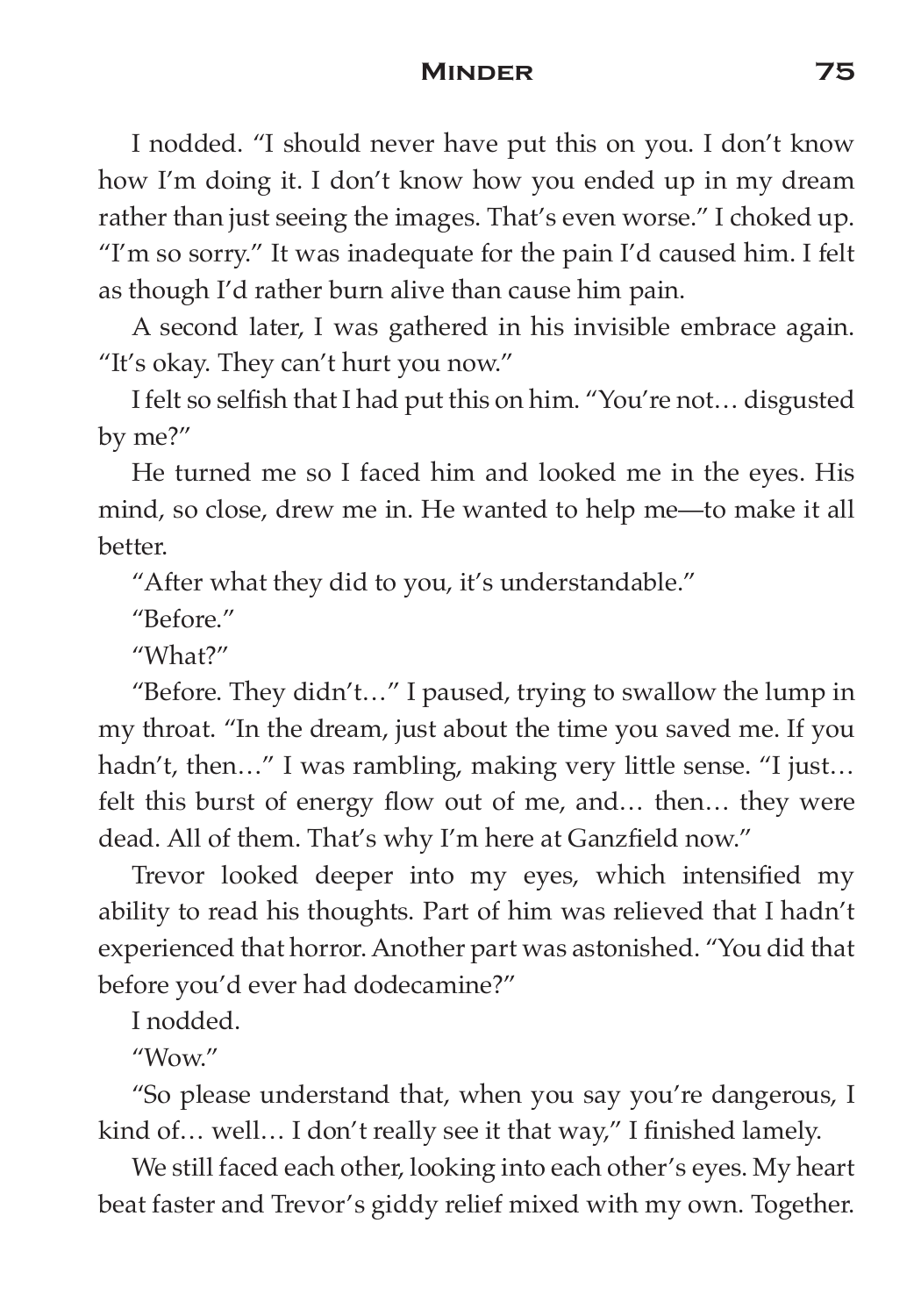I nodded. "I should never have put this on you. I don't know how I'm doing it. I don't know how you ended up in my dream rather than just seeing the images. That's even worse." I choked up. "I'm so sorry." It was inadequate for the pain I'd caused him. I felt as though I'd rather burn alive than cause him pain.

A second later, I was gathered in his invisible embrace again. "It's okay. They can't hurt you now."

I felt so selfish that I had put this on him. "You're not… disgusted by me?"

He turned me so I faced him and looked me in the eyes. His mind, so close, drew me in. He wanted to help me—to make it all better.

"After what they did to you, it's understandable."

"Before."

"What?"

"Before. They didn't…" I paused, trying to swallow the lump in my throat. "In the dream, just about the time you saved me. If you hadn't, then..." I was rambling, making very little sense. "I just... felt this burst of energy flow out of me, and… then… they were dead. All of them. That's why I'm here at Ganzfield now."

Trevor looked deeper into my eyes, which intensified my ability to read his thoughts. Part of him was relieved that I hadn't experienced that horror. Another part was astonished. "You did that before you'd ever had dodecamine?"

I nodded.

"Wow"

"So please understand that, when you say you're dangerous, I kind of… well… I don't really see it that way," I finished lamely.

We still faced each other, looking into each other's eyes. My heart beat faster and Trevor's giddy relief mixed with my own. Together.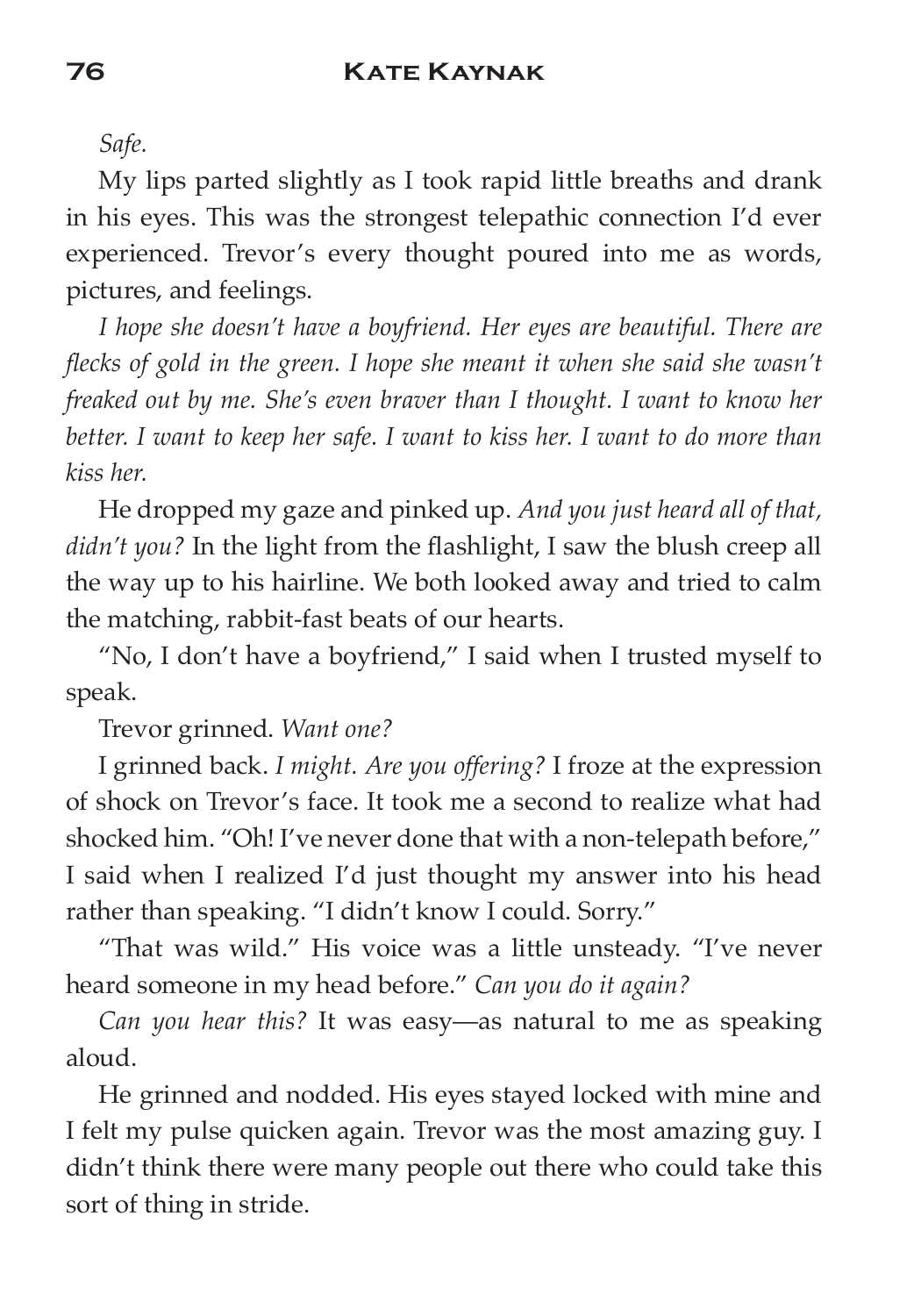*Safe.*

My lips parted slightly as I took rapid little breaths and drank in his eyes. This was the strongest telepathic connection I'd ever experienced. Trevor's every thought poured into me as words, pictures, and feelings.

*I hope she doesn't have a boyfriend. Her eyes are beautiful. There are flecks of gold in the green. I hope she meant it when she said she wasn't freaked out by me. She's even braver than I thought. I want to know her better. I want to keep her safe. I want to kiss her. I want to do more than kiss her.* 

He dropped my gaze and pinked up. *And you just heard all of that, didn't you?* In the light from the flashlight, I saw the blush creep all the way up to his hairline. We both looked away and tried to calm the matching, rabbit-fast beats of our hearts.

"No, I don't have a boyfriend," I said when I trusted myself to speak.

Trevor grinned. *Want one?*

I grinned back. *I might. Are you offering?* I froze at the expression of shock on Trevor's face. It took me a second to realize what had shocked him. "Oh! I've never done that with a non-telepath before," I said when I realized I'd just thought my answer into his head rather than speaking. "I didn't know I could. Sorry."

"That was wild." His voice was a little unsteady. "I've never heard someone in my head before." *Can you do it again?*

*Can you hear this?* It was easy—as natural to me as speaking aloud.

He grinned and nodded. His eyes stayed locked with mine and I felt my pulse quicken again. Trevor was the most amazing guy. I didn't think there were many people out there who could take this sort of thing in stride.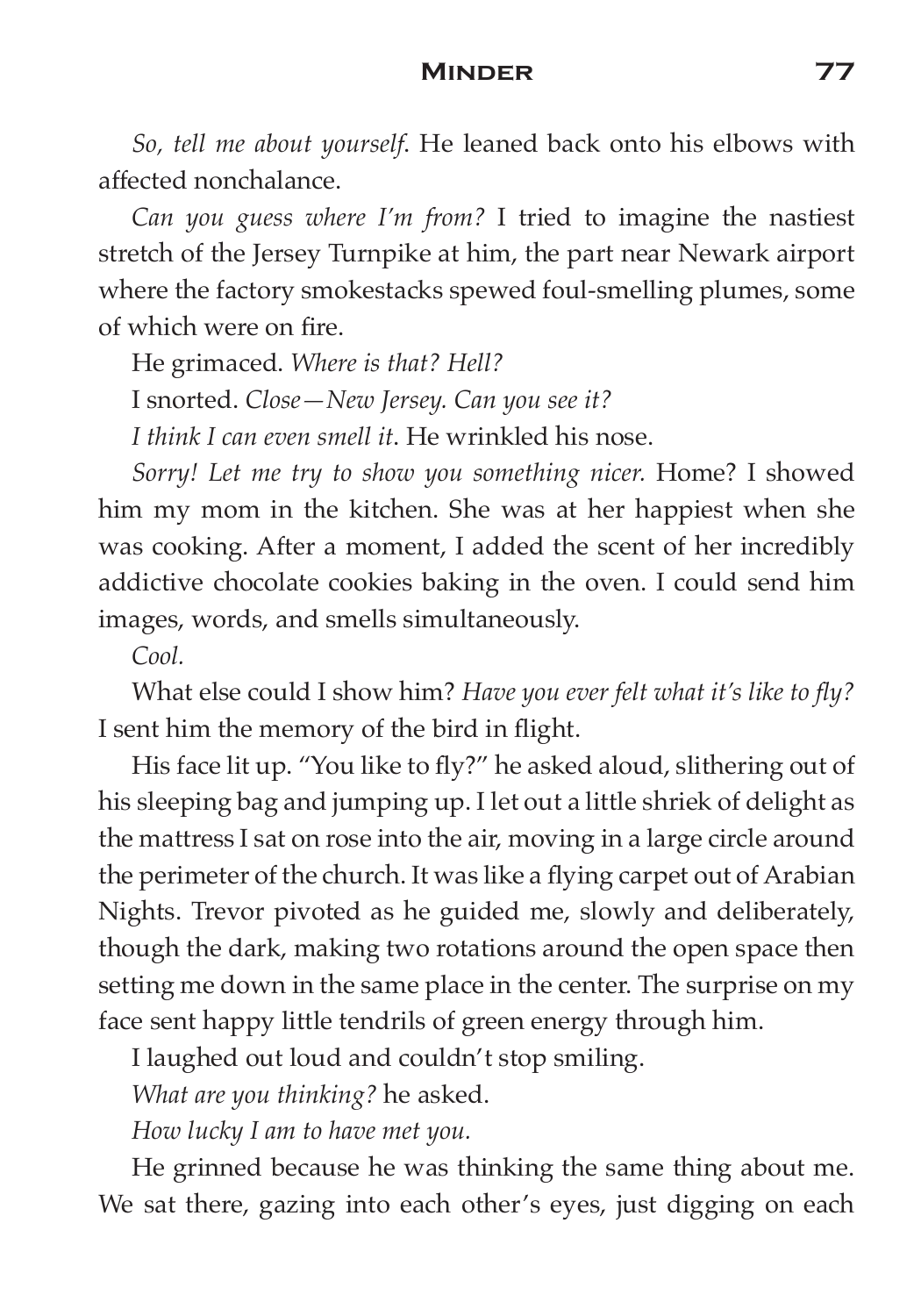*So, tell me about yourself*. He leaned back onto his elbows with affected nonchalance.

*Can you guess where I'm from?* I tried to imagine the nastiest stretch of the Jersey Turnpike at him, the part near Newark airport where the factory smokestacks spewed foul-smelling plumes, some of which were on fire.

He grimaced. *Where is that? Hell?*

I snorted. *Close—New Jersey. Can you see it?*

*I think I can even smell it*. He wrinkled his nose.

*Sorry! Let me try to show you something nicer.* Home? I showed him my mom in the kitchen. She was at her happiest when she was cooking. After a moment, I added the scent of her incredibly addictive chocolate cookies baking in the oven. I could send him images, words, and smells simultaneously.

*Cool.* 

What else could I show him? *Have you ever felt what it's like to fly?* I sent him the memory of the bird in flight.

His face lit up. "You like to fly?" he asked aloud, slithering out of his sleeping bag and jumping up. I let out a little shriek of delight as the mattress I sat on rose into the air, moving in a large circle around the perimeter of the church. It was like a flying carpet out of Arabian Nights. Trevor pivoted as he guided me, slowly and deliberately, though the dark, making two rotations around the open space then setting me down in the same place in the center. The surprise on my face sent happy little tendrils of green energy through him.

I laughed out loud and couldn't stop smiling.

*What are you thinking?* he asked.

*How lucky I am to have met you.* 

He grinned because he was thinking the same thing about me. We sat there, gazing into each other's eyes, just digging on each